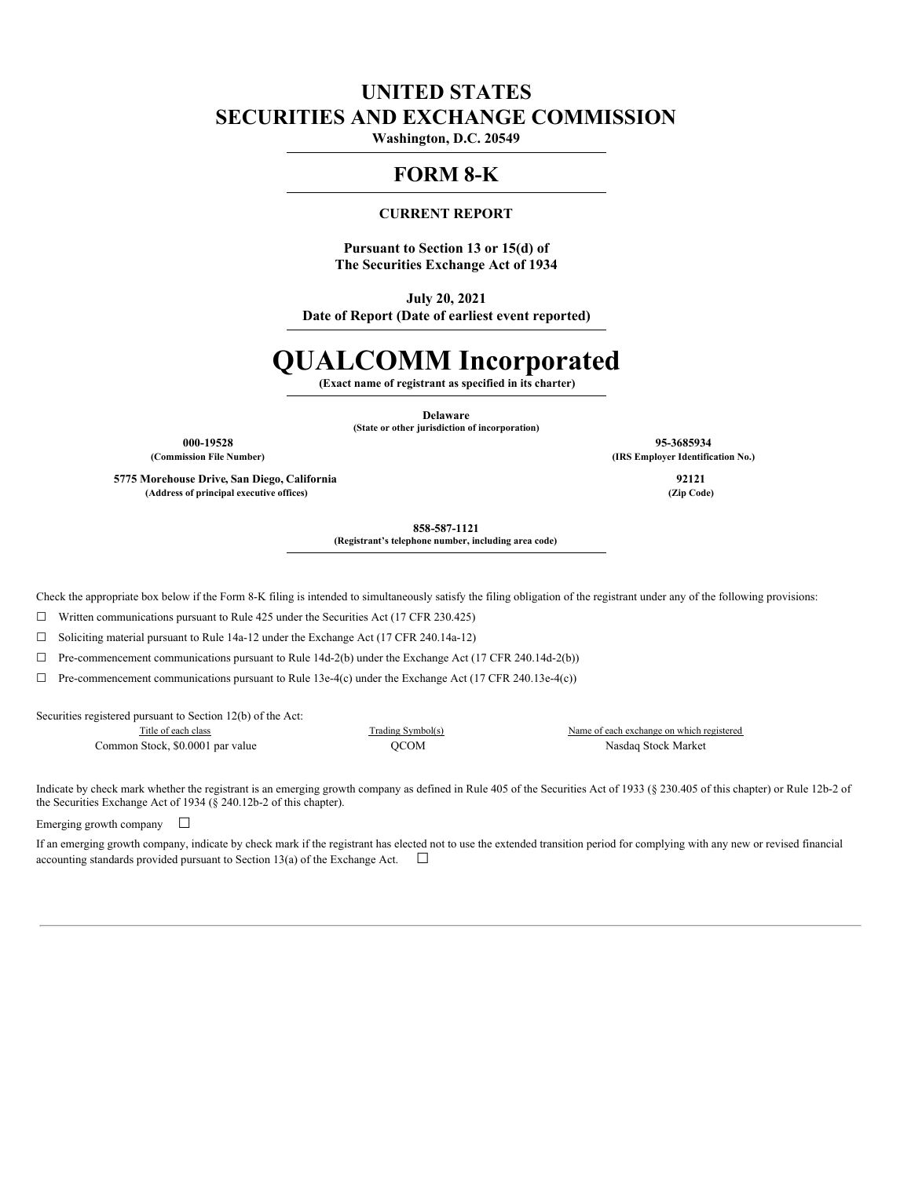# **UNITED STATES SECURITIES AND EXCHANGE COMMISSION**

**Washington, D.C. 20549**

## **FORM 8-K**

#### **CURRENT REPORT**

**Pursuant to Section 13 or 15(d) of The Securities Exchange Act of 1934**

**July 20, 2021**

**Date of Report (Date of earliest event reported)**

# **QUALCOMM Incorporated**

**(Exact name of registrant as specified in its charter)**

**Delaware (State or other jurisdiction of incorporation)**

**000-19528 95-3685934 (Commission File Number) (IRS Employer Identification No.)**

**5775 Morehouse Drive, San Diego, California 92121 (Address of principal executive offices) (Zip Code)**

**858-587-1121**

**(Registrant's telephone number, including area code)**

Check the appropriate box below if the Form 8-K filing is intended to simultaneously satisfy the filing obligation of the registrant under any of the following provisions:

 $\Box$  Written communications pursuant to Rule 425 under the Securities Act (17 CFR 230.425)

☐ Soliciting material pursuant to Rule 14a-12 under the Exchange Act (17 CFR 240.14a-12)

☐ Pre-commencement communications pursuant to Rule 14d-2(b) under the Exchange Act (17 CFR 240.14d-2(b))

 $\Box$  Pre-commencement communications pursuant to Rule 13e-4(c) under the Exchange Act (17 CFR 240.13e-4(c))

Securities registered pursuant to Section 12(b) of the Act:

Common Stock, \$0.0001 par value QCOM Nasdaq Stock Market

Title of each class Trading Symbol(s) Name of each exchange on which registered

Indicate by check mark whether the registrant is an emerging growth company as defined in Rule 405 of the Securities Act of 1933 (§ 230.405 of this chapter) or Rule 12b-2 of the Securities Exchange Act of 1934 (§ 240.12b-2 of this chapter).

Emerging growth company  $\Box$ 

If an emerging growth company, indicate by check mark if the registrant has elected not to use the extended transition period for complying with any new or revised financial accounting standards provided pursuant to Section 13(a) of the Exchange Act.  $\Box$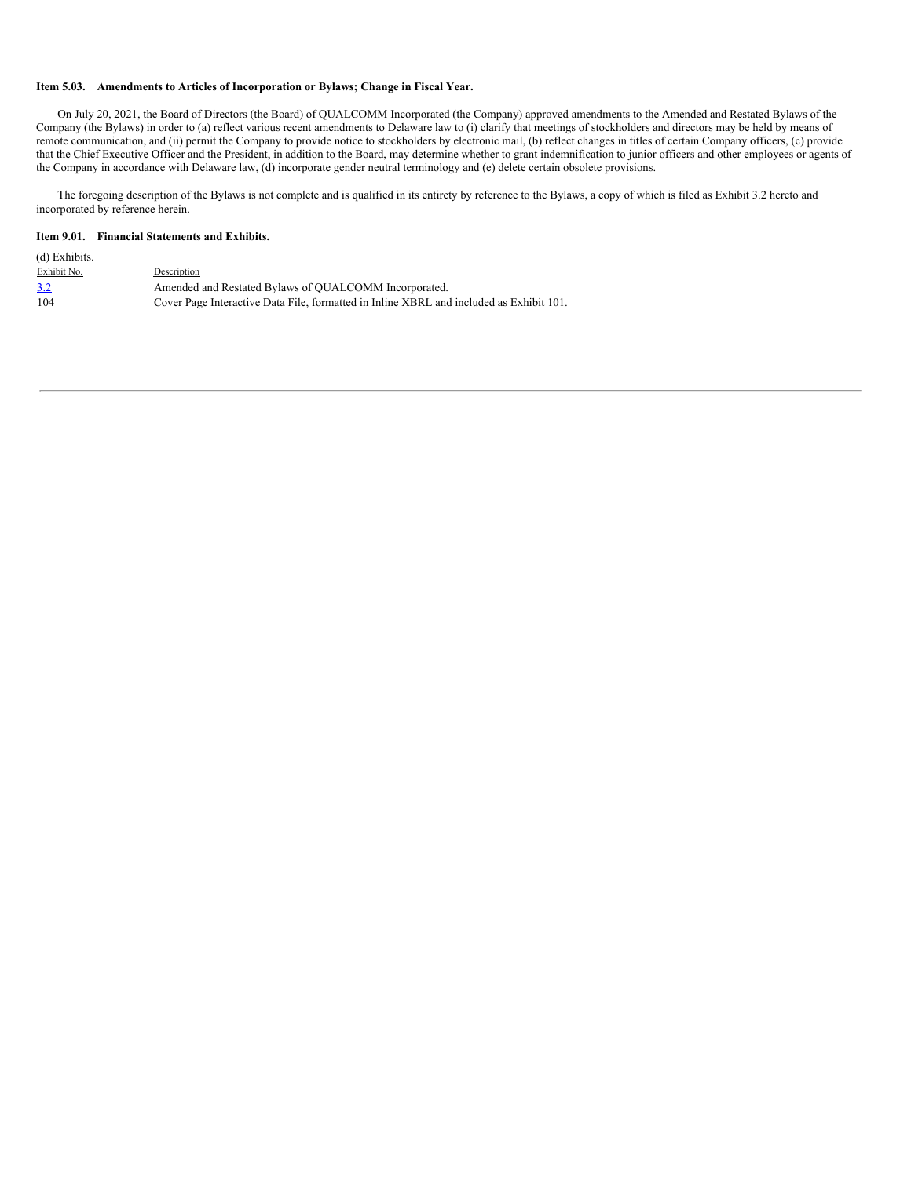#### **Item 5.03. Amendments to Articles of Incorporation or Bylaws; Change in Fiscal Year.**

On July 20, 2021, the Board of Directors (the Board) of QUALCOMM Incorporated (the Company) approved amendments to the Amended and Restated Bylaws of the Company (the Bylaws) in order to (a) reflect various recent amendments to Delaware law to (i) clarify that meetings of stockholders and directors may be held by means of remote communication, and (ii) permit the Company to provide notice to stockholders by electronic mail, (b) reflect changes in titles of certain Company officers, (c) provide that the Chief Executive Officer and the President, in addition to the Board, may determine whether to grant indemnification to junior officers and other employees or agents of the Company in accordance with Delaware law, (d) incorporate gender neutral terminology and (e) delete certain obsolete provisions.

The foregoing description of the Bylaws is not complete and is qualified in its entirety by reference to the Bylaws, a copy of which is filed as Exhibit 3.2 hereto and incorporated by reference herein.

#### **Item 9.01. Financial Statements and Exhibits.**

| (d) Exhibits. |                                                                                         |
|---------------|-----------------------------------------------------------------------------------------|
| Exhibit No.   | Description                                                                             |
| 3.2           | Amended and Restated Bylaws of QUALCOMM Incorporated.                                   |
| 104           | Cover Page Interactive Data File, formatted in Inline XBRL and included as Exhibit 101. |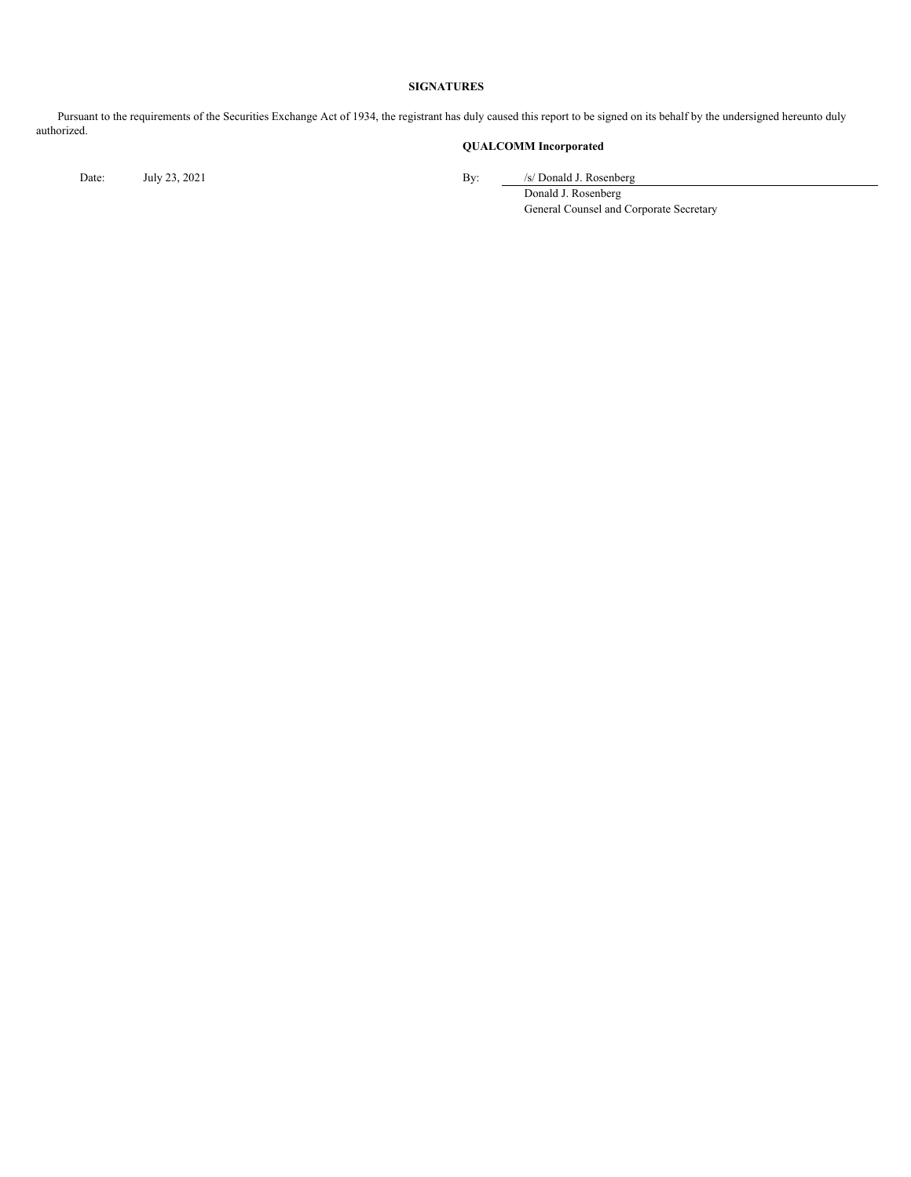#### **SIGNATURES**

Pursuant to the requirements of the Securities Exchange Act of 1934, the registrant has duly caused this report to be signed on its behalf by the undersigned hereunto duly authorized.

## **QUALCOMM Incorporated**

Date: July 23, 2021 By: /s/ Donald J. Rosenberg

Donald J. Rosenberg General Counsel and Corporate Secretary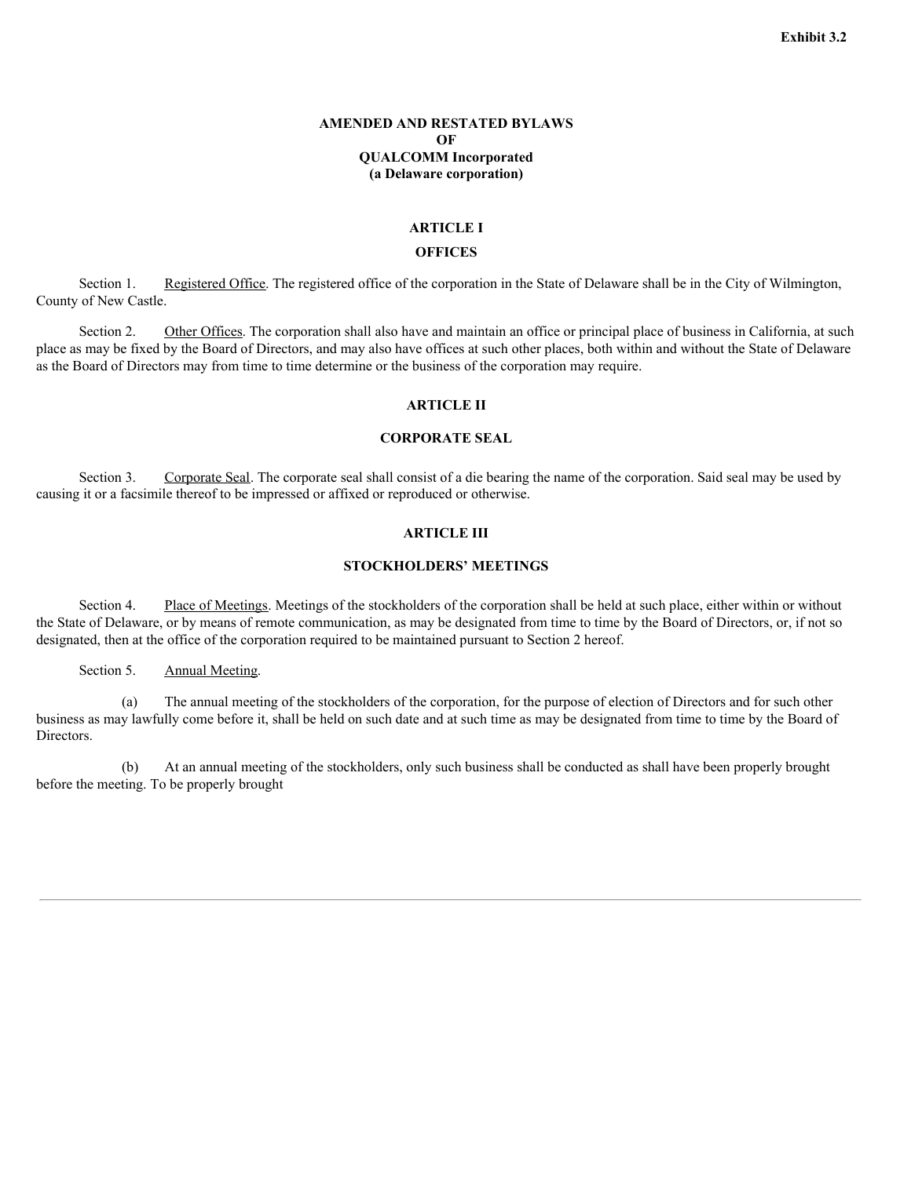#### **AMENDED AND RESTATED BYLAWS OF QUALCOMM Incorporated (a Delaware corporation)**

#### **ARTICLE I**

#### **OFFICES**

Section 1. Registered Office. The registered office of the corporation in the State of Delaware shall be in the City of Wilmington, County of New Castle.

Section 2. Other Offices. The corporation shall also have and maintain an office or principal place of business in California, at such place as may be fixed by the Board of Directors, and may also have offices at such other places, both within and without the State of Delaware as the Board of Directors may from time to time determine or the business of the corporation may require.

#### **ARTICLE II**

#### **CORPORATE SEAL**

Section 3. Corporate Seal. The corporate seal shall consist of a die bearing the name of the corporation. Said seal may be used by causing it or a facsimile thereof to be impressed or affixed or reproduced or otherwise.

#### **ARTICLE III**

## **STOCKHOLDERS' MEETINGS**

Section 4. Place of Meetings. Meetings of the stockholders of the corporation shall be held at such place, either within or without the State of Delaware, or by means of remote communication, as may be designated from time to time by the Board of Directors, or, if not so designated, then at the office of the corporation required to be maintained pursuant to Section 2 hereof.

Section 5. Annual Meeting.

(a) The annual meeting of the stockholders of the corporation, for the purpose of election of Directors and for such other business as may lawfully come before it, shall be held on such date and at such time as may be designated from time to time by the Board of Directors.

(b) At an annual meeting of the stockholders, only such business shall be conducted as shall have been properly brought before the meeting. To be properly brought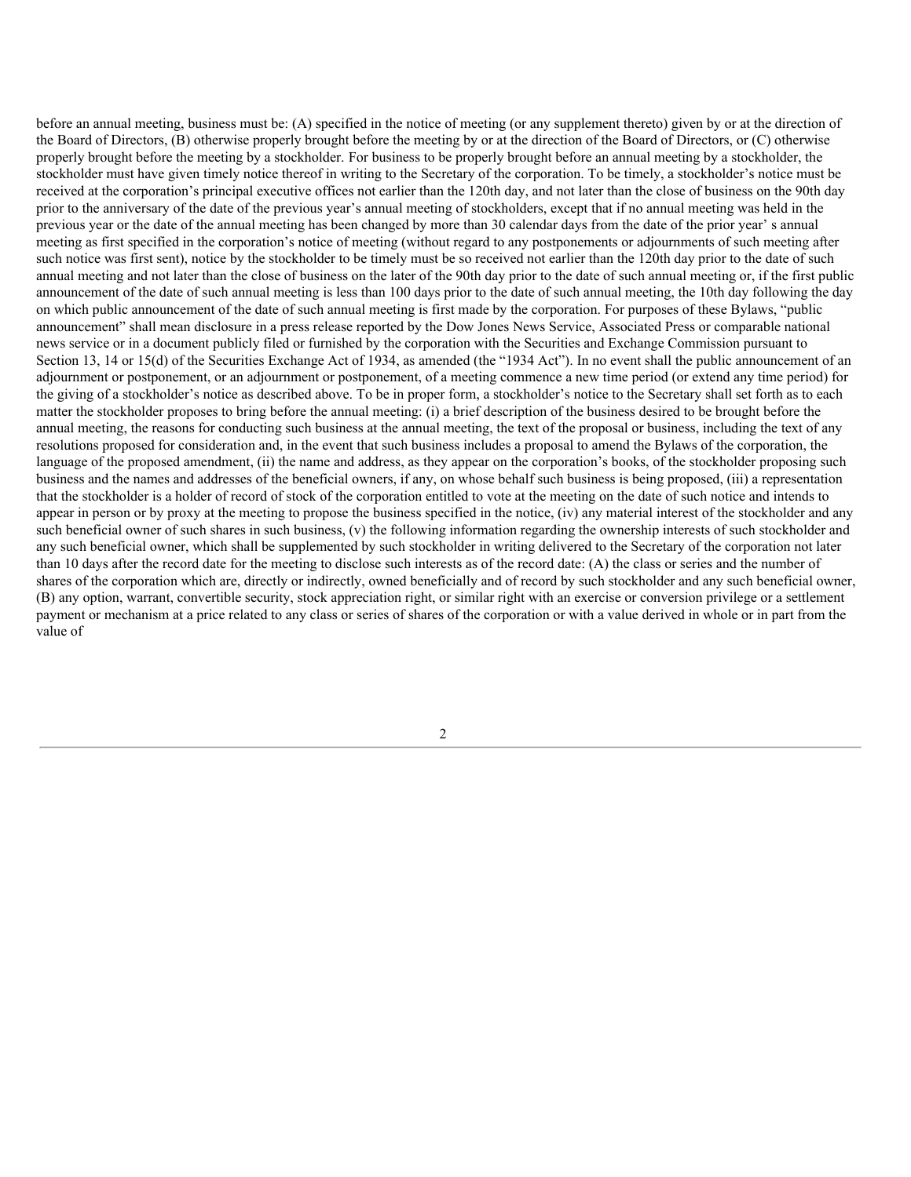before an annual meeting, business must be: (A) specified in the notice of meeting (or any supplement thereto) given by or at the direction of the Board of Directors, (B) otherwise properly brought before the meeting by or at the direction of the Board of Directors, or (C) otherwise properly brought before the meeting by a stockholder. For business to be properly brought before an annual meeting by a stockholder, the stockholder must have given timely notice thereof in writing to the Secretary of the corporation. To be timely, a stockholder's notice must be received at the corporation's principal executive offices not earlier than the 120th day, and not later than the close of business on the 90th day prior to the anniversary of the date of the previous year's annual meeting of stockholders, except that if no annual meeting was held in the previous year or the date of the annual meeting has been changed by more than 30 calendar days from the date of the prior year' s annual meeting as first specified in the corporation's notice of meeting (without regard to any postponements or adjournments of such meeting after such notice was first sent), notice by the stockholder to be timely must be so received not earlier than the 120th day prior to the date of such annual meeting and not later than the close of business on the later of the 90th day prior to the date of such annual meeting or, if the first public announcement of the date of such annual meeting is less than 100 days prior to the date of such annual meeting, the 10th day following the day on which public announcement of the date of such annual meeting is first made by the corporation. For purposes of these Bylaws, "public announcement" shall mean disclosure in a press release reported by the Dow Jones News Service, Associated Press or comparable national news service or in a document publicly filed or furnished by the corporation with the Securities and Exchange Commission pursuant to Section 13, 14 or 15(d) of the Securities Exchange Act of 1934, as amended (the "1934 Act"). In no event shall the public announcement of an adjournment or postponement, or an adjournment or postponement, of a meeting commence a new time period (or extend any time period) for the giving of a stockholder's notice as described above. To be in proper form, a stockholder's notice to the Secretary shall set forth as to each matter the stockholder proposes to bring before the annual meeting: (i) a brief description of the business desired to be brought before the annual meeting, the reasons for conducting such business at the annual meeting, the text of the proposal or business, including the text of any resolutions proposed for consideration and, in the event that such business includes a proposal to amend the Bylaws of the corporation, the language of the proposed amendment, (ii) the name and address, as they appear on the corporation's books, of the stockholder proposing such business and the names and addresses of the beneficial owners, if any, on whose behalf such business is being proposed, (iii) a representation that the stockholder is a holder of record of stock of the corporation entitled to vote at the meeting on the date of such notice and intends to appear in person or by proxy at the meeting to propose the business specified in the notice, (iv) any material interest of the stockholder and any such beneficial owner of such shares in such business, (v) the following information regarding the ownership interests of such stockholder and any such beneficial owner, which shall be supplemented by such stockholder in writing delivered to the Secretary of the corporation not later than 10 days after the record date for the meeting to disclose such interests as of the record date: (A) the class or series and the number of shares of the corporation which are, directly or indirectly, owned beneficially and of record by such stockholder and any such beneficial owner, (B) any option, warrant, convertible security, stock appreciation right, or similar right with an exercise or conversion privilege or a settlement payment or mechanism at a price related to any class or series of shares of the corporation or with a value derived in whole or in part from the value of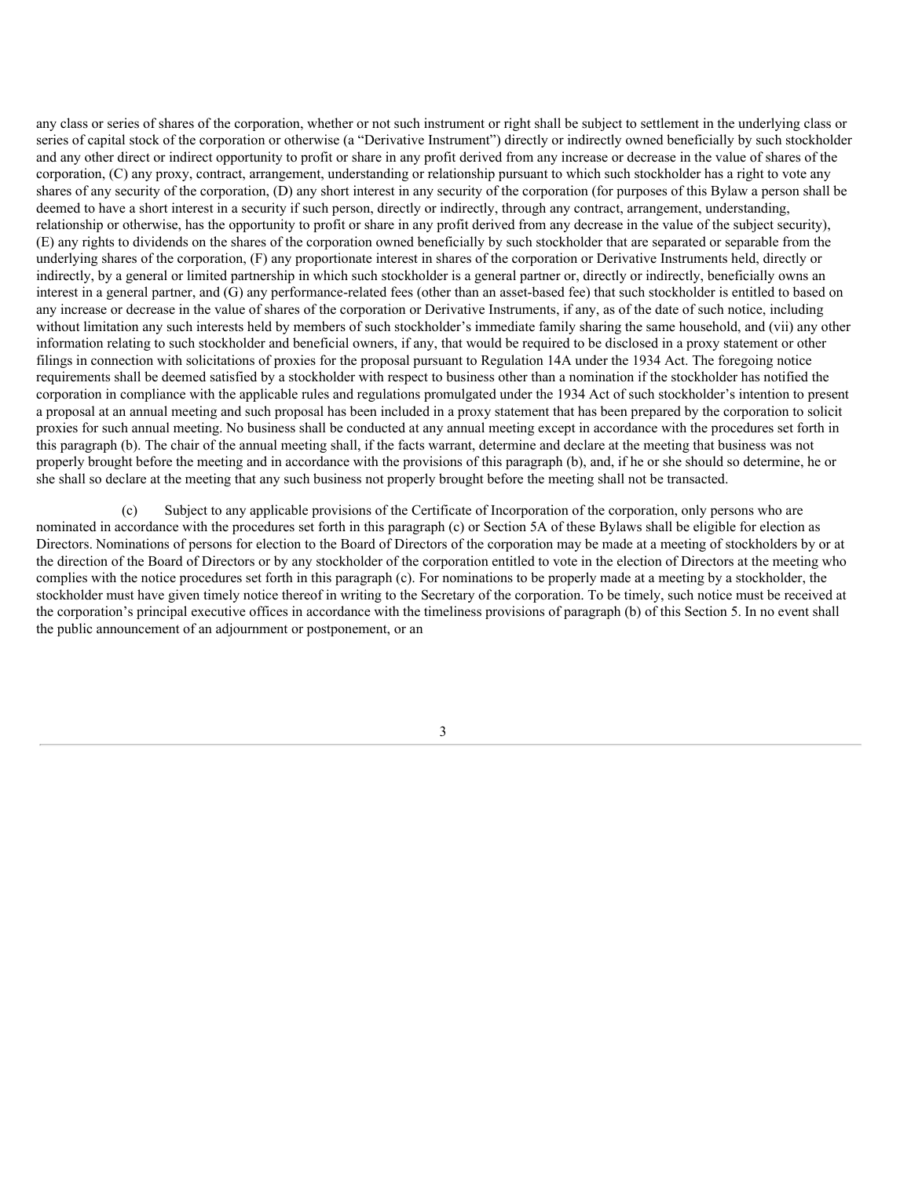any class or series of shares of the corporation, whether or not such instrument or right shall be subject to settlement in the underlying class or series of capital stock of the corporation or otherwise (a "Derivative Instrument") directly or indirectly owned beneficially by such stockholder and any other direct or indirect opportunity to profit or share in any profit derived from any increase or decrease in the value of shares of the corporation, (C) any proxy, contract, arrangement, understanding or relationship pursuant to which such stockholder has a right to vote any shares of any security of the corporation, (D) any short interest in any security of the corporation (for purposes of this Bylaw a person shall be deemed to have a short interest in a security if such person, directly or indirectly, through any contract, arrangement, understanding, relationship or otherwise, has the opportunity to profit or share in any profit derived from any decrease in the value of the subject security), (E) any rights to dividends on the shares of the corporation owned beneficially by such stockholder that are separated or separable from the underlying shares of the corporation, (F) any proportionate interest in shares of the corporation or Derivative Instruments held, directly or indirectly, by a general or limited partnership in which such stockholder is a general partner or, directly or indirectly, beneficially owns an interest in a general partner, and (G) any performance-related fees (other than an asset-based fee) that such stockholder is entitled to based on any increase or decrease in the value of shares of the corporation or Derivative Instruments, if any, as of the date of such notice, including without limitation any such interests held by members of such stockholder's immediate family sharing the same household, and (vii) any other information relating to such stockholder and beneficial owners, if any, that would be required to be disclosed in a proxy statement or other filings in connection with solicitations of proxies for the proposal pursuant to Regulation 14A under the 1934 Act. The foregoing notice requirements shall be deemed satisfied by a stockholder with respect to business other than a nomination if the stockholder has notified the corporation in compliance with the applicable rules and regulations promulgated under the 1934 Act of such stockholder's intention to present a proposal at an annual meeting and such proposal has been included in a proxy statement that has been prepared by the corporation to solicit proxies for such annual meeting. No business shall be conducted at any annual meeting except in accordance with the procedures set forth in this paragraph (b). The chair of the annual meeting shall, if the facts warrant, determine and declare at the meeting that business was not properly brought before the meeting and in accordance with the provisions of this paragraph (b), and, if he or she should so determine, he or she shall so declare at the meeting that any such business not properly brought before the meeting shall not be transacted.

(c) Subject to any applicable provisions of the Certificate of Incorporation of the corporation, only persons who are nominated in accordance with the procedures set forth in this paragraph (c) or Section 5A of these Bylaws shall be eligible for election as Directors. Nominations of persons for election to the Board of Directors of the corporation may be made at a meeting of stockholders by or at the direction of the Board of Directors or by any stockholder of the corporation entitled to vote in the election of Directors at the meeting who complies with the notice procedures set forth in this paragraph (c). For nominations to be properly made at a meeting by a stockholder, the stockholder must have given timely notice thereof in writing to the Secretary of the corporation. To be timely, such notice must be received at the corporation's principal executive offices in accordance with the timeliness provisions of paragraph (b) of this Section 5. In no event shall the public announcement of an adjournment or postponement, or an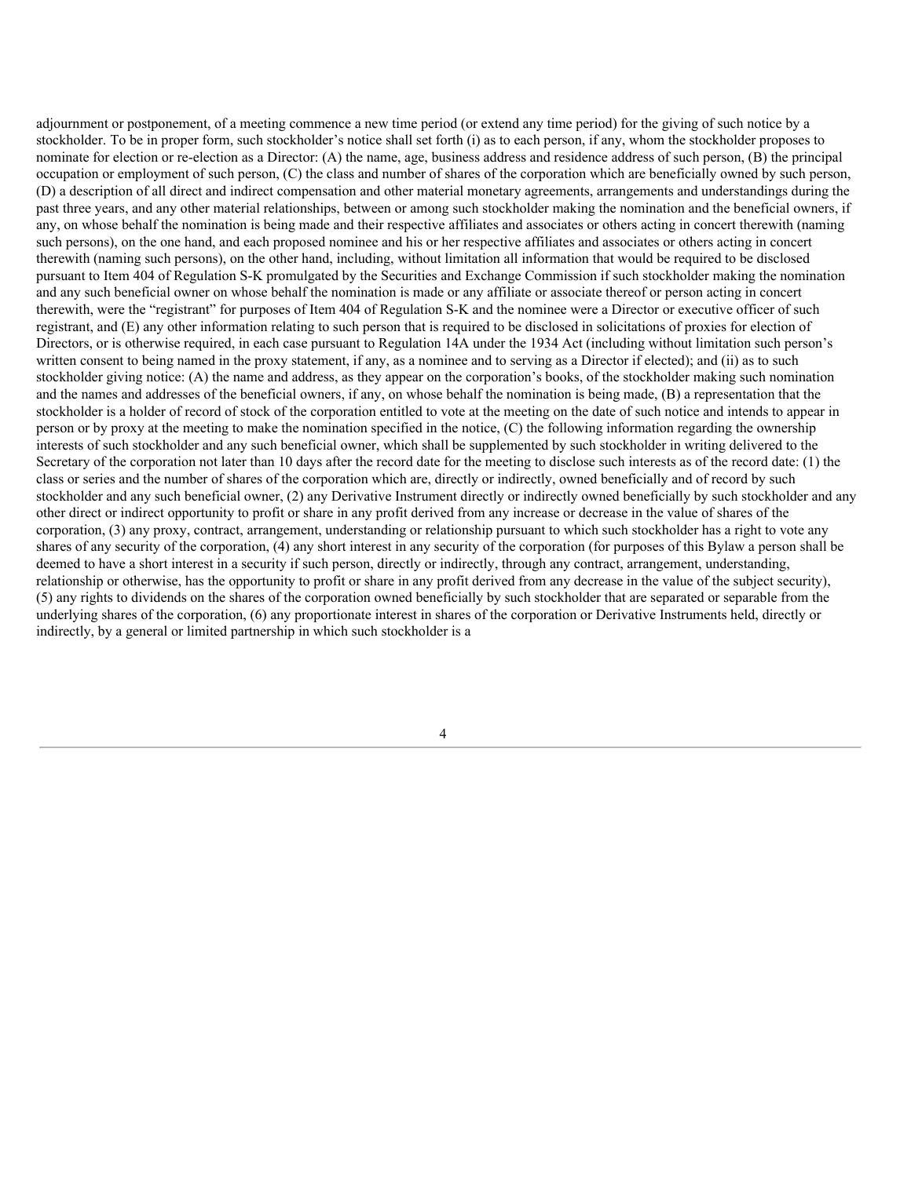adjournment or postponement, of a meeting commence a new time period (or extend any time period) for the giving of such notice by a stockholder. To be in proper form, such stockholder's notice shall set forth (i) as to each person, if any, whom the stockholder proposes to nominate for election or re-election as a Director: (A) the name, age, business address and residence address of such person, (B) the principal occupation or employment of such person, (C) the class and number of shares of the corporation which are beneficially owned by such person, (D) a description of all direct and indirect compensation and other material monetary agreements, arrangements and understandings during the past three years, and any other material relationships, between or among such stockholder making the nomination and the beneficial owners, if any, on whose behalf the nomination is being made and their respective affiliates and associates or others acting in concert therewith (naming such persons), on the one hand, and each proposed nominee and his or her respective affiliates and associates or others acting in concert therewith (naming such persons), on the other hand, including, without limitation all information that would be required to be disclosed pursuant to Item 404 of Regulation S-K promulgated by the Securities and Exchange Commission if such stockholder making the nomination and any such beneficial owner on whose behalf the nomination is made or any affiliate or associate thereof or person acting in concert therewith, were the "registrant" for purposes of Item 404 of Regulation S-K and the nominee were a Director or executive officer of such registrant, and (E) any other information relating to such person that is required to be disclosed in solicitations of proxies for election of Directors, or is otherwise required, in each case pursuant to Regulation 14A under the 1934 Act (including without limitation such person's written consent to being named in the proxy statement, if any, as a nominee and to serving as a Director if elected); and (ii) as to such stockholder giving notice: (A) the name and address, as they appear on the corporation's books, of the stockholder making such nomination and the names and addresses of the beneficial owners, if any, on whose behalf the nomination is being made, (B) a representation that the stockholder is a holder of record of stock of the corporation entitled to vote at the meeting on the date of such notice and intends to appear in person or by proxy at the meeting to make the nomination specified in the notice, (C) the following information regarding the ownership interests of such stockholder and any such beneficial owner, which shall be supplemented by such stockholder in writing delivered to the Secretary of the corporation not later than 10 days after the record date for the meeting to disclose such interests as of the record date: (1) the class or series and the number of shares of the corporation which are, directly or indirectly, owned beneficially and of record by such stockholder and any such beneficial owner, (2) any Derivative Instrument directly or indirectly owned beneficially by such stockholder and any other direct or indirect opportunity to profit or share in any profit derived from any increase or decrease in the value of shares of the corporation, (3) any proxy, contract, arrangement, understanding or relationship pursuant to which such stockholder has a right to vote any shares of any security of the corporation, (4) any short interest in any security of the corporation (for purposes of this Bylaw a person shall be deemed to have a short interest in a security if such person, directly or indirectly, through any contract, arrangement, understanding, relationship or otherwise, has the opportunity to profit or share in any profit derived from any decrease in the value of the subject security), (5) any rights to dividends on the shares of the corporation owned beneficially by such stockholder that are separated or separable from the underlying shares of the corporation, (6) any proportionate interest in shares of the corporation or Derivative Instruments held, directly or indirectly, by a general or limited partnership in which such stockholder is a

<sup>4</sup>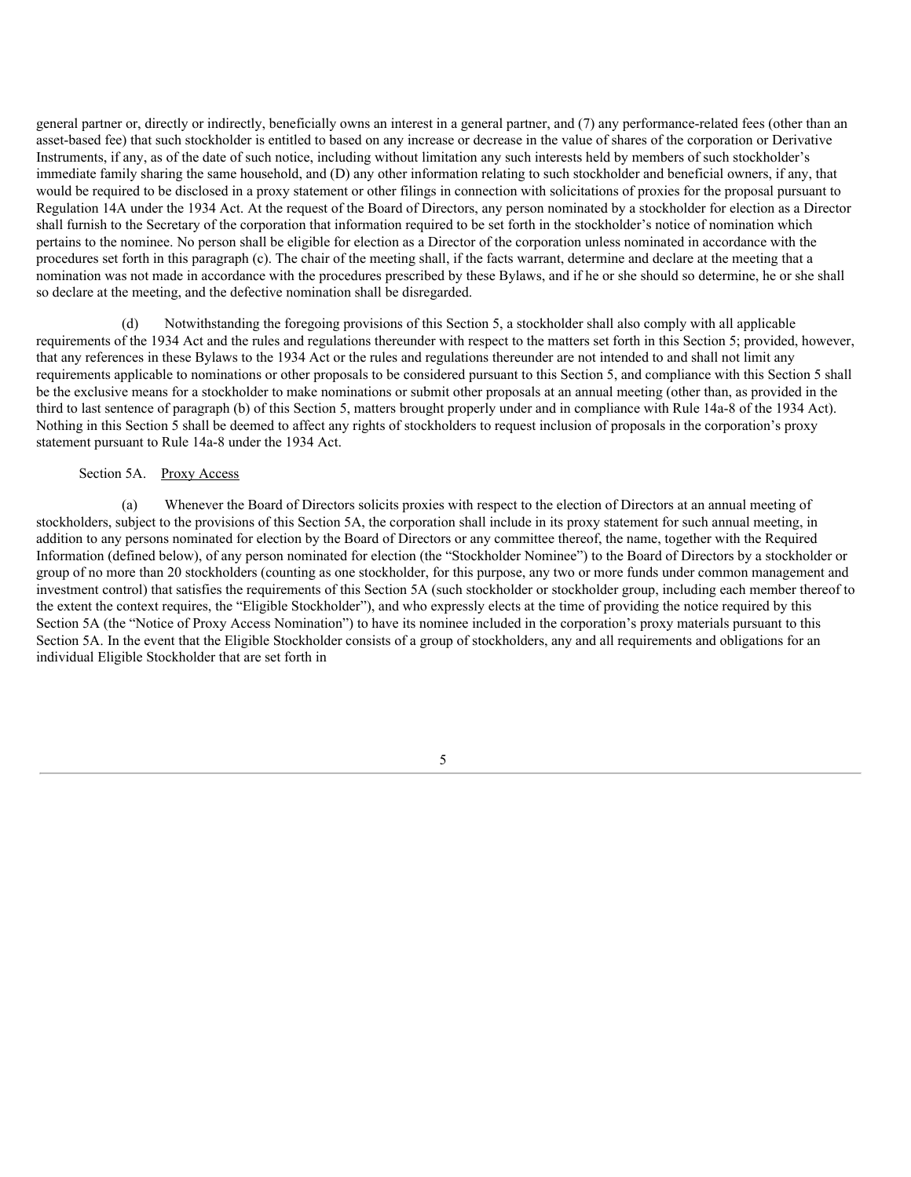general partner or, directly or indirectly, beneficially owns an interest in a general partner, and (7) any performance-related fees (other than an asset-based fee) that such stockholder is entitled to based on any increase or decrease in the value of shares of the corporation or Derivative Instruments, if any, as of the date of such notice, including without limitation any such interests held by members of such stockholder's immediate family sharing the same household, and (D) any other information relating to such stockholder and beneficial owners, if any, that would be required to be disclosed in a proxy statement or other filings in connection with solicitations of proxies for the proposal pursuant to Regulation 14A under the 1934 Act. At the request of the Board of Directors, any person nominated by a stockholder for election as a Director shall furnish to the Secretary of the corporation that information required to be set forth in the stockholder's notice of nomination which pertains to the nominee. No person shall be eligible for election as a Director of the corporation unless nominated in accordance with the procedures set forth in this paragraph (c). The chair of the meeting shall, if the facts warrant, determine and declare at the meeting that a nomination was not made in accordance with the procedures prescribed by these Bylaws, and if he or she should so determine, he or she shall so declare at the meeting, and the defective nomination shall be disregarded.

(d) Notwithstanding the foregoing provisions of this Section 5, a stockholder shall also comply with all applicable requirements of the 1934 Act and the rules and regulations thereunder with respect to the matters set forth in this Section 5; provided, however, that any references in these Bylaws to the 1934 Act or the rules and regulations thereunder are not intended to and shall not limit any requirements applicable to nominations or other proposals to be considered pursuant to this Section 5, and compliance with this Section 5 shall be the exclusive means for a stockholder to make nominations or submit other proposals at an annual meeting (other than, as provided in the third to last sentence of paragraph (b) of this Section 5, matters brought properly under and in compliance with Rule 14a-8 of the 1934 Act). Nothing in this Section 5 shall be deemed to affect any rights of stockholders to request inclusion of proposals in the corporation's proxy statement pursuant to Rule 14a-8 under the 1934 Act.

#### Section 5A. Proxy Access

(a) Whenever the Board of Directors solicits proxies with respect to the election of Directors at an annual meeting of stockholders, subject to the provisions of this Section 5A, the corporation shall include in its proxy statement for such annual meeting, in addition to any persons nominated for election by the Board of Directors or any committee thereof, the name, together with the Required Information (defined below), of any person nominated for election (the "Stockholder Nominee") to the Board of Directors by a stockholder or group of no more than 20 stockholders (counting as one stockholder, for this purpose, any two or more funds under common management and investment control) that satisfies the requirements of this Section 5A (such stockholder or stockholder group, including each member thereof to the extent the context requires, the "Eligible Stockholder"), and who expressly elects at the time of providing the notice required by this Section 5A (the "Notice of Proxy Access Nomination") to have its nominee included in the corporation's proxy materials pursuant to this Section 5A. In the event that the Eligible Stockholder consists of a group of stockholders, any and all requirements and obligations for an individual Eligible Stockholder that are set forth in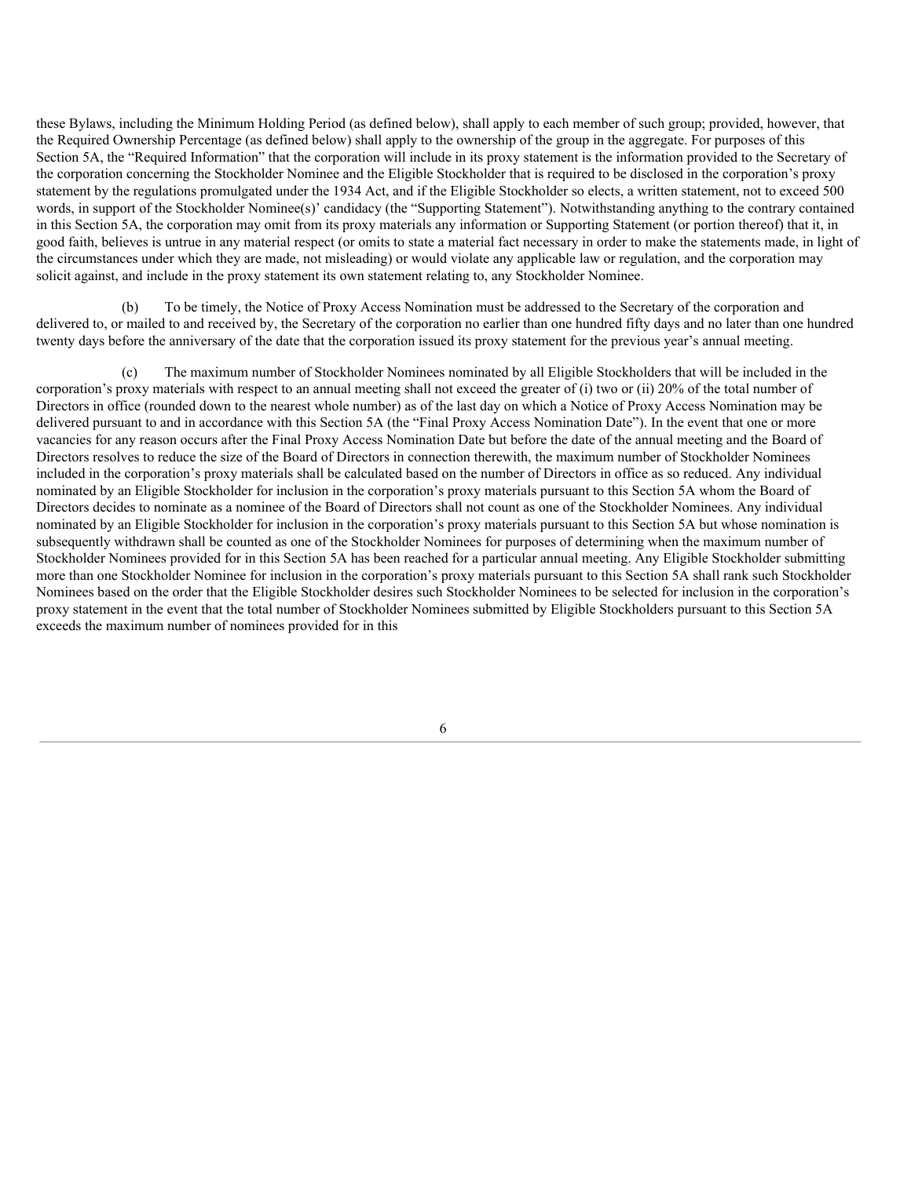these Bylaws, including the Minimum Holding Period (as defined below), shall apply to each member of such group; provided, however, that the Required Ownership Percentage (as defined below) shall apply to the ownership of the group in the aggregate. For purposes of this Section 5A, the "Required Information" that the corporation will include in its proxy statement is the information provided to the Secretary of the corporation concerning the Stockholder Nominee and the Eligible Stockholder that is required to be disclosed in the corporation's proxy statement by the regulations promulgated under the 1934 Act, and if the Eligible Stockholder so elects, a written statement, not to exceed 500 words, in support of the Stockholder Nominee(s)' candidacy (the "Supporting Statement"). Notwithstanding anything to the contrary contained in this Section 5A, the corporation may omit from its proxy materials any information or Supporting Statement (or portion thereof) that it, in good faith, believes is untrue in any material respect (or omits to state a material fact necessary in order to make the statements made, in light of the circumstances under which they are made, not misleading) or would violate any applicable law or regulation, and the corporation may solicit against, and include in the proxy statement its own statement relating to, any Stockholder Nominee.

To be timely, the Notice of Proxy Access Nomination must be addressed to the Secretary of the corporation and delivered to, or mailed to and received by, the Secretary of the corporation no earlier than one hundred fifty days and no later than one hundred twenty days before the anniversary of the date that the corporation issued its proxy statement for the previous year's annual meeting.

The maximum number of Stockholder Nominees nominated by all Eligible Stockholders that will be included in the corporation's proxy materials with respect to an annual meeting shall not exceed the greater of (i) two or (ii) 20% of the total number of Directors in office (rounded down to the nearest whole number) as of the last day on which a Notice of Proxy Access Nomination may be delivered pursuant to and in accordance with this Section 5A (the "Final Proxy Access Nomination Date"). In the event that one or more vacancies for any reason occurs after the Final Proxy Access Nomination Date but before the date of the annual meeting and the Board of Directors resolves to reduce the size of the Board of Directors in connection therewith, the maximum number of Stockholder Nominees included in the corporation's proxy materials shall be calculated based on the number of Directors in office as so reduced. Any individual nominated by an Eligible Stockholder for inclusion in the corporation's proxy materials pursuant to this Section 5A whom the Board of Directors decides to nominate as a nominee of the Board of Directors shall not count as one of the Stockholder Nominees. Any individual nominated by an Eligible Stockholder for inclusion in the corporation's proxy materials pursuant to this Section 5A but whose nomination is subsequently withdrawn shall be counted as one of the Stockholder Nominees for purposes of determining when the maximum number of Stockholder Nominees provided for in this Section 5A has been reached for a particular annual meeting. Any Eligible Stockholder submitting more than one Stockholder Nominee for inclusion in the corporation's proxy materials pursuant to this Section 5A shall rank such Stockholder Nominees based on the order that the Eligible Stockholder desires such Stockholder Nominees to be selected for inclusion in the corporation's proxy statement in the event that the total number of Stockholder Nominees submitted by Eligible Stockholders pursuant to this Section 5A exceeds the maximum number of nominees provided for in this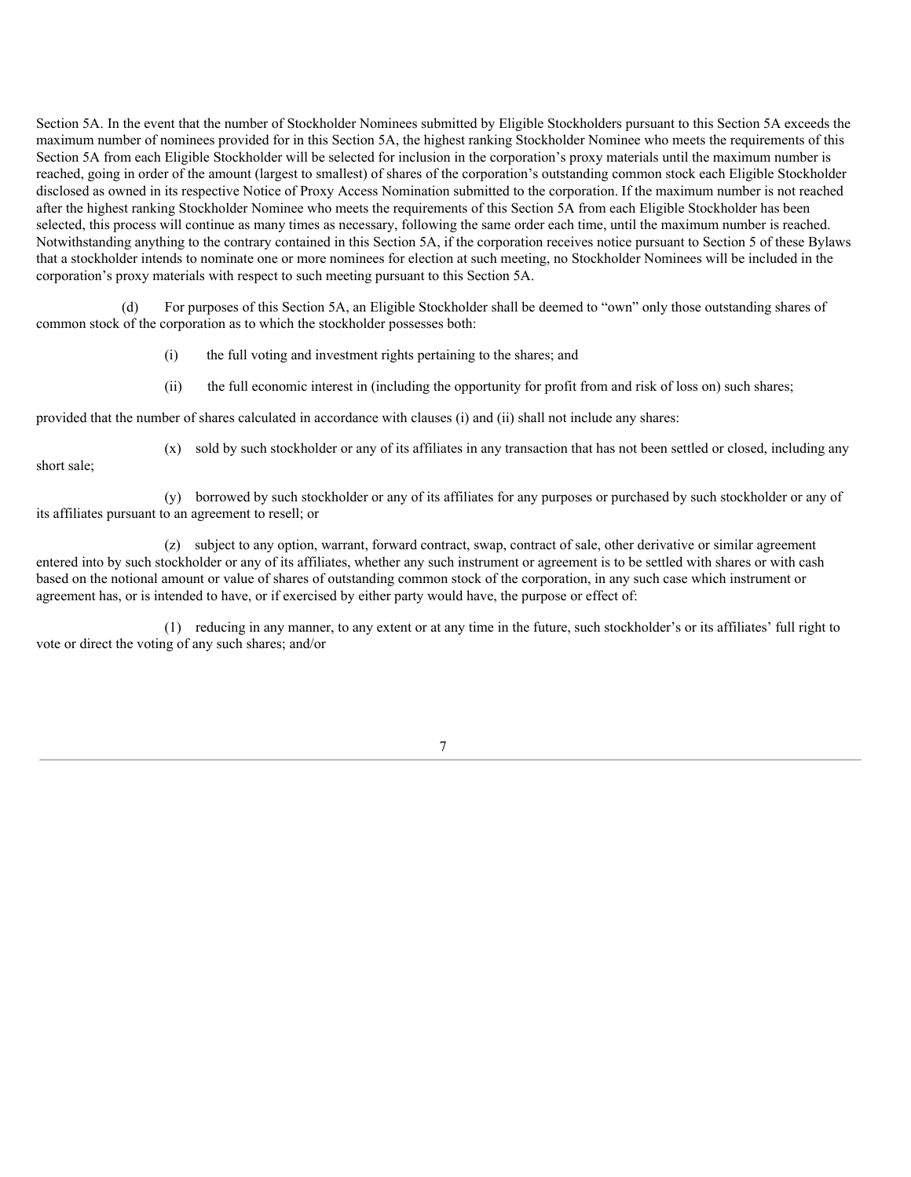Section 5A. In the event that the number of Stockholder Nominees submitted by Eligible Stockholders pursuant to this Section 5A exceeds the maximum number of nominees provided for in this Section 5A, the highest ranking Stockholder Nominee who meets the requirements of this Section 5A from each Eligible Stockholder will be selected for inclusion in the corporation's proxy materials until the maximum number is reached, going in order of the amount (largest to smallest) of shares of the corporation's outstanding common stock each Eligible Stockholder disclosed as owned in its respective Notice of Proxy Access Nomination submitted to the corporation. If the maximum number is not reached after the highest ranking Stockholder Nominee who meets the requirements of this Section 5A from each Eligible Stockholder has been selected, this process will continue as many times as necessary, following the same order each time, until the maximum number is reached. Notwithstanding anything to the contrary contained in this Section 5A, if the corporation receives notice pursuant to Section 5 of these Bylaws that a stockholder intends to nominate one or more nominees for election at such meeting, no Stockholder Nominees will be included in the corporation's proxy materials with respect to such meeting pursuant to this Section 5A.

For purposes of this Section 5A, an Eligible Stockholder shall be deemed to "own" only those outstanding shares of common stock of the corporation as to which the stockholder possesses both:

(i) the full voting and investment rights pertaining to the shares; and

(ii) the full economic interest in (including the opportunity for profit from and risk of loss on) such shares;

provided that the number of shares calculated in accordance with clauses (i) and (ii) shall not include any shares:

short sale;

(x) sold by such stockholder or any of its affiliates in any transaction that has not been settled or closed, including any

(y) borrowed by such stockholder or any of its affiliates for any purposes or purchased by such stockholder or any of its affiliates pursuant to an agreement to resell; or

(z) subject to any option, warrant, forward contract, swap, contract of sale, other derivative or similar agreement entered into by such stockholder or any of its affiliates, whether any such instrument or agreement is to be settled with shares or with cash based on the notional amount or value of shares of outstanding common stock of the corporation, in any such case which instrument or agreement has, or is intended to have, or if exercised by either party would have, the purpose or effect of:

(1) reducing in any manner, to any extent or at any time in the future, such stockholder's or its affiliates' full right to vote or direct the voting of any such shares; and/or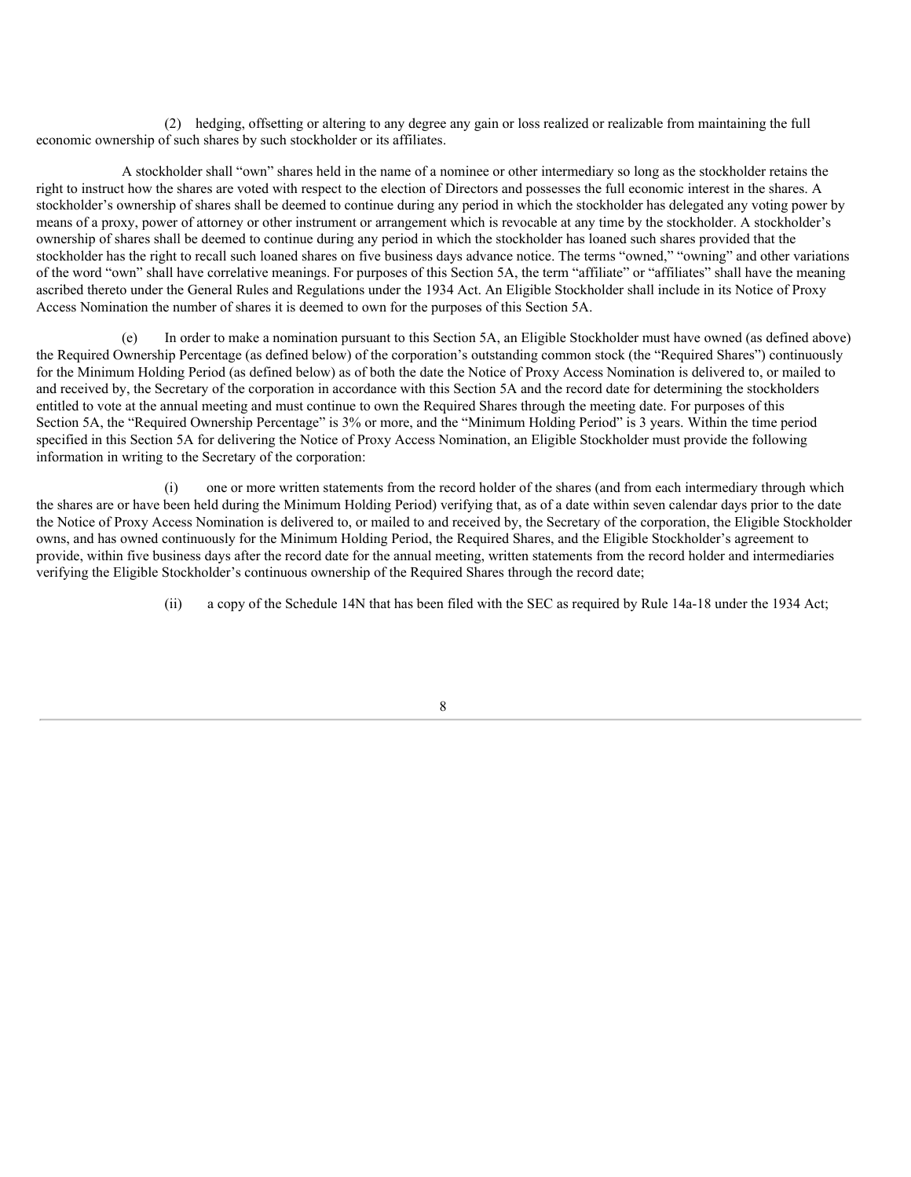(2) hedging, offsetting or altering to any degree any gain or loss realized or realizable from maintaining the full economic ownership of such shares by such stockholder or its affiliates.

A stockholder shall "own" shares held in the name of a nominee or other intermediary so long as the stockholder retains the right to instruct how the shares are voted with respect to the election of Directors and possesses the full economic interest in the shares. A stockholder's ownership of shares shall be deemed to continue during any period in which the stockholder has delegated any voting power by means of a proxy, power of attorney or other instrument or arrangement which is revocable at any time by the stockholder. A stockholder's ownership of shares shall be deemed to continue during any period in which the stockholder has loaned such shares provided that the stockholder has the right to recall such loaned shares on five business days advance notice. The terms "owned," "owning" and other variations of the word "own" shall have correlative meanings. For purposes of this Section 5A, the term "affiliate" or "affiliates" shall have the meaning ascribed thereto under the General Rules and Regulations under the 1934 Act. An Eligible Stockholder shall include in its Notice of Proxy Access Nomination the number of shares it is deemed to own for the purposes of this Section 5A.

(e) In order to make a nomination pursuant to this Section 5A, an Eligible Stockholder must have owned (as defined above) the Required Ownership Percentage (as defined below) of the corporation's outstanding common stock (the "Required Shares") continuously for the Minimum Holding Period (as defined below) as of both the date the Notice of Proxy Access Nomination is delivered to, or mailed to and received by, the Secretary of the corporation in accordance with this Section 5A and the record date for determining the stockholders entitled to vote at the annual meeting and must continue to own the Required Shares through the meeting date. For purposes of this Section 5A, the "Required Ownership Percentage" is 3% or more, and the "Minimum Holding Period" is 3 years. Within the time period specified in this Section 5A for delivering the Notice of Proxy Access Nomination, an Eligible Stockholder must provide the following information in writing to the Secretary of the corporation:

(i) one or more written statements from the record holder of the shares (and from each intermediary through which the shares are or have been held during the Minimum Holding Period) verifying that, as of a date within seven calendar days prior to the date the Notice of Proxy Access Nomination is delivered to, or mailed to and received by, the Secretary of the corporation, the Eligible Stockholder owns, and has owned continuously for the Minimum Holding Period, the Required Shares, and the Eligible Stockholder's agreement to provide, within five business days after the record date for the annual meeting, written statements from the record holder and intermediaries verifying the Eligible Stockholder's continuous ownership of the Required Shares through the record date;

(ii) a copy of the Schedule 14N that has been filed with the SEC as required by Rule 14a-18 under the 1934 Act;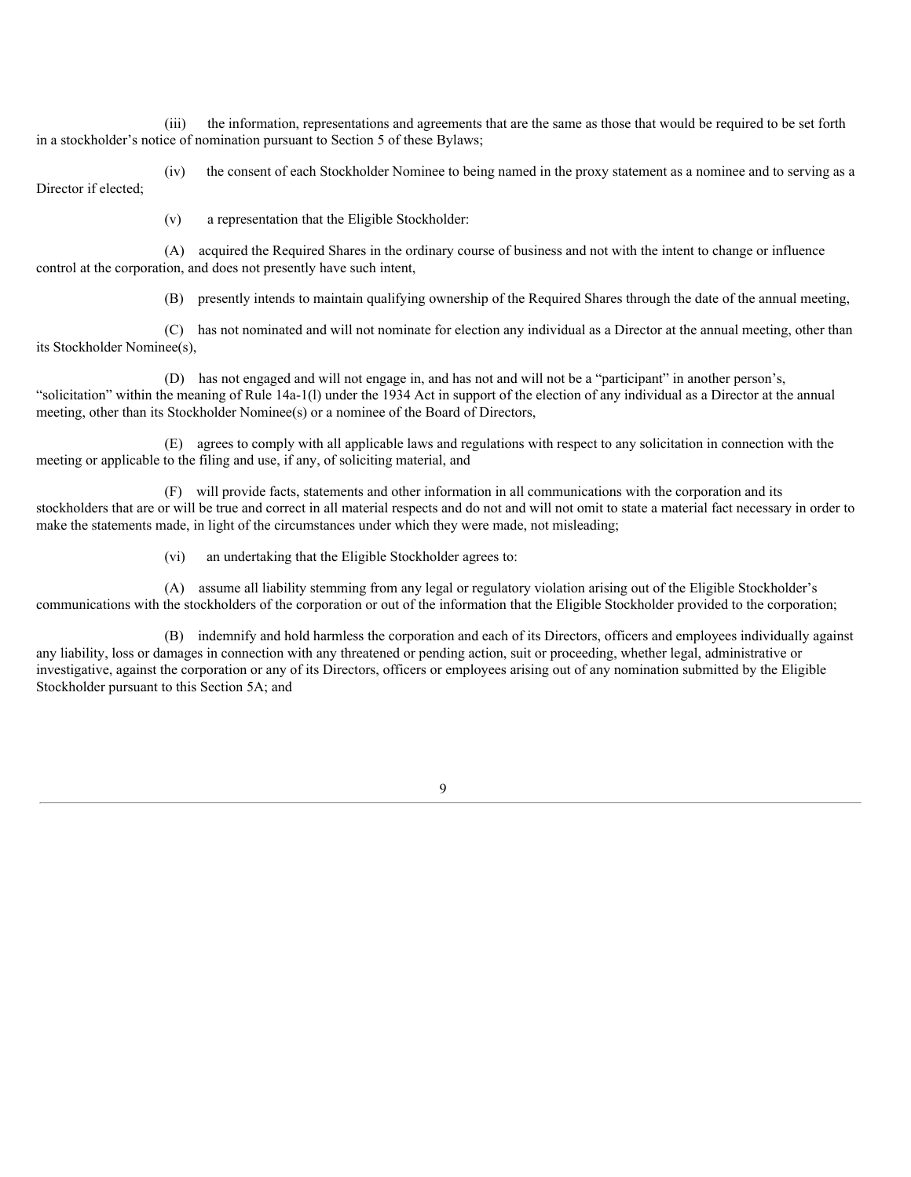(iii) the information, representations and agreements that are the same as those that would be required to be set forth in a stockholder's notice of nomination pursuant to Section 5 of these Bylaws;

(iv) the consent of each Stockholder Nominee to being named in the proxy statement as a nominee and to serving as a Director if elected;

(v) a representation that the Eligible Stockholder:

(A) acquired the Required Shares in the ordinary course of business and not with the intent to change or influence control at the corporation, and does not presently have such intent,

(B) presently intends to maintain qualifying ownership of the Required Shares through the date of the annual meeting,

(C) has not nominated and will not nominate for election any individual as a Director at the annual meeting, other than its Stockholder Nominee(s),

(D) has not engaged and will not engage in, and has not and will not be a "participant" in another person's, "solicitation" within the meaning of Rule 14a-1(l) under the 1934 Act in support of the election of any individual as a Director at the annual meeting, other than its Stockholder Nominee(s) or a nominee of the Board of Directors,

(E) agrees to comply with all applicable laws and regulations with respect to any solicitation in connection with the meeting or applicable to the filing and use, if any, of soliciting material, and

(F) will provide facts, statements and other information in all communications with the corporation and its stockholders that are or will be true and correct in all material respects and do not and will not omit to state a material fact necessary in order to make the statements made, in light of the circumstances under which they were made, not misleading;

(vi) an undertaking that the Eligible Stockholder agrees to:

(A) assume all liability stemming from any legal or regulatory violation arising out of the Eligible Stockholder's communications with the stockholders of the corporation or out of the information that the Eligible Stockholder provided to the corporation;

(B) indemnify and hold harmless the corporation and each of its Directors, officers and employees individually against any liability, loss or damages in connection with any threatened or pending action, suit or proceeding, whether legal, administrative or investigative, against the corporation or any of its Directors, officers or employees arising out of any nomination submitted by the Eligible Stockholder pursuant to this Section 5A; and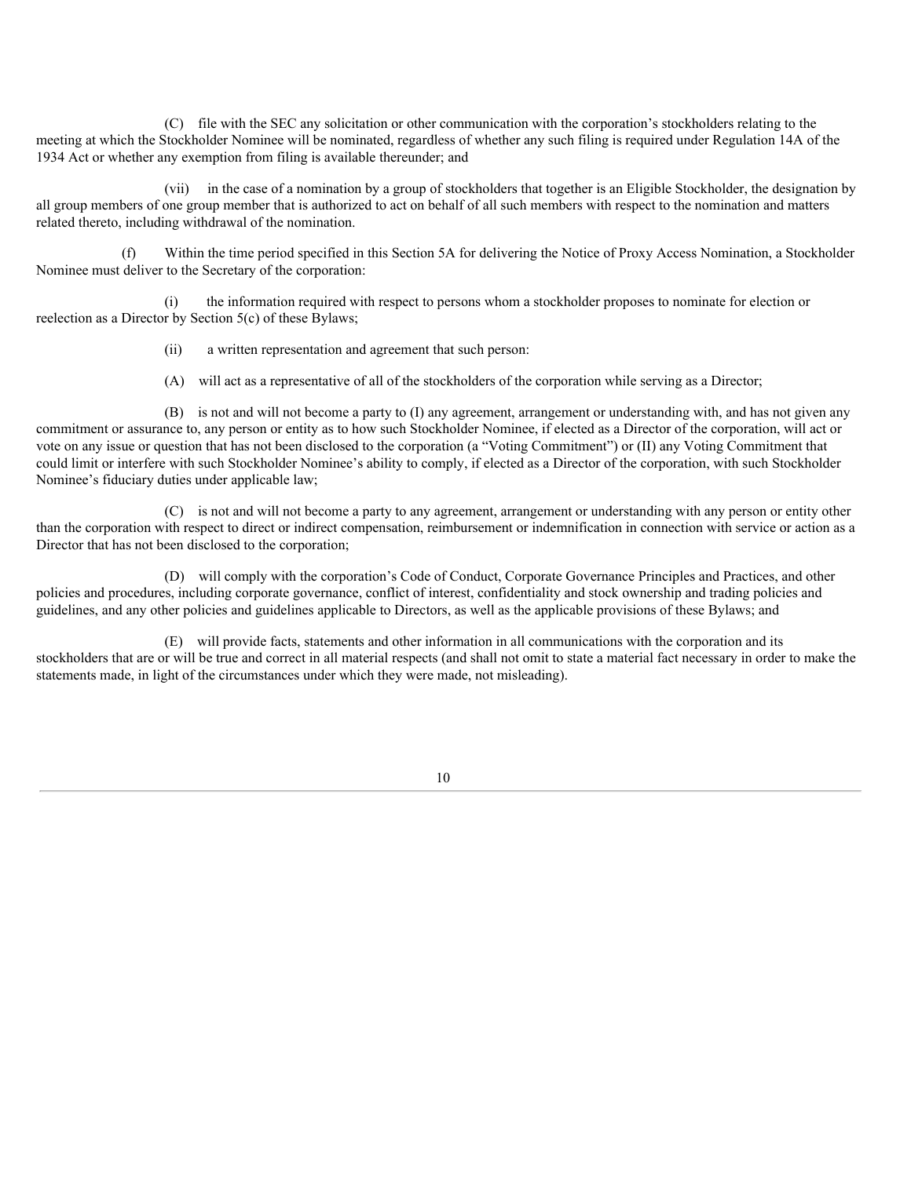(C) file with the SEC any solicitation or other communication with the corporation's stockholders relating to the meeting at which the Stockholder Nominee will be nominated, regardless of whether any such filing is required under Regulation 14A of the 1934 Act or whether any exemption from filing is available thereunder; and

(vii) in the case of a nomination by a group of stockholders that together is an Eligible Stockholder, the designation by all group members of one group member that is authorized to act on behalf of all such members with respect to the nomination and matters related thereto, including withdrawal of the nomination.

(f) Within the time period specified in this Section 5A for delivering the Notice of Proxy Access Nomination, a Stockholder Nominee must deliver to the Secretary of the corporation:

(i) the information required with respect to persons whom a stockholder proposes to nominate for election or reelection as a Director by Section 5(c) of these Bylaws;

(ii) a written representation and agreement that such person:

(A) will act as a representative of all of the stockholders of the corporation while serving as a Director;

(B) is not and will not become a party to (I) any agreement, arrangement or understanding with, and has not given any commitment or assurance to, any person or entity as to how such Stockholder Nominee, if elected as a Director of the corporation, will act or vote on any issue or question that has not been disclosed to the corporation (a "Voting Commitment") or (II) any Voting Commitment that could limit or interfere with such Stockholder Nominee's ability to comply, if elected as a Director of the corporation, with such Stockholder Nominee's fiduciary duties under applicable law;

(C) is not and will not become a party to any agreement, arrangement or understanding with any person or entity other than the corporation with respect to direct or indirect compensation, reimbursement or indemnification in connection with service or action as a Director that has not been disclosed to the corporation;

(D) will comply with the corporation's Code of Conduct, Corporate Governance Principles and Practices, and other policies and procedures, including corporate governance, conflict of interest, confidentiality and stock ownership and trading policies and guidelines, and any other policies and guidelines applicable to Directors, as well as the applicable provisions of these Bylaws; and

(E) will provide facts, statements and other information in all communications with the corporation and its stockholders that are or will be true and correct in all material respects (and shall not omit to state a material fact necessary in order to make the statements made, in light of the circumstances under which they were made, not misleading).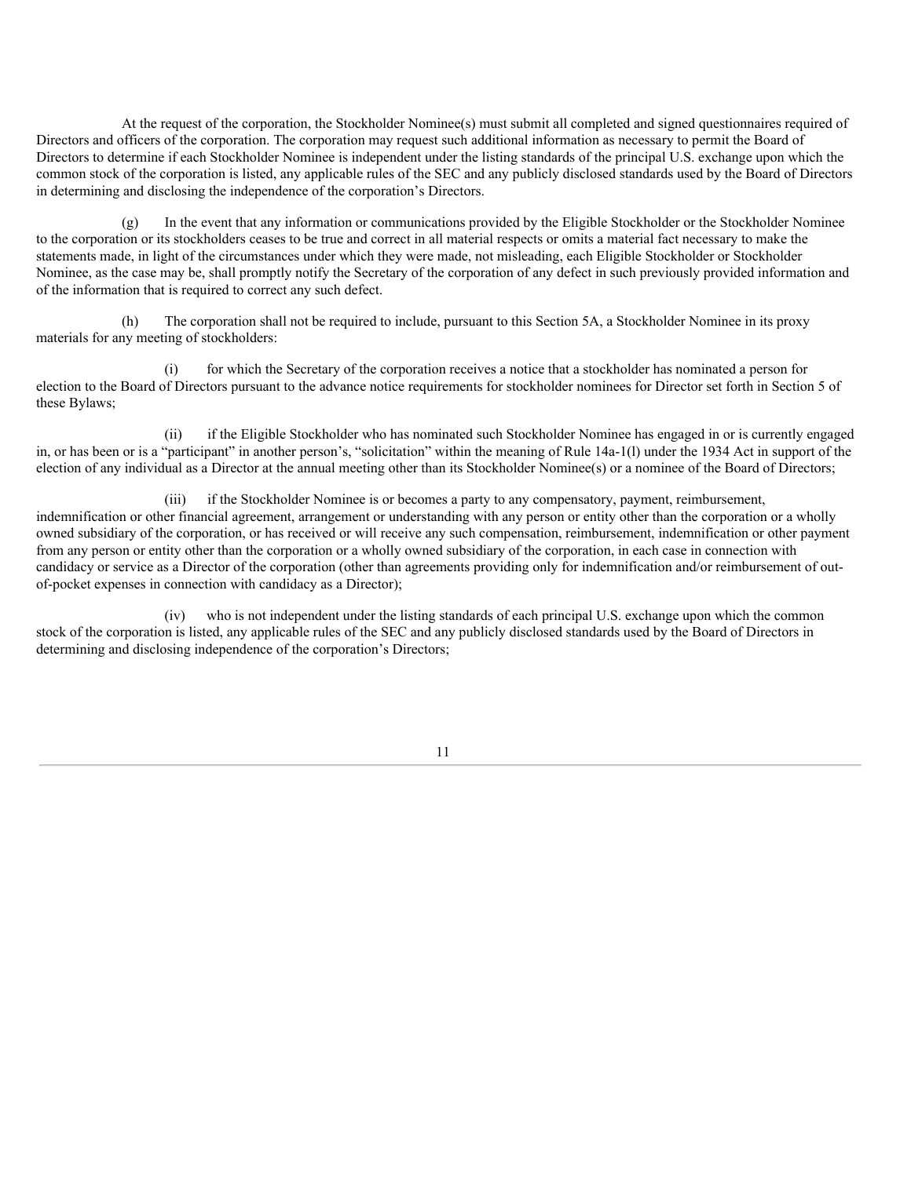At the request of the corporation, the Stockholder Nominee(s) must submit all completed and signed questionnaires required of Directors and officers of the corporation. The corporation may request such additional information as necessary to permit the Board of Directors to determine if each Stockholder Nominee is independent under the listing standards of the principal U.S. exchange upon which the common stock of the corporation is listed, any applicable rules of the SEC and any publicly disclosed standards used by the Board of Directors in determining and disclosing the independence of the corporation's Directors.

(g) In the event that any information or communications provided by the Eligible Stockholder or the Stockholder Nominee to the corporation or its stockholders ceases to be true and correct in all material respects or omits a material fact necessary to make the statements made, in light of the circumstances under which they were made, not misleading, each Eligible Stockholder or Stockholder Nominee, as the case may be, shall promptly notify the Secretary of the corporation of any defect in such previously provided information and of the information that is required to correct any such defect.

(h) The corporation shall not be required to include, pursuant to this Section 5A, a Stockholder Nominee in its proxy materials for any meeting of stockholders:

(i) for which the Secretary of the corporation receives a notice that a stockholder has nominated a person for election to the Board of Directors pursuant to the advance notice requirements for stockholder nominees for Director set forth in Section 5 of these Bylaws;

(ii) if the Eligible Stockholder who has nominated such Stockholder Nominee has engaged in or is currently engaged in, or has been or is a "participant" in another person's, "solicitation" within the meaning of Rule 14a-1(l) under the 1934 Act in support of the election of any individual as a Director at the annual meeting other than its Stockholder Nominee(s) or a nominee of the Board of Directors;

(iii) if the Stockholder Nominee is or becomes a party to any compensatory, payment, reimbursement, indemnification or other financial agreement, arrangement or understanding with any person or entity other than the corporation or a wholly owned subsidiary of the corporation, or has received or will receive any such compensation, reimbursement, indemnification or other payment from any person or entity other than the corporation or a wholly owned subsidiary of the corporation, in each case in connection with candidacy or service as a Director of the corporation (other than agreements providing only for indemnification and/or reimbursement of outof-pocket expenses in connection with candidacy as a Director);

(iv) who is not independent under the listing standards of each principal U.S. exchange upon which the common stock of the corporation is listed, any applicable rules of the SEC and any publicly disclosed standards used by the Board of Directors in determining and disclosing independence of the corporation's Directors;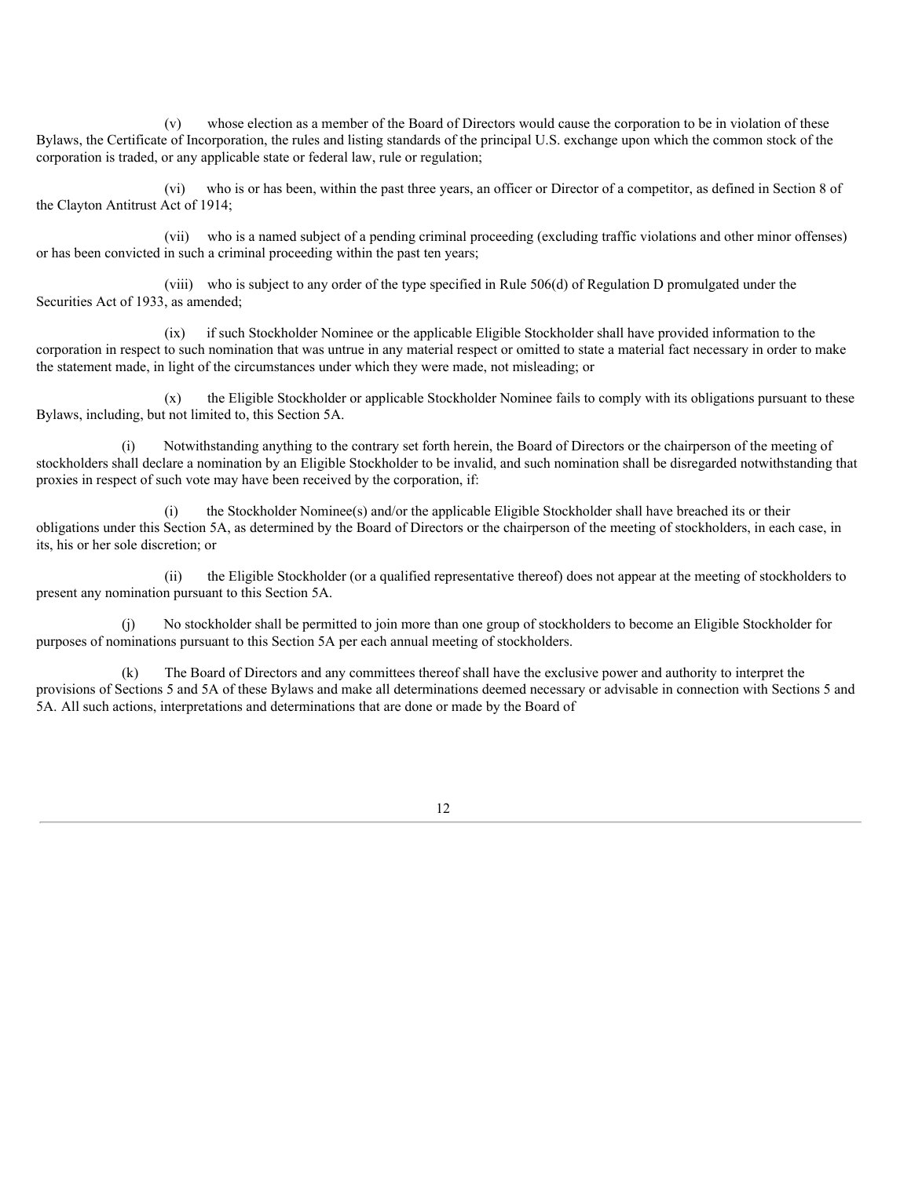(v) whose election as a member of the Board of Directors would cause the corporation to be in violation of these Bylaws, the Certificate of Incorporation, the rules and listing standards of the principal U.S. exchange upon which the common stock of the corporation is traded, or any applicable state or federal law, rule or regulation;

(vi) who is or has been, within the past three years, an officer or Director of a competitor, as defined in Section 8 of the Clayton Antitrust Act of 1914;

(vii) who is a named subject of a pending criminal proceeding (excluding traffic violations and other minor offenses) or has been convicted in such a criminal proceeding within the past ten years;

(viii) who is subject to any order of the type specified in Rule 506(d) of Regulation D promulgated under the Securities Act of 1933, as amended;

(ix) if such Stockholder Nominee or the applicable Eligible Stockholder shall have provided information to the corporation in respect to such nomination that was untrue in any material respect or omitted to state a material fact necessary in order to make the statement made, in light of the circumstances under which they were made, not misleading; or

(x) the Eligible Stockholder or applicable Stockholder Nominee fails to comply with its obligations pursuant to these Bylaws, including, but not limited to, this Section 5A.

(i) Notwithstanding anything to the contrary set forth herein, the Board of Directors or the chairperson of the meeting of stockholders shall declare a nomination by an Eligible Stockholder to be invalid, and such nomination shall be disregarded notwithstanding that proxies in respect of such vote may have been received by the corporation, if:

(i) the Stockholder Nominee(s) and/or the applicable Eligible Stockholder shall have breached its or their obligations under this Section 5A, as determined by the Board of Directors or the chairperson of the meeting of stockholders, in each case, in its, his or her sole discretion; or

(ii) the Eligible Stockholder (or a qualified representative thereof) does not appear at the meeting of stockholders to present any nomination pursuant to this Section 5A.

(j) No stockholder shall be permitted to join more than one group of stockholders to become an Eligible Stockholder for purposes of nominations pursuant to this Section 5A per each annual meeting of stockholders.

(k) The Board of Directors and any committees thereof shall have the exclusive power and authority to interpret the provisions of Sections 5 and 5A of these Bylaws and make all determinations deemed necessary or advisable in connection with Sections 5 and 5A. All such actions, interpretations and determinations that are done or made by the Board of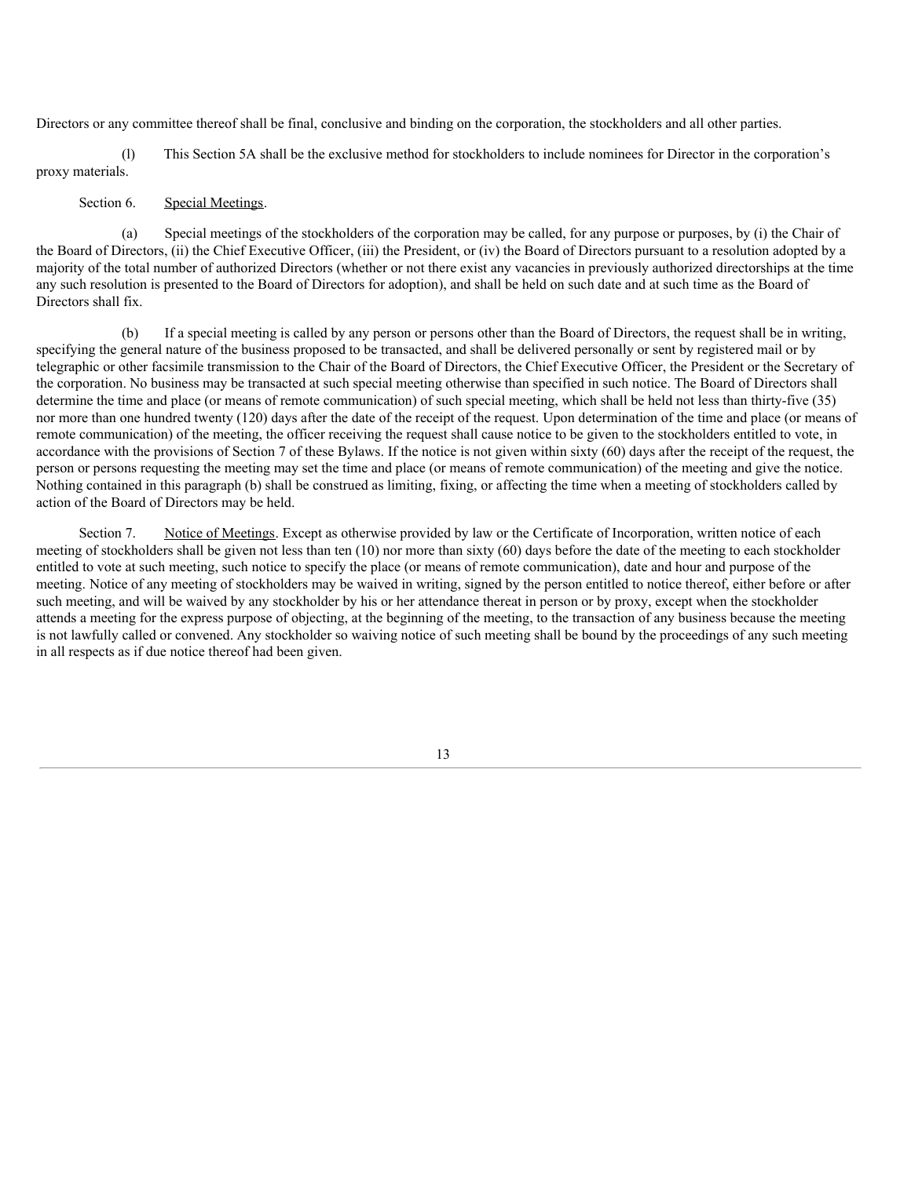Directors or any committee thereof shall be final, conclusive and binding on the corporation, the stockholders and all other parties.

(l) This Section 5A shall be the exclusive method for stockholders to include nominees for Director in the corporation's proxy materials.

## Section 6. Special Meetings.

(a) Special meetings of the stockholders of the corporation may be called, for any purpose or purposes, by (i) the Chair of the Board of Directors, (ii) the Chief Executive Officer, (iii) the President, or (iv) the Board of Directors pursuant to a resolution adopted by a majority of the total number of authorized Directors (whether or not there exist any vacancies in previously authorized directorships at the time any such resolution is presented to the Board of Directors for adoption), and shall be held on such date and at such time as the Board of Directors shall fix.

(b) If a special meeting is called by any person or persons other than the Board of Directors, the request shall be in writing, specifying the general nature of the business proposed to be transacted, and shall be delivered personally or sent by registered mail or by telegraphic or other facsimile transmission to the Chair of the Board of Directors, the Chief Executive Officer, the President or the Secretary of the corporation. No business may be transacted at such special meeting otherwise than specified in such notice. The Board of Directors shall determine the time and place (or means of remote communication) of such special meeting, which shall be held not less than thirty-five (35) nor more than one hundred twenty (120) days after the date of the receipt of the request. Upon determination of the time and place (or means of remote communication) of the meeting, the officer receiving the request shall cause notice to be given to the stockholders entitled to vote, in accordance with the provisions of Section 7 of these Bylaws. If the notice is not given within sixty (60) days after the receipt of the request, the person or persons requesting the meeting may set the time and place (or means of remote communication) of the meeting and give the notice. Nothing contained in this paragraph (b) shall be construed as limiting, fixing, or affecting the time when a meeting of stockholders called by action of the Board of Directors may be held.

Section 7. Notice of Meetings. Except as otherwise provided by law or the Certificate of Incorporation, written notice of each meeting of stockholders shall be given not less than ten (10) nor more than sixty (60) days before the date of the meeting to each stockholder entitled to vote at such meeting, such notice to specify the place (or means of remote communication), date and hour and purpose of the meeting. Notice of any meeting of stockholders may be waived in writing, signed by the person entitled to notice thereof, either before or after such meeting, and will be waived by any stockholder by his or her attendance thereat in person or by proxy, except when the stockholder attends a meeting for the express purpose of objecting, at the beginning of the meeting, to the transaction of any business because the meeting is not lawfully called or convened. Any stockholder so waiving notice of such meeting shall be bound by the proceedings of any such meeting in all respects as if due notice thereof had been given.

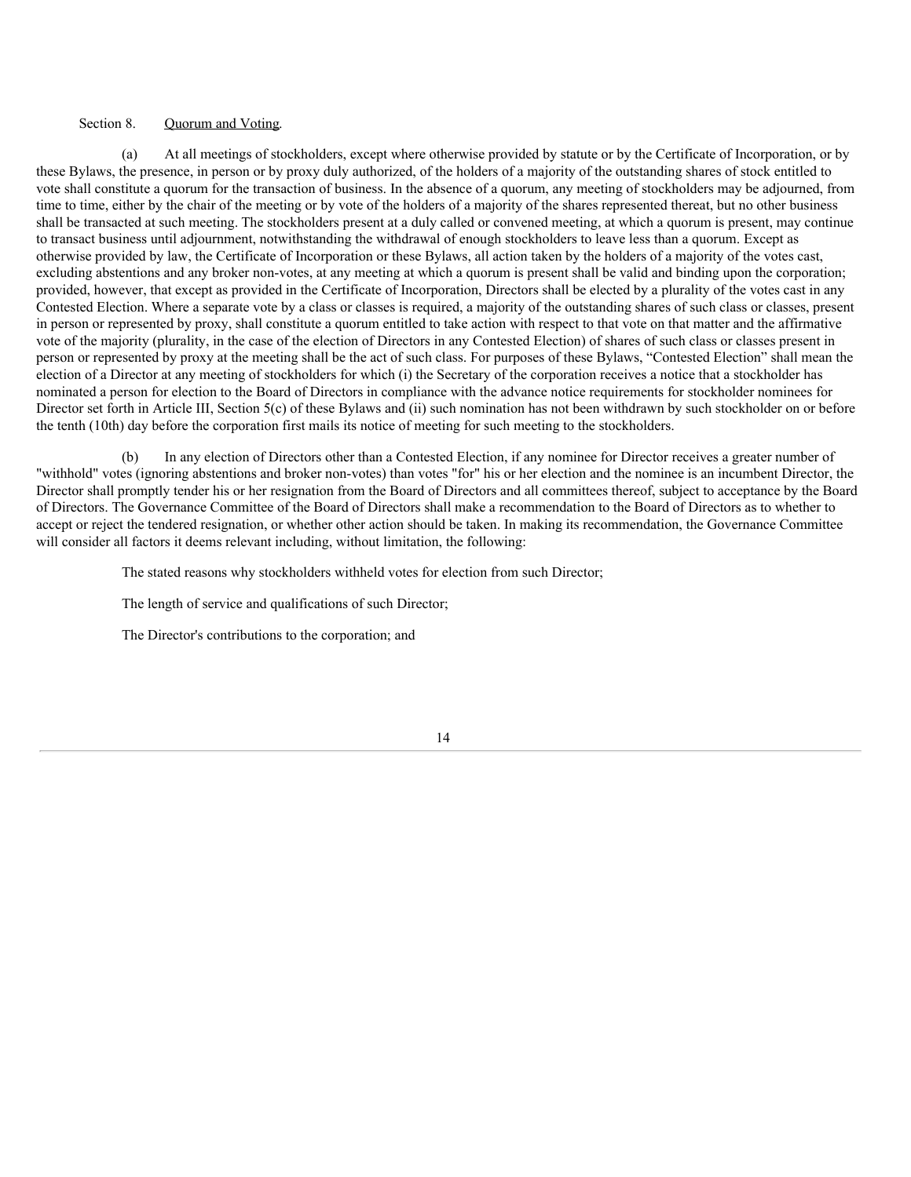## Section 8. Quorum and Voting.

(a) At all meetings of stockholders, except where otherwise provided by statute or by the Certificate of Incorporation, or by these Bylaws, the presence, in person or by proxy duly authorized, of the holders of a majority of the outstanding shares of stock entitled to vote shall constitute a quorum for the transaction of business. In the absence of a quorum, any meeting of stockholders may be adjourned, from time to time, either by the chair of the meeting or by vote of the holders of a majority of the shares represented thereat, but no other business shall be transacted at such meeting. The stockholders present at a duly called or convened meeting, at which a quorum is present, may continue to transact business until adjournment, notwithstanding the withdrawal of enough stockholders to leave less than a quorum. Except as otherwise provided by law, the Certificate of Incorporation or these Bylaws, all action taken by the holders of a majority of the votes cast, excluding abstentions and any broker non-votes, at any meeting at which a quorum is present shall be valid and binding upon the corporation; provided, however, that except as provided in the Certificate of Incorporation, Directors shall be elected by a plurality of the votes cast in any Contested Election. Where a separate vote by a class or classes is required, a majority of the outstanding shares of such class or classes, present in person or represented by proxy, shall constitute a quorum entitled to take action with respect to that vote on that matter and the affirmative vote of the majority (plurality, in the case of the election of Directors in any Contested Election) of shares of such class or classes present in person or represented by proxy at the meeting shall be the act of such class. For purposes of these Bylaws, "Contested Election" shall mean the election of a Director at any meeting of stockholders for which (i) the Secretary of the corporation receives a notice that a stockholder has nominated a person for election to the Board of Directors in compliance with the advance notice requirements for stockholder nominees for Director set forth in Article III, Section 5(c) of these Bylaws and (ii) such nomination has not been withdrawn by such stockholder on or before the tenth (10th) day before the corporation first mails its notice of meeting for such meeting to the stockholders.

(b) In any election of Directors other than a Contested Election, if any nominee for Director receives a greater number of "withhold" votes (ignoring abstentions and broker non-votes) than votes "for" his or her election and the nominee is an incumbent Director, the Director shall promptly tender his or her resignation from the Board of Directors and all committees thereof, subject to acceptance by the Board of Directors. The Governance Committee of the Board of Directors shall make a recommendation to the Board of Directors as to whether to accept or reject the tendered resignation, or whether other action should be taken. In making its recommendation, the Governance Committee will consider all factors it deems relevant including, without limitation, the following:

The stated reasons why stockholders withheld votes for election from such Director;

The length of service and qualifications of such Director;

The Director's contributions to the corporation; and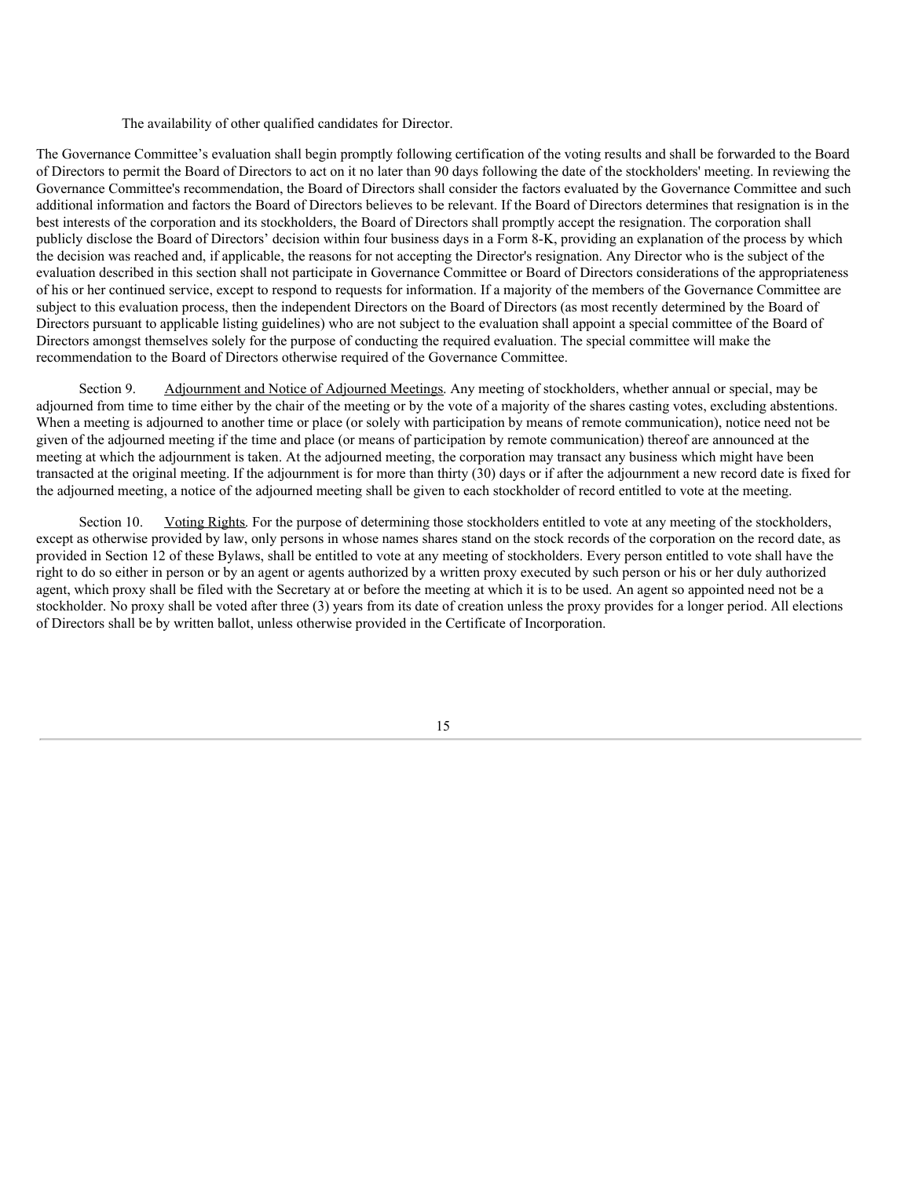The availability of other qualified candidates for Director.

The Governance Committee's evaluation shall begin promptly following certification of the voting results and shall be forwarded to the Board of Directors to permit the Board of Directors to act on it no later than 90 days following the date of the stockholders' meeting. In reviewing the Governance Committee's recommendation, the Board of Directors shall consider the factors evaluated by the Governance Committee and such additional information and factors the Board of Directors believes to be relevant. If the Board of Directors determines that resignation is in the best interests of the corporation and its stockholders, the Board of Directors shall promptly accept the resignation. The corporation shall publicly disclose the Board of Directors' decision within four business days in a Form 8-K, providing an explanation of the process by which the decision was reached and, if applicable, the reasons for not accepting the Director's resignation. Any Director who is the subject of the evaluation described in this section shall not participate in Governance Committee or Board of Directors considerations of the appropriateness of his or her continued service, except to respond to requests for information. If a majority of the members of the Governance Committee are subject to this evaluation process, then the independent Directors on the Board of Directors (as most recently determined by the Board of Directors pursuant to applicable listing guidelines) who are not subject to the evaluation shall appoint a special committee of the Board of Directors amongst themselves solely for the purpose of conducting the required evaluation. The special committee will make the recommendation to the Board of Directors otherwise required of the Governance Committee.

Section 9. Adjournment and Notice of Adjourned Meetings. Any meeting of stockholders, whether annual or special, may be adjourned from time to time either by the chair of the meeting or by the vote of a majority of the shares casting votes, excluding abstentions. When a meeting is adjourned to another time or place (or solely with participation by means of remote communication), notice need not be given of the adjourned meeting if the time and place (or means of participation by remote communication) thereof are announced at the meeting at which the adjournment is taken. At the adjourned meeting, the corporation may transact any business which might have been transacted at the original meeting. If the adjournment is for more than thirty (30) days or if after the adjournment a new record date is fixed for the adjourned meeting, a notice of the adjourned meeting shall be given to each stockholder of record entitled to vote at the meeting.

Section 10. Voting Rights. For the purpose of determining those stockholders entitled to vote at any meeting of the stockholders, except as otherwise provided by law, only persons in whose names shares stand on the stock records of the corporation on the record date, as provided in Section 12 of these Bylaws, shall be entitled to vote at any meeting of stockholders. Every person entitled to vote shall have the right to do so either in person or by an agent or agents authorized by a written proxy executed by such person or his or her duly authorized agent, which proxy shall be filed with the Secretary at or before the meeting at which it is to be used. An agent so appointed need not be a stockholder. No proxy shall be voted after three (3) years from its date of creation unless the proxy provides for a longer period. All elections of Directors shall be by written ballot, unless otherwise provided in the Certificate of Incorporation.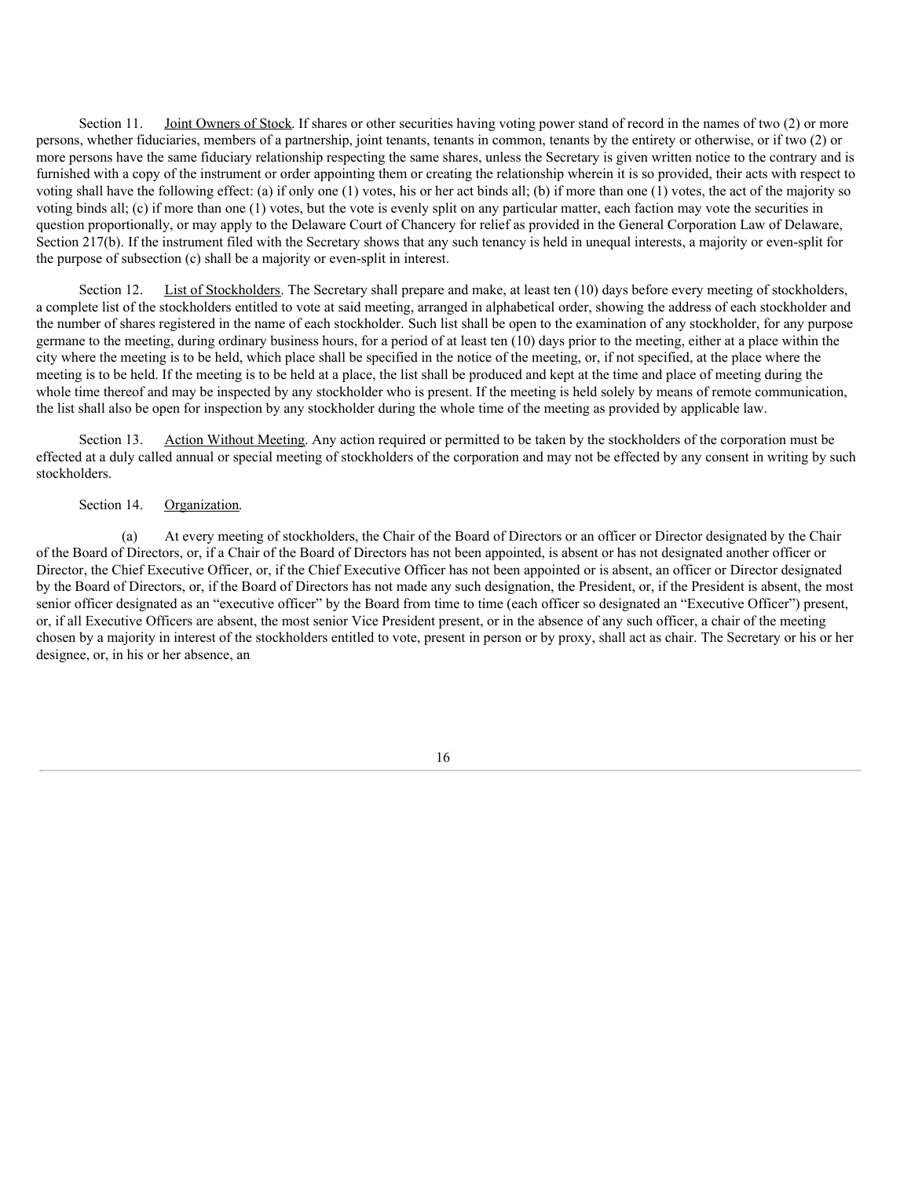Section 11. Joint Owners of Stock. If shares or other securities having voting power stand of record in the names of two (2) or more persons, whether fiduciaries, members of a partnership, joint tenants, tenants in common, tenants by the entirety or otherwise, or if two (2) or more persons have the same fiduciary relationship respecting the same shares, unless the Secretary is given written notice to the contrary and is furnished with a copy of the instrument or order appointing them or creating the relationship wherein it is so provided, their acts with respect to voting shall have the following effect: (a) if only one (1) votes, his or her act binds all; (b) if more than one (1) votes, the act of the majority so voting binds all; (c) if more than one (1) votes, but the vote is evenly split on any particular matter, each faction may vote the securities in question proportionally, or may apply to the Delaware Court of Chancery for relief as provided in the General Corporation Law of Delaware, Section 217(b). If the instrument filed with the Secretary shows that any such tenancy is held in unequal interests, a majority or even-split for the purpose of subsection (c) shall be a majority or even-split in interest.

Section 12. List of Stockholders. The Secretary shall prepare and make, at least ten (10) days before every meeting of stockholders, a complete list of the stockholders entitled to vote at said meeting, arranged in alphabetical order, showing the address of each stockholder and the number of shares registered in the name of each stockholder. Such list shall be open to the examination of any stockholder, for any purpose germane to the meeting, during ordinary business hours, for a period of at least ten (10) days prior to the meeting, either at a place within the city where the meeting is to be held, which place shall be specified in the notice of the meeting, or, if not specified, at the place where the meeting is to be held. If the meeting is to be held at a place, the list shall be produced and kept at the time and place of meeting during the whole time thereof and may be inspected by any stockholder who is present. If the meeting is held solely by means of remote communication, the list shall also be open for inspection by any stockholder during the whole time of the meeting as provided by applicable law.

Section 13. Action Without Meeting. Any action required or permitted to be taken by the stockholders of the corporation must be effected at a duly called annual or special meeting of stockholders of the corporation and may not be effected by any consent in writing by such stockholders.

#### Section 14. Organization.

(a) At every meeting of stockholders, the Chair of the Board of Directors or an officer or Director designated by the Chair of the Board of Directors, or, if a Chair of the Board of Directors has not been appointed, is absent or has not designated another officer or Director, the Chief Executive Officer, or, if the Chief Executive Officer has not been appointed or is absent, an officer or Director designated by the Board of Directors, or, if the Board of Directors has not made any such designation, the President, or, if the President is absent, the most senior officer designated as an "executive officer" by the Board from time to time (each officer so designated an "Executive Officer") present, or, if all Executive Officers are absent, the most senior Vice President present, or in the absence of any such officer, a chair of the meeting chosen by a majority in interest of the stockholders entitled to vote, present in person or by proxy, shall act as chair. The Secretary or his or her designee, or, in his or her absence, an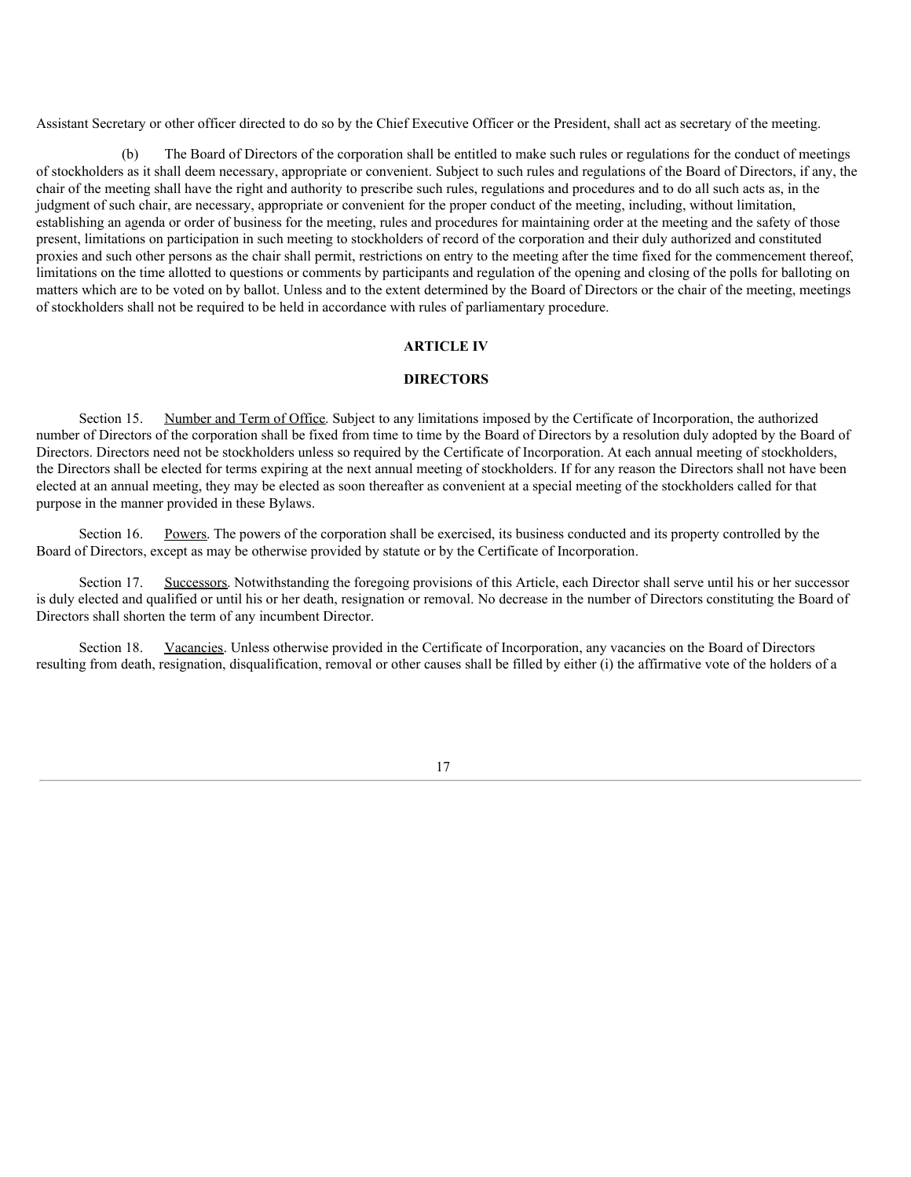Assistant Secretary or other officer directed to do so by the Chief Executive Officer or the President, shall act as secretary of the meeting.

(b) The Board of Directors of the corporation shall be entitled to make such rules or regulations for the conduct of meetings of stockholders as it shall deem necessary, appropriate or convenient. Subject to such rules and regulations of the Board of Directors, if any, the chair of the meeting shall have the right and authority to prescribe such rules, regulations and procedures and to do all such acts as, in the judgment of such chair, are necessary, appropriate or convenient for the proper conduct of the meeting, including, without limitation, establishing an agenda or order of business for the meeting, rules and procedures for maintaining order at the meeting and the safety of those present, limitations on participation in such meeting to stockholders of record of the corporation and their duly authorized and constituted proxies and such other persons as the chair shall permit, restrictions on entry to the meeting after the time fixed for the commencement thereof, limitations on the time allotted to questions or comments by participants and regulation of the opening and closing of the polls for balloting on matters which are to be voted on by ballot. Unless and to the extent determined by the Board of Directors or the chair of the meeting, meetings of stockholders shall not be required to be held in accordance with rules of parliamentary procedure.

## **ARTICLE IV**

## **DIRECTORS**

Section 15. Number and Term of Office. Subject to any limitations imposed by the Certificate of Incorporation, the authorized number of Directors of the corporation shall be fixed from time to time by the Board of Directors by a resolution duly adopted by the Board of Directors. Directors need not be stockholders unless so required by the Certificate of Incorporation. At each annual meeting of stockholders, the Directors shall be elected for terms expiring at the next annual meeting of stockholders. If for any reason the Directors shall not have been elected at an annual meeting, they may be elected as soon thereafter as convenient at a special meeting of the stockholders called for that purpose in the manner provided in these Bylaws.

Section 16. Powers. The powers of the corporation shall be exercised, its business conducted and its property controlled by the Board of Directors, except as may be otherwise provided by statute or by the Certificate of Incorporation.

Section 17. Successors. Notwithstanding the foregoing provisions of this Article, each Director shall serve until his or her successor is duly elected and qualified or until his or her death, resignation or removal. No decrease in the number of Directors constituting the Board of Directors shall shorten the term of any incumbent Director.

Section 18. Vacancies. Unless otherwise provided in the Certificate of Incorporation, any vacancies on the Board of Directors resulting from death, resignation, disqualification, removal or other causes shall be filled by either (i) the affirmative vote of the holders of a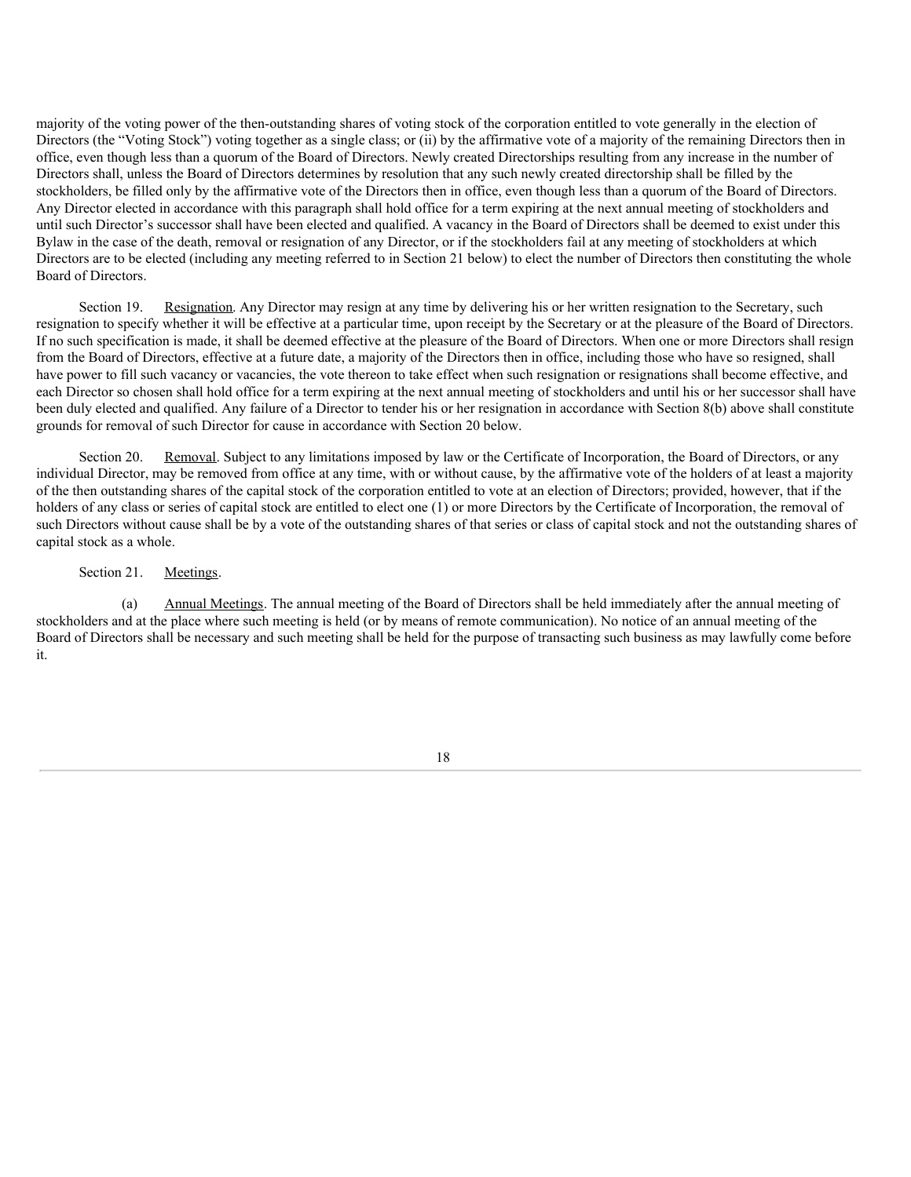<span id="page-20-0"></span>majority of the voting power of the then-outstanding shares of voting stock of the corporation entitled to vote generally in the election of Directors (the "Voting Stock") voting together as a single class; or (ii) by the affirmative vote of a majority of the remaining Directors then in office, even though less than a quorum of the Board of Directors. Newly created Directorships resulting from any increase in the number of Directors shall, unless the Board of Directors determines by resolution that any such newly created directorship shall be filled by the stockholders, be filled only by the affirmative vote of the Directors then in office, even though less than a quorum of the Board of Directors. Any Director elected in accordance with this paragraph shall hold office for a term expiring at the next annual meeting of stockholders and until such Director's successor shall have been elected and qualified. A vacancy in the Board of Directors shall be deemed to exist under this Bylaw in the case of the death, removal or resignation of any Director, or if the stockholders fail at any meeting of stockholders at which Directors are to be elected (including any meeting referred to in Section 21 below) to elect the number of Directors then constituting the whole Board of Directors.

Section 19. Resignation. Any Director may resign at any time by delivering his or her written resignation to the Secretary, such resignation to specify whether it will be effective at a particular time, upon receipt by the Secretary or at the pleasure of the Board of Directors. If no such specification is made, it shall be deemed effective at the pleasure of the Board of Directors. When one or more Directors shall resign from the Board of Directors, effective at a future date, a majority of the Directors then in office, including those who have so resigned, shall have power to fill such vacancy or vacancies, the vote thereon to take effect when such resignation or resignations shall become effective, and each Director so chosen shall hold office for a term expiring at the next annual meeting of stockholders and until his or her successor shall have been duly elected and qualified. Any failure of a Director to tender his or her resignation in accordance with Section 8(b) above shall constitute grounds for removal of such Director for cause in accordance with Section 20 below.

Section 20. Removal. Subject to any limitations imposed by law or the Certificate of Incorporation, the Board of Directors, or any individual Director, may be removed from office at any time, with or without cause, by the affirmative vote of the holders of at least a majority of the then outstanding shares of the capital stock of the corporation entitled to vote at an election of Directors; provided, however, that if the holders of any class or series of capital stock are entitled to elect one (1) or more Directors by the Certificate of Incorporation, the removal of such Directors without cause shall be by a vote of the outstanding shares of that series or class of capital stock and not the outstanding shares of capital stock as a whole.

Section 21. Meetings.

(a) Annual Meetings. The annual meeting of the Board of Directors shall be held immediately after the annual meeting of stockholders and at the place where such meeting is held (or by means of remote communication). No notice of an annual meeting of the Board of Directors shall be necessary and such meeting shall be held for the purpose of transacting such business as may lawfully come before it.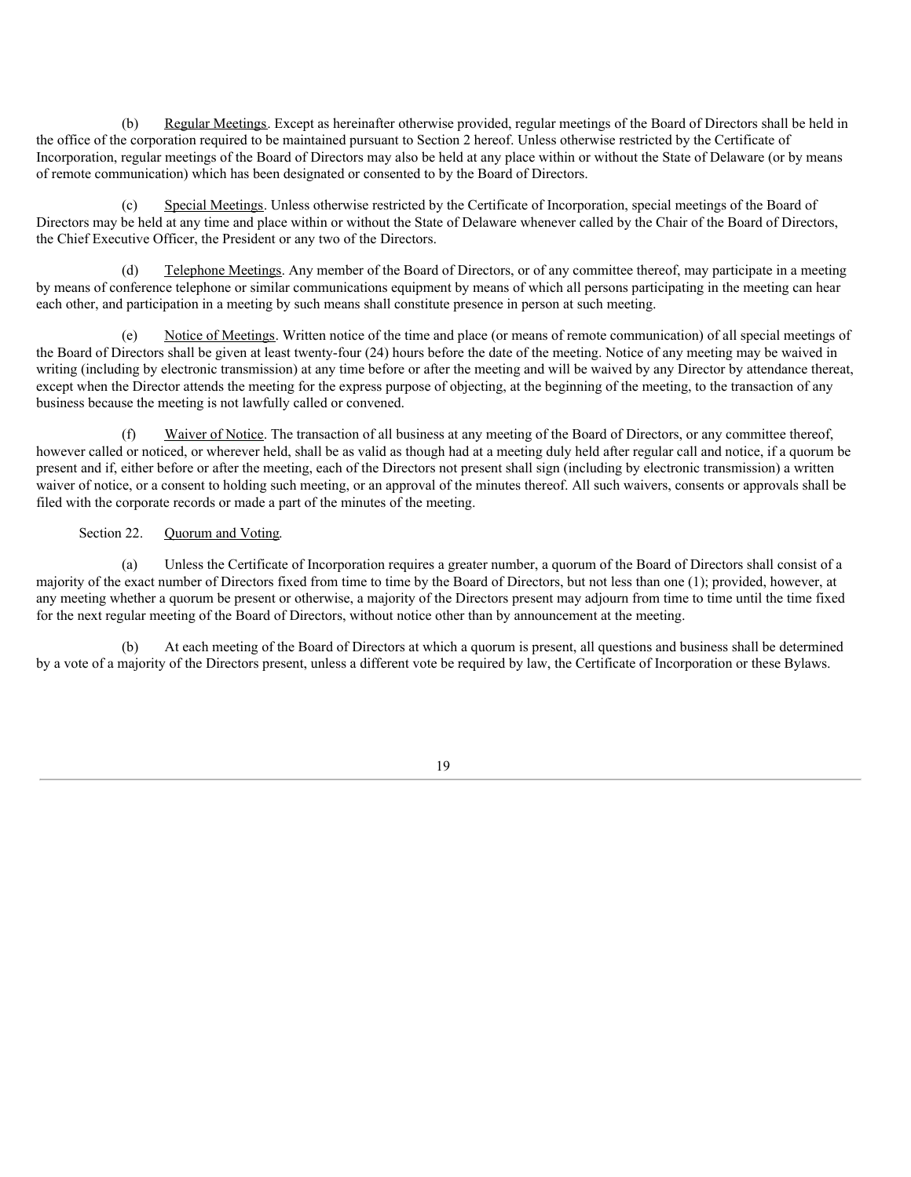(b) Regular Meetings. Except as hereinafter otherwise provided, regular meetings of the Board of Directors shall be held in the office of the corporation required to be maintained pursuant to Section 2 hereof. Unless otherwise restricted by the Certificate of Incorporation, regular meetings of the Board of Directors may also be held at any place within or without the State of Delaware (or by means of remote communication) which has been designated or consented to by the Board of Directors.

(c) Special Meetings. Unless otherwise restricted by the Certificate of Incorporation, special meetings of the Board of Directors may be held at any time and place within or without the State of Delaware whenever called by the Chair of the Board of Directors, the Chief Executive Officer, the President or any two of the Directors.

(d) Telephone Meetings. Any member of the Board of Directors, or of any committee thereof, may participate in a meeting by means of conference telephone or similar communications equipment by means of which all persons participating in the meeting can hear each other, and participation in a meeting by such means shall constitute presence in person at such meeting.

(e) Notice of Meetings. Written notice of the time and place (or means of remote communication) of all special meetings of the Board of Directors shall be given at least twenty-four (24) hours before the date of the meeting. Notice of any meeting may be waived in writing (including by electronic transmission) at any time before or after the meeting and will be waived by any Director by attendance thereat, except when the Director attends the meeting for the express purpose of objecting, at the beginning of the meeting, to the transaction of any business because the meeting is not lawfully called or convened.

Waiver of Notice. The transaction of all business at any meeting of the Board of Directors, or any committee thereof, however called or noticed, or wherever held, shall be as valid as though had at a meeting duly held after regular call and notice, if a quorum be present and if, either before or after the meeting, each of the Directors not present shall sign (including by electronic transmission) a written waiver of notice, or a consent to holding such meeting, or an approval of the minutes thereof. All such waivers, consents or approvals shall be filed with the corporate records or made a part of the minutes of the meeting.

## Section 22. Quorum and Voting.

(a) Unless the Certificate of Incorporation requires a greater number, a quorum of the Board of Directors shall consist of a majority of the exact number of Directors fixed from time to time by the Board of Directors, but not less than one (1); provided, however, at any meeting whether a quorum be present or otherwise, a majority of the Directors present may adjourn from time to time until the time fixed for the next regular meeting of the Board of Directors, without notice other than by announcement at the meeting.

(b) At each meeting of the Board of Directors at which a quorum is present, all questions and business shall be determined by a vote of a majority of the Directors present, unless a different vote be required by law, the Certificate of Incorporation or these Bylaws.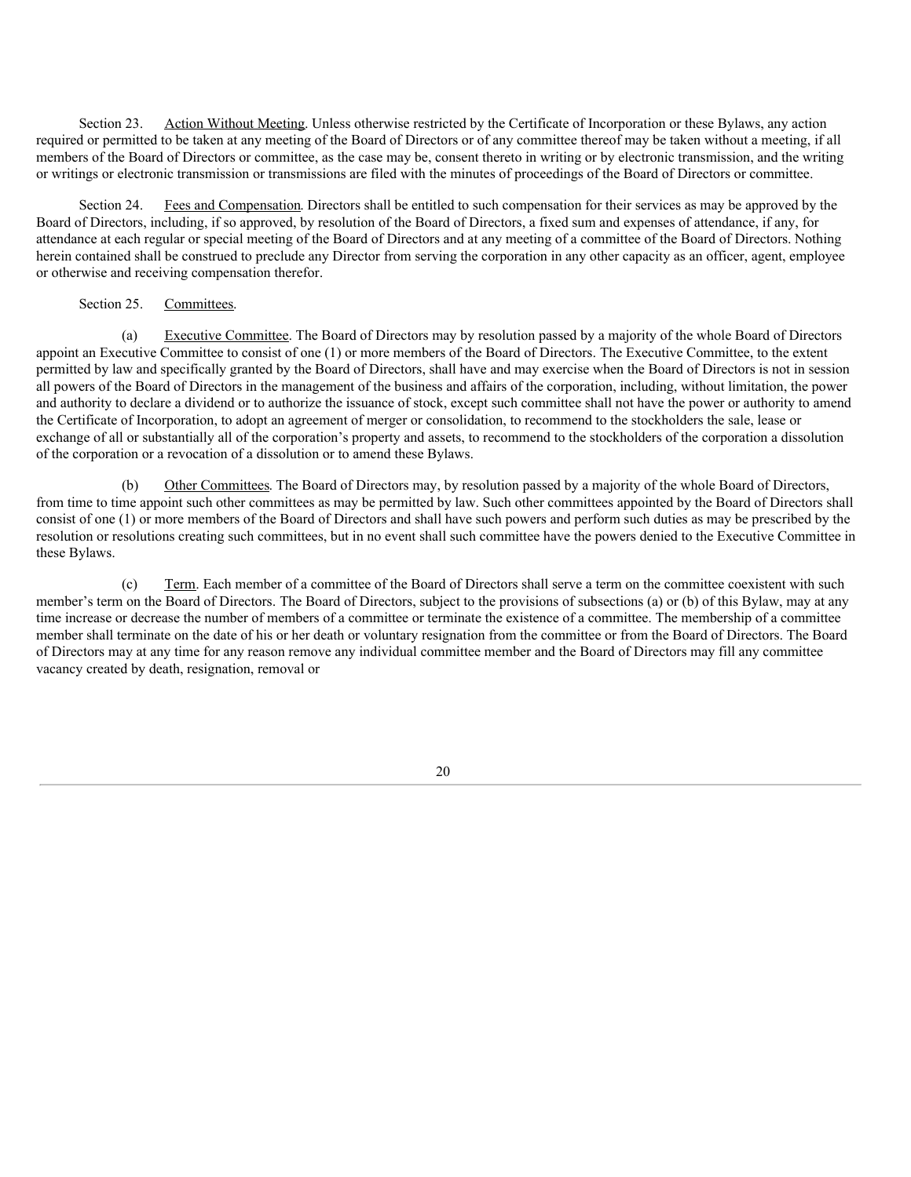Section 23. Action Without Meeting. Unless otherwise restricted by the Certificate of Incorporation or these Bylaws, any action required or permitted to be taken at any meeting of the Board of Directors or of any committee thereof may be taken without a meeting, if all members of the Board of Directors or committee, as the case may be, consent thereto in writing or by electronic transmission, and the writing or writings or electronic transmission or transmissions are filed with the minutes of proceedings of the Board of Directors or committee.

Section 24. Fees and Compensation. Directors shall be entitled to such compensation for their services as may be approved by the Board of Directors, including, if so approved, by resolution of the Board of Directors, a fixed sum and expenses of attendance, if any, for attendance at each regular or special meeting of the Board of Directors and at any meeting of a committee of the Board of Directors. Nothing herein contained shall be construed to preclude any Director from serving the corporation in any other capacity as an officer, agent, employee or otherwise and receiving compensation therefor.

#### Section 25. Committees.

(a) Executive Committee. The Board of Directors may by resolution passed by a majority of the whole Board of Directors appoint an Executive Committee to consist of one (1) or more members of the Board of Directors. The Executive Committee, to the extent permitted by law and specifically granted by the Board of Directors, shall have and may exercise when the Board of Directors is not in session all powers of the Board of Directors in the management of the business and affairs of the corporation, including, without limitation, the power and authority to declare a dividend or to authorize the issuance of stock, except such committee shall not have the power or authority to amend the Certificate of Incorporation, to adopt an agreement of merger or consolidation, to recommend to the stockholders the sale, lease or exchange of all or substantially all of the corporation's property and assets, to recommend to the stockholders of the corporation a dissolution of the corporation or a revocation of a dissolution or to amend these Bylaws.

(b) Other Committees. The Board of Directors may, by resolution passed by a majority of the whole Board of Directors, from time to time appoint such other committees as may be permitted by law. Such other committees appointed by the Board of Directors shall consist of one (1) or more members of the Board of Directors and shall have such powers and perform such duties as may be prescribed by the resolution or resolutions creating such committees, but in no event shall such committee have the powers denied to the Executive Committee in these Bylaws.

(c) Term. Each member of a committee of the Board of Directors shall serve a term on the committee coexistent with such member's term on the Board of Directors. The Board of Directors, subject to the provisions of subsections (a) or (b) of this Bylaw, may at any time increase or decrease the number of members of a committee or terminate the existence of a committee. The membership of a committee member shall terminate on the date of his or her death or voluntary resignation from the committee or from the Board of Directors. The Board of Directors may at any time for any reason remove any individual committee member and the Board of Directors may fill any committee vacancy created by death, resignation, removal or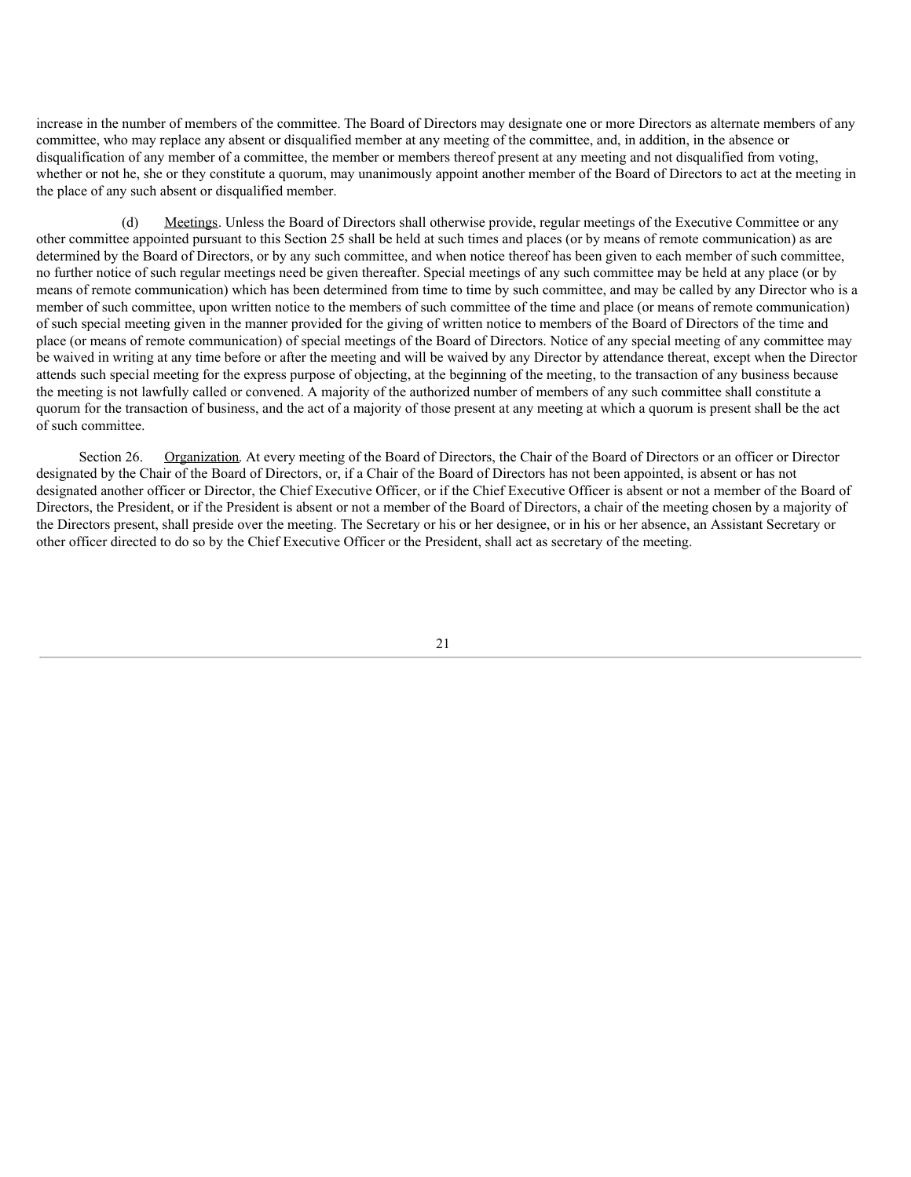increase in the number of members of the committee. The Board of Directors may designate one or more Directors as alternate members of any committee, who may replace any absent or disqualified member at any meeting of the committee, and, in addition, in the absence or disqualification of any member of a committee, the member or members thereof present at any meeting and not disqualified from voting, whether or not he, she or they constitute a quorum, may unanimously appoint another member of the Board of Directors to act at the meeting in the place of any such absent or disqualified member.

(d) Meetings. Unless the Board of Directors shall otherwise provide, regular meetings of the Executive Committee or any other committee appointed pursuant to this Section 25 shall be held at such times and places (or by means of remote communication) as are determined by the Board of Directors, or by any such committee, and when notice thereof has been given to each member of such committee, no further notice of such regular meetings need be given thereafter. Special meetings of any such committee may be held at any place (or by means of remote communication) which has been determined from time to time by such committee, and may be called by any Director who is a member of such committee, upon written notice to the members of such committee of the time and place (or means of remote communication) of such special meeting given in the manner provided for the giving of written notice to members of the Board of Directors of the time and place (or means of remote communication) of special meetings of the Board of Directors. Notice of any special meeting of any committee may be waived in writing at any time before or after the meeting and will be waived by any Director by attendance thereat, except when the Director attends such special meeting for the express purpose of objecting, at the beginning of the meeting, to the transaction of any business because the meeting is not lawfully called or convened. A majority of the authorized number of members of any such committee shall constitute a quorum for the transaction of business, and the act of a majority of those present at any meeting at which a quorum is present shall be the act of such committee.

Section 26. Organization. At every meeting of the Board of Directors, the Chair of the Board of Directors or an officer or Director designated by the Chair of the Board of Directors, or, if a Chair of the Board of Directors has not been appointed, is absent or has not designated another officer or Director, the Chief Executive Officer, or if the Chief Executive Officer is absent or not a member of the Board of Directors, the President, or if the President is absent or not a member of the Board of Directors, a chair of the meeting chosen by a majority of the Directors present, shall preside over the meeting. The Secretary or his or her designee, or in his or her absence, an Assistant Secretary or other officer directed to do so by the Chief Executive Officer or the President, shall act as secretary of the meeting.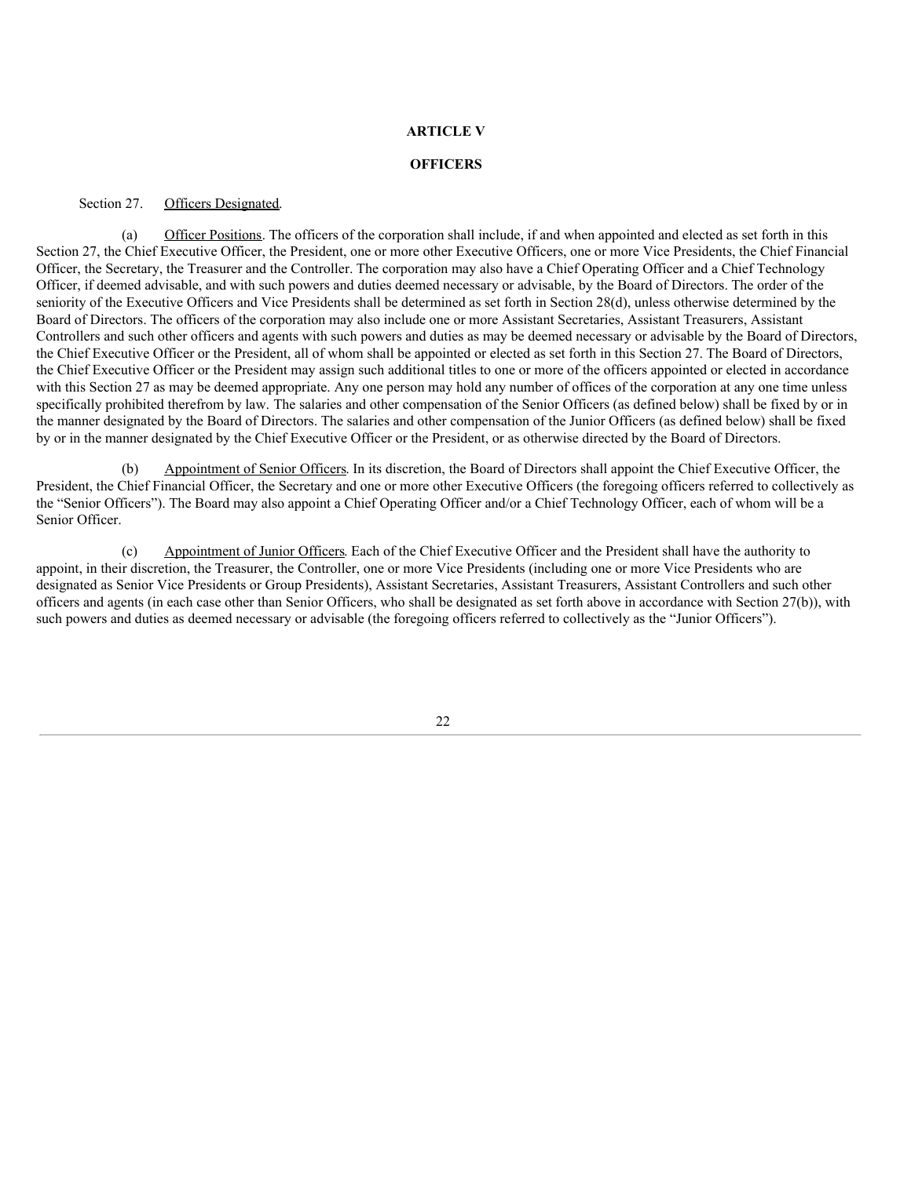## **ARTICLE V**

#### **OFFICERS**

#### Section 27. Officers Designated.

(a) Officer Positions. The officers of the corporation shall include, if and when appointed and elected as set forth in this Section 27, the Chief Executive Officer, the President, one or more other Executive Officers, one or more Vice Presidents, the Chief Financial Officer, the Secretary, the Treasurer and the Controller. The corporation may also have a Chief Operating Officer and a Chief Technology Officer, if deemed advisable, and with such powers and duties deemed necessary or advisable, by the Board of Directors. The order of the seniority of the Executive Officers and Vice Presidents shall be determined as set forth in Section 28(d), unless otherwise determined by the Board of Directors. The officers of the corporation may also include one or more Assistant Secretaries, Assistant Treasurers, Assistant Controllers and such other officers and agents with such powers and duties as may be deemed necessary or advisable by the Board of Directors, the Chief Executive Officer or the President, all of whom shall be appointed or elected as set forth in this Section 27. The Board of Directors, the Chief Executive Officer or the President may assign such additional titles to one or more of the officers appointed or elected in accordance with this Section 27 as may be deemed appropriate. Any one person may hold any number of offices of the corporation at any one time unless specifically prohibited therefrom by law. The salaries and other compensation of the Senior Officers (as defined below) shall be fixed by or in the manner designated by the Board of Directors. The salaries and other compensation of the Junior Officers (as defined below) shall be fixed by or in the manner designated by the Chief Executive Officer or the President, or as otherwise directed by the Board of Directors.

(b) Appointment of Senior Officers. In its discretion, the Board of Directors shall appoint the Chief Executive Officer, the President, the Chief Financial Officer, the Secretary and one or more other Executive Officers (the foregoing officers referred to collectively as the "Senior Officers"). The Board may also appoint a Chief Operating Officer and/or a Chief Technology Officer, each of whom will be a Senior Officer.

(c) Appointment of Junior Officers. Each of the Chief Executive Officer and the President shall have the authority to appoint, in their discretion, the Treasurer, the Controller, one or more Vice Presidents (including one or more Vice Presidents who are designated as Senior Vice Presidents or Group Presidents), Assistant Secretaries, Assistant Treasurers, Assistant Controllers and such other officers and agents (in each case other than Senior Officers, who shall be designated as set forth above in accordance with Section 27(b)), with such powers and duties as deemed necessary or advisable (the foregoing officers referred to collectively as the "Junior Officers").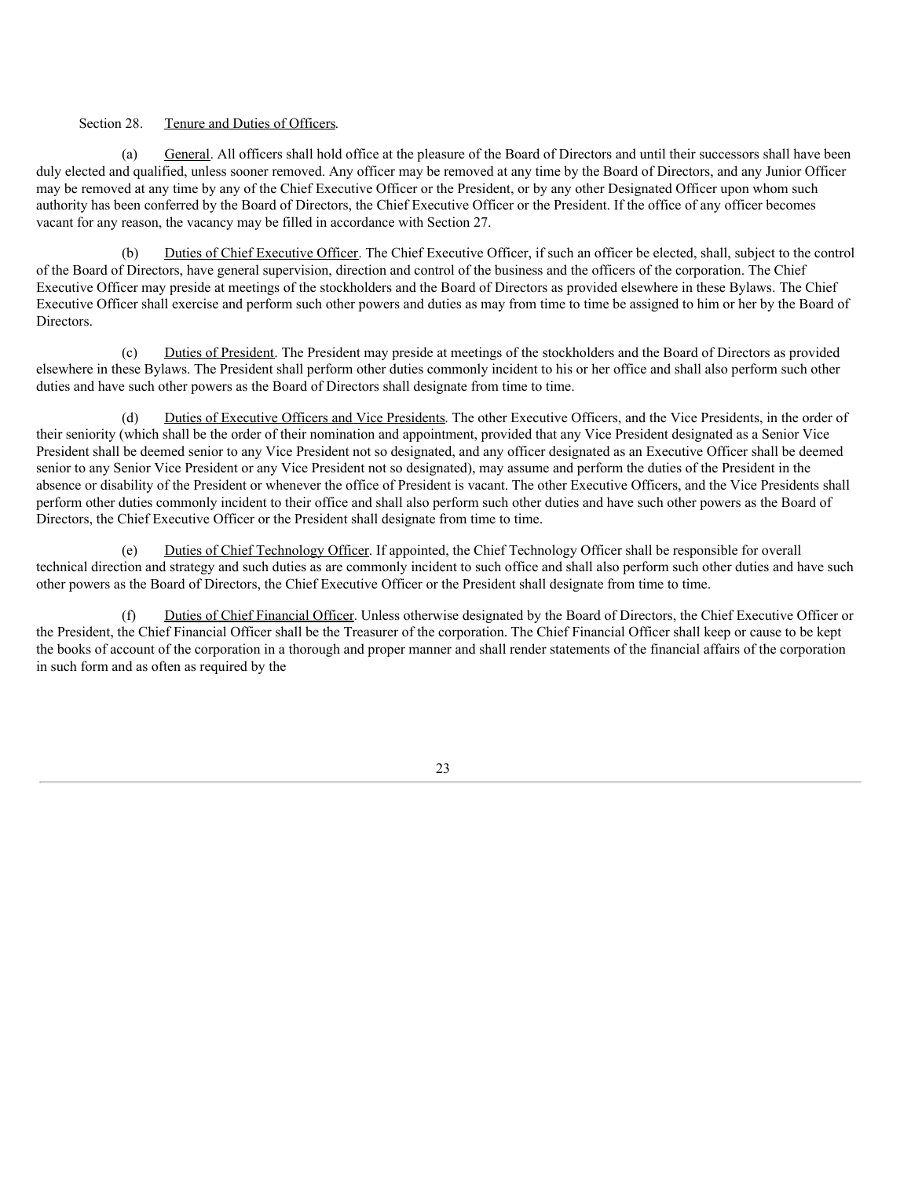## Section 28. Tenure and Duties of Officers.

(a) General. All officers shall hold office at the pleasure of the Board of Directors and until their successors shall have been duly elected and qualified, unless sooner removed. Any officer may be removed at any time by the Board of Directors, and any Junior Officer may be removed at any time by any of the Chief Executive Officer or the President, or by any other Designated Officer upon whom such authority has been conferred by the Board of Directors, the Chief Executive Officer or the President. If the office of any officer becomes vacant for any reason, the vacancy may be filled in accordance with Section 27.

(b) Duties of Chief Executive Officer. The Chief Executive Officer, if such an officer be elected, shall, subject to the control of the Board of Directors, have general supervision, direction and control of the business and the officers of the corporation. The Chief Executive Officer may preside at meetings of the stockholders and the Board of Directors as provided elsewhere in these Bylaws. The Chief Executive Officer shall exercise and perform such other powers and duties as may from time to time be assigned to him or her by the Board of Directors.

(c) Duties of President. The President may preside at meetings of the stockholders and the Board of Directors as provided elsewhere in these Bylaws. The President shall perform other duties commonly incident to his or her office and shall also perform such other duties and have such other powers as the Board of Directors shall designate from time to time.

(d) Duties of Executive Officers and Vice Presidents. The other Executive Officers, and the Vice Presidents, in the order of their seniority (which shall be the order of their nomination and appointment, provided that any Vice President designated as a Senior Vice President shall be deemed senior to any Vice President not so designated, and any officer designated as an Executive Officer shall be deemed senior to any Senior Vice President or any Vice President not so designated), may assume and perform the duties of the President in the absence or disability of the President or whenever the office of President is vacant. The other Executive Officers, and the Vice Presidents shall perform other duties commonly incident to their office and shall also perform such other duties and have such other powers as the Board of Directors, the Chief Executive Officer or the President shall designate from time to time.

(e) Duties of Chief Technology Officer. If appointed, the Chief Technology Officer shall be responsible for overall technical direction and strategy and such duties as are commonly incident to such office and shall also perform such other duties and have such other powers as the Board of Directors, the Chief Executive Officer or the President shall designate from time to time.

Duties of Chief Financial Officer. Unless otherwise designated by the Board of Directors, the Chief Executive Officer or the President, the Chief Financial Officer shall be the Treasurer of the corporation. The Chief Financial Officer shall keep or cause to be kept the books of account of the corporation in a thorough and proper manner and shall render statements of the financial affairs of the corporation in such form and as often as required by the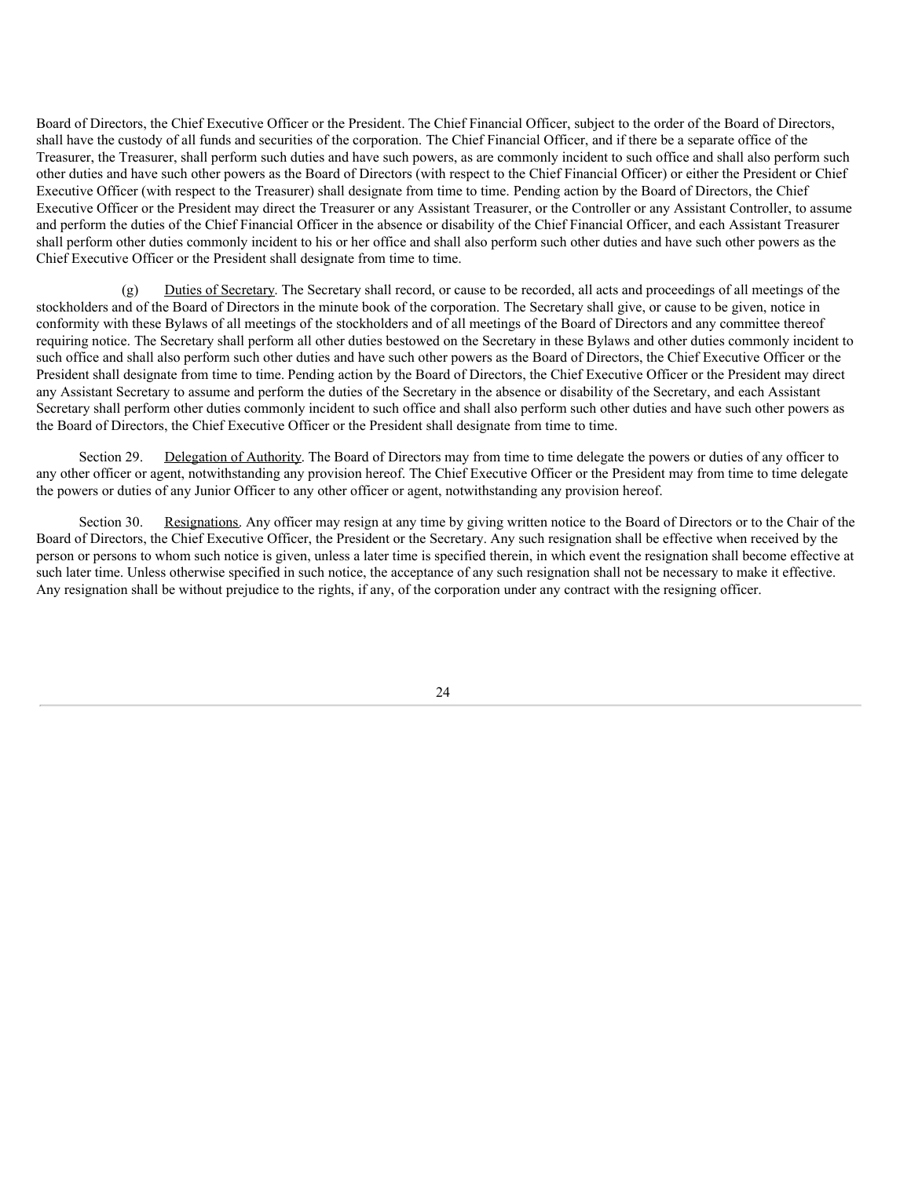Board of Directors, the Chief Executive Officer or the President. The Chief Financial Officer, subject to the order of the Board of Directors, shall have the custody of all funds and securities of the corporation. The Chief Financial Officer, and if there be a separate office of the Treasurer, the Treasurer, shall perform such duties and have such powers, as are commonly incident to such office and shall also perform such other duties and have such other powers as the Board of Directors (with respect to the Chief Financial Officer) or either the President or Chief Executive Officer (with respect to the Treasurer) shall designate from time to time. Pending action by the Board of Directors, the Chief Executive Officer or the President may direct the Treasurer or any Assistant Treasurer, or the Controller or any Assistant Controller, to assume and perform the duties of the Chief Financial Officer in the absence or disability of the Chief Financial Officer, and each Assistant Treasurer shall perform other duties commonly incident to his or her office and shall also perform such other duties and have such other powers as the Chief Executive Officer or the President shall designate from time to time.

(g) Duties of Secretary. The Secretary shall record, or cause to be recorded, all acts and proceedings of all meetings of the stockholders and of the Board of Directors in the minute book of the corporation. The Secretary shall give, or cause to be given, notice in conformity with these Bylaws of all meetings of the stockholders and of all meetings of the Board of Directors and any committee thereof requiring notice. The Secretary shall perform all other duties bestowed on the Secretary in these Bylaws and other duties commonly incident to such office and shall also perform such other duties and have such other powers as the Board of Directors, the Chief Executive Officer or the President shall designate from time to time. Pending action by the Board of Directors, the Chief Executive Officer or the President may direct any Assistant Secretary to assume and perform the duties of the Secretary in the absence or disability of the Secretary, and each Assistant Secretary shall perform other duties commonly incident to such office and shall also perform such other duties and have such other powers as the Board of Directors, the Chief Executive Officer or the President shall designate from time to time.

Section 29. Delegation of Authority. The Board of Directors may from time to time delegate the powers or duties of any officer to any other officer or agent, notwithstanding any provision hereof. The Chief Executive Officer or the President may from time to time delegate the powers or duties of any Junior Officer to any other officer or agent, notwithstanding any provision hereof.

Section 30. Resignations. Any officer may resign at any time by giving written notice to the Board of Directors or to the Chair of the Board of Directors, the Chief Executive Officer, the President or the Secretary. Any such resignation shall be effective when received by the person or persons to whom such notice is given, unless a later time is specified therein, in which event the resignation shall become effective at such later time. Unless otherwise specified in such notice, the acceptance of any such resignation shall not be necessary to make it effective. Any resignation shall be without prejudice to the rights, if any, of the corporation under any contract with the resigning officer.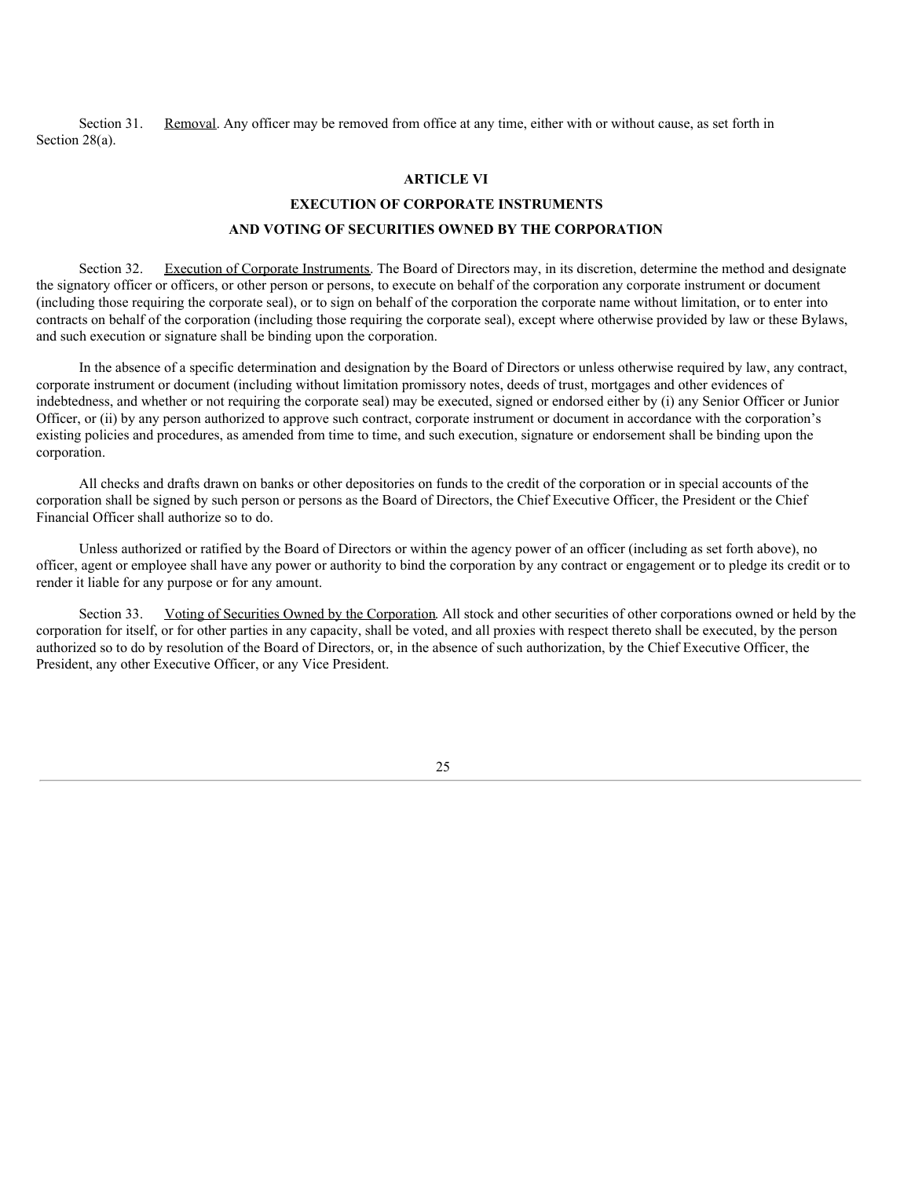Section 31. Removal. Any officer may be removed from office at any time, either with or without cause, as set forth in Section 28(a).

## **ARTICLE VI**

# **EXECUTION OF CORPORATE INSTRUMENTS AND VOTING OF SECURITIES OWNED BY THE CORPORATION**

Section 32. Execution of Corporate Instruments. The Board of Directors may, in its discretion, determine the method and designate the signatory officer or officers, or other person or persons, to execute on behalf of the corporation any corporate instrument or document (including those requiring the corporate seal), or to sign on behalf of the corporation the corporate name without limitation, or to enter into contracts on behalf of the corporation (including those requiring the corporate seal), except where otherwise provided by law or these Bylaws, and such execution or signature shall be binding upon the corporation.

In the absence of a specific determination and designation by the Board of Directors or unless otherwise required by law, any contract, corporate instrument or document (including without limitation promissory notes, deeds of trust, mortgages and other evidences of indebtedness, and whether or not requiring the corporate seal) may be executed, signed or endorsed either by (i) any Senior Officer or Junior Officer, or (ii) by any person authorized to approve such contract, corporate instrument or document in accordance with the corporation's existing policies and procedures, as amended from time to time, and such execution, signature or endorsement shall be binding upon the corporation.

All checks and drafts drawn on banks or other depositories on funds to the credit of the corporation or in special accounts of the corporation shall be signed by such person or persons as the Board of Directors, the Chief Executive Officer, the President or the Chief Financial Officer shall authorize so to do.

Unless authorized or ratified by the Board of Directors or within the agency power of an officer (including as set forth above), no officer, agent or employee shall have any power or authority to bind the corporation by any contract or engagement or to pledge its credit or to render it liable for any purpose or for any amount.

Section 33. Voting of Securities Owned by the Corporation. All stock and other securities of other corporations owned or held by the corporation for itself, or for other parties in any capacity, shall be voted, and all proxies with respect thereto shall be executed, by the person authorized so to do by resolution of the Board of Directors, or, in the absence of such authorization, by the Chief Executive Officer, the President, any other Executive Officer, or any Vice President.

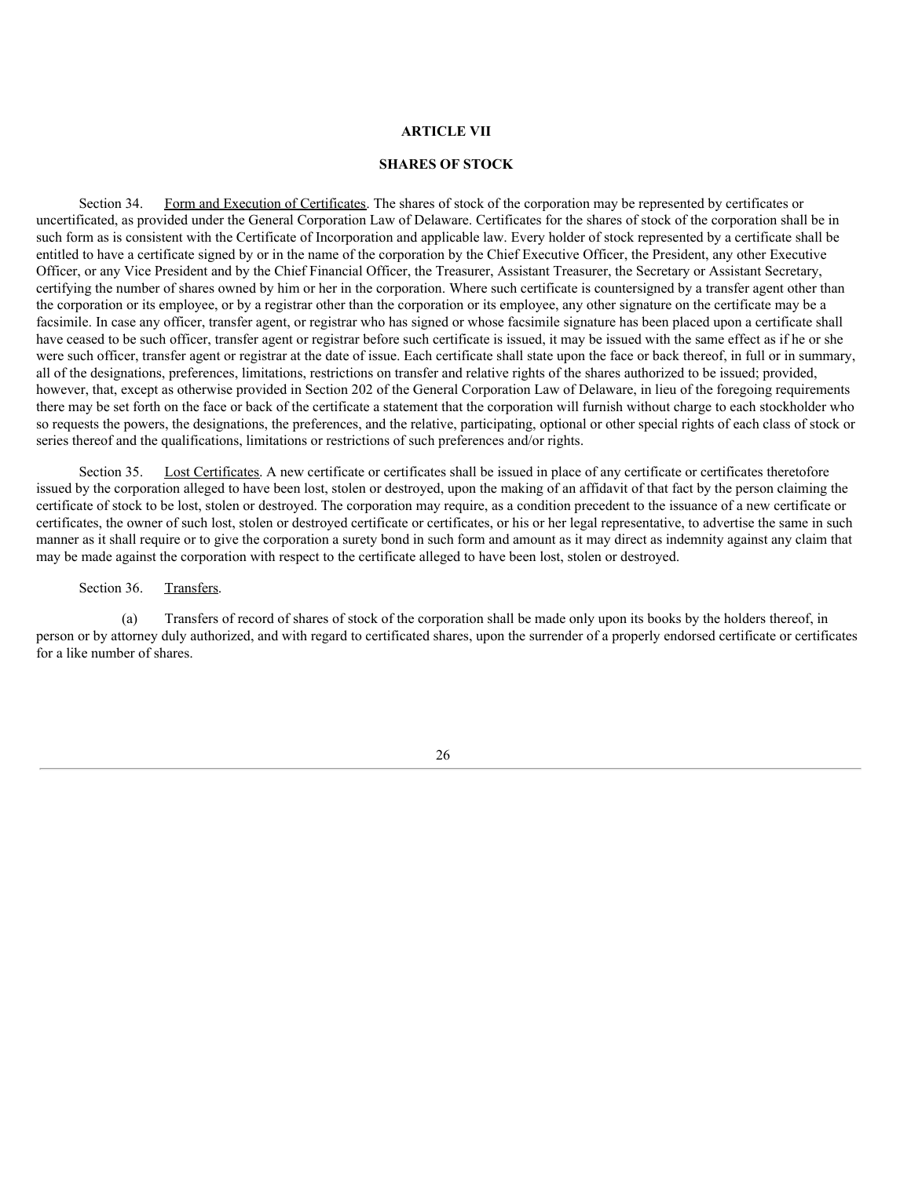## **ARTICLE VII**

## **SHARES OF STOCK**

Section 34. Form and Execution of Certificates. The shares of stock of the corporation may be represented by certificates or uncertificated, as provided under the General Corporation Law of Delaware. Certificates for the shares of stock of the corporation shall be in such form as is consistent with the Certificate of Incorporation and applicable law. Every holder of stock represented by a certificate shall be entitled to have a certificate signed by or in the name of the corporation by the Chief Executive Officer, the President, any other Executive Officer, or any Vice President and by the Chief Financial Officer, the Treasurer, Assistant Treasurer, the Secretary or Assistant Secretary, certifying the number of shares owned by him or her in the corporation. Where such certificate is countersigned by a transfer agent other than the corporation or its employee, or by a registrar other than the corporation or its employee, any other signature on the certificate may be a facsimile. In case any officer, transfer agent, or registrar who has signed or whose facsimile signature has been placed upon a certificate shall have ceased to be such officer, transfer agent or registrar before such certificate is issued, it may be issued with the same effect as if he or she were such officer, transfer agent or registrar at the date of issue. Each certificate shall state upon the face or back thereof, in full or in summary, all of the designations, preferences, limitations, restrictions on transfer and relative rights of the shares authorized to be issued; provided, however, that, except as otherwise provided in Section 202 of the General Corporation Law of Delaware, in lieu of the foregoing requirements there may be set forth on the face or back of the certificate a statement that the corporation will furnish without charge to each stockholder who so requests the powers, the designations, the preferences, and the relative, participating, optional or other special rights of each class of stock or series thereof and the qualifications, limitations or restrictions of such preferences and/or rights.

Section 35. Lost Certificates. A new certificate or certificates shall be issued in place of any certificate or certificates theretofore issued by the corporation alleged to have been lost, stolen or destroyed, upon the making of an affidavit of that fact by the person claiming the certificate of stock to be lost, stolen or destroyed. The corporation may require, as a condition precedent to the issuance of a new certificate or certificates, the owner of such lost, stolen or destroyed certificate or certificates, or his or her legal representative, to advertise the same in such manner as it shall require or to give the corporation a surety bond in such form and amount as it may direct as indemnity against any claim that may be made against the corporation with respect to the certificate alleged to have been lost, stolen or destroyed.

## Section 36. Transfers.

(a) Transfers of record of shares of stock of the corporation shall be made only upon its books by the holders thereof, in person or by attorney duly authorized, and with regard to certificated shares, upon the surrender of a properly endorsed certificate or certificates for a like number of shares.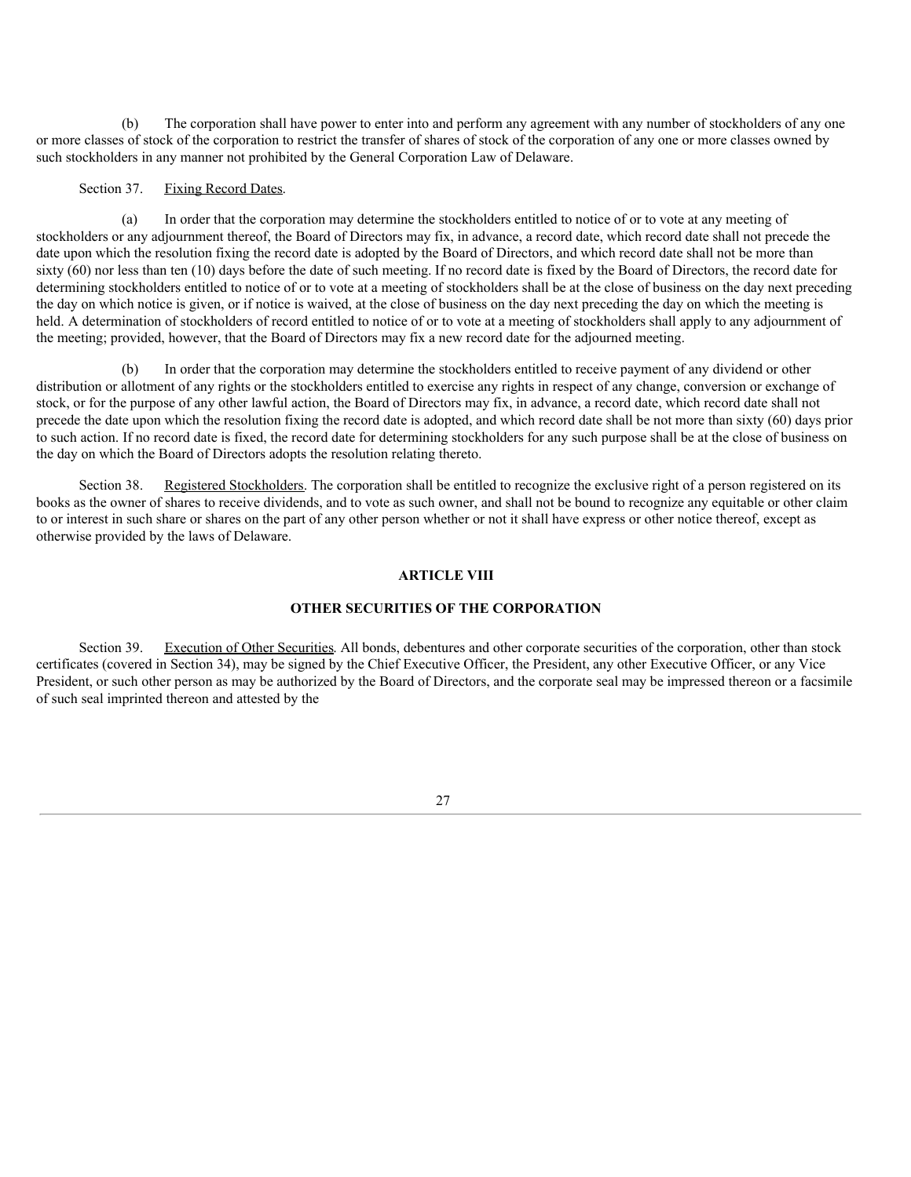(b) The corporation shall have power to enter into and perform any agreement with any number of stockholders of any one or more classes of stock of the corporation to restrict the transfer of shares of stock of the corporation of any one or more classes owned by such stockholders in any manner not prohibited by the General Corporation Law of Delaware.

## Section 37. Fixing Record Dates.

(a) In order that the corporation may determine the stockholders entitled to notice of or to vote at any meeting of stockholders or any adjournment thereof, the Board of Directors may fix, in advance, a record date, which record date shall not precede the date upon which the resolution fixing the record date is adopted by the Board of Directors, and which record date shall not be more than sixty (60) nor less than ten (10) days before the date of such meeting. If no record date is fixed by the Board of Directors, the record date for determining stockholders entitled to notice of or to vote at a meeting of stockholders shall be at the close of business on the day next preceding the day on which notice is given, or if notice is waived, at the close of business on the day next preceding the day on which the meeting is held. A determination of stockholders of record entitled to notice of or to vote at a meeting of stockholders shall apply to any adjournment of the meeting; provided, however, that the Board of Directors may fix a new record date for the adjourned meeting.

In order that the corporation may determine the stockholders entitled to receive payment of any dividend or other distribution or allotment of any rights or the stockholders entitled to exercise any rights in respect of any change, conversion or exchange of stock, or for the purpose of any other lawful action, the Board of Directors may fix, in advance, a record date, which record date shall not precede the date upon which the resolution fixing the record date is adopted, and which record date shall be not more than sixty (60) days prior to such action. If no record date is fixed, the record date for determining stockholders for any such purpose shall be at the close of business on the day on which the Board of Directors adopts the resolution relating thereto.

Section 38. Registered Stockholders. The corporation shall be entitled to recognize the exclusive right of a person registered on its books as the owner of shares to receive dividends, and to vote as such owner, and shall not be bound to recognize any equitable or other claim to or interest in such share or shares on the part of any other person whether or not it shall have express or other notice thereof, except as otherwise provided by the laws of Delaware.

## **ARTICLE VIII**

#### **OTHER SECURITIES OF THE CORPORATION**

Section 39. Execution of Other Securities. All bonds, debentures and other corporate securities of the corporation, other than stock certificates (covered in Section 34), may be signed by the Chief Executive Officer, the President, any other Executive Officer, or any Vice President, or such other person as may be authorized by the Board of Directors, and the corporate seal may be impressed thereon or a facsimile of such seal imprinted thereon and attested by the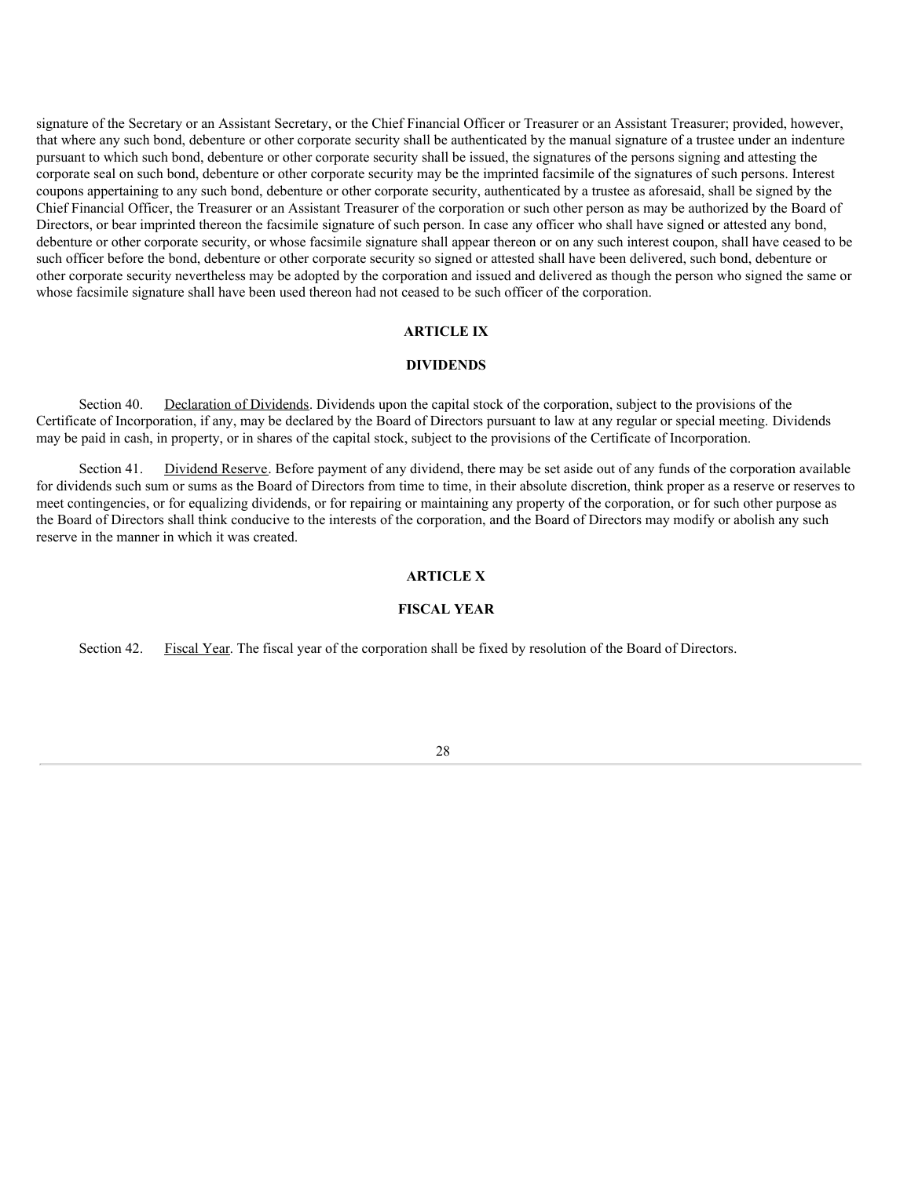signature of the Secretary or an Assistant Secretary, or the Chief Financial Officer or Treasurer or an Assistant Treasurer; provided, however, that where any such bond, debenture or other corporate security shall be authenticated by the manual signature of a trustee under an indenture pursuant to which such bond, debenture or other corporate security shall be issued, the signatures of the persons signing and attesting the corporate seal on such bond, debenture or other corporate security may be the imprinted facsimile of the signatures of such persons. Interest coupons appertaining to any such bond, debenture or other corporate security, authenticated by a trustee as aforesaid, shall be signed by the Chief Financial Officer, the Treasurer or an Assistant Treasurer of the corporation or such other person as may be authorized by the Board of Directors, or bear imprinted thereon the facsimile signature of such person. In case any officer who shall have signed or attested any bond, debenture or other corporate security, or whose facsimile signature shall appear thereon or on any such interest coupon, shall have ceased to be such officer before the bond, debenture or other corporate security so signed or attested shall have been delivered, such bond, debenture or other corporate security nevertheless may be adopted by the corporation and issued and delivered as though the person who signed the same or whose facsimile signature shall have been used thereon had not ceased to be such officer of the corporation.

#### **ARTICLE IX**

#### **DIVIDENDS**

Section 40. Declaration of Dividends. Dividends upon the capital stock of the corporation, subject to the provisions of the Certificate of Incorporation, if any, may be declared by the Board of Directors pursuant to law at any regular or special meeting. Dividends may be paid in cash, in property, or in shares of the capital stock, subject to the provisions of the Certificate of Incorporation.

Section 41. Dividend Reserve. Before payment of any dividend, there may be set aside out of any funds of the corporation available for dividends such sum or sums as the Board of Directors from time to time, in their absolute discretion, think proper as a reserve or reserves to meet contingencies, or for equalizing dividends, or for repairing or maintaining any property of the corporation, or for such other purpose as the Board of Directors shall think conducive to the interests of the corporation, and the Board of Directors may modify or abolish any such reserve in the manner in which it was created.

## **ARTICLE X**

#### **FISCAL YEAR**

Section 42. Fiscal Year. The fiscal year of the corporation shall be fixed by resolution of the Board of Directors.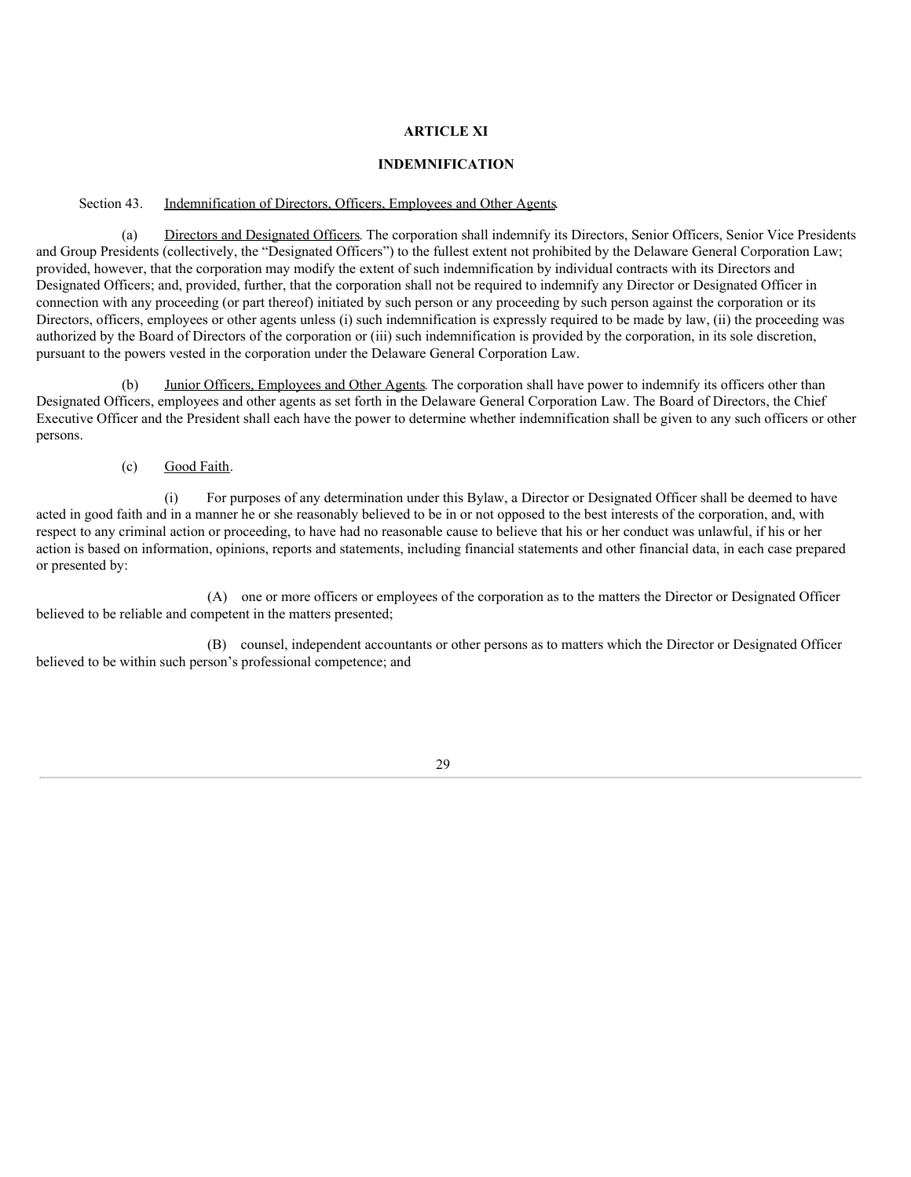## **ARTICLE XI**

#### **INDEMNIFICATION**

## Section 43. Indemnification of Directors, Officers, Employees and Other Agents.

(a) Directors and Designated Officers. The corporation shall indemnify its Directors, Senior Officers, Senior Vice Presidents and Group Presidents (collectively, the "Designated Officers") to the fullest extent not prohibited by the Delaware General Corporation Law; provided, however, that the corporation may modify the extent of such indemnification by individual contracts with its Directors and Designated Officers; and, provided, further, that the corporation shall not be required to indemnify any Director or Designated Officer in connection with any proceeding (or part thereof) initiated by such person or any proceeding by such person against the corporation or its Directors, officers, employees or other agents unless (i) such indemnification is expressly required to be made by law, (ii) the proceeding was authorized by the Board of Directors of the corporation or (iii) such indemnification is provided by the corporation, in its sole discretion, pursuant to the powers vested in the corporation under the Delaware General Corporation Law.

(b) Junior Officers, Employees and Other Agents. The corporation shall have power to indemnify its officers other than Designated Officers, employees and other agents as set forth in the Delaware General Corporation Law. The Board of Directors, the Chief Executive Officer and the President shall each have the power to determine whether indemnification shall be given to any such officers or other persons.

(c) Good Faith.

(i) For purposes of any determination under this Bylaw, a Director or Designated Officer shall be deemed to have acted in good faith and in a manner he or she reasonably believed to be in or not opposed to the best interests of the corporation, and, with respect to any criminal action or proceeding, to have had no reasonable cause to believe that his or her conduct was unlawful, if his or her action is based on information, opinions, reports and statements, including financial statements and other financial data, in each case prepared or presented by:

(A) one or more officers or employees of the corporation as to the matters the Director or Designated Officer believed to be reliable and competent in the matters presented;

(B) counsel, independent accountants or other persons as to matters which the Director or Designated Officer believed to be within such person's professional competence; and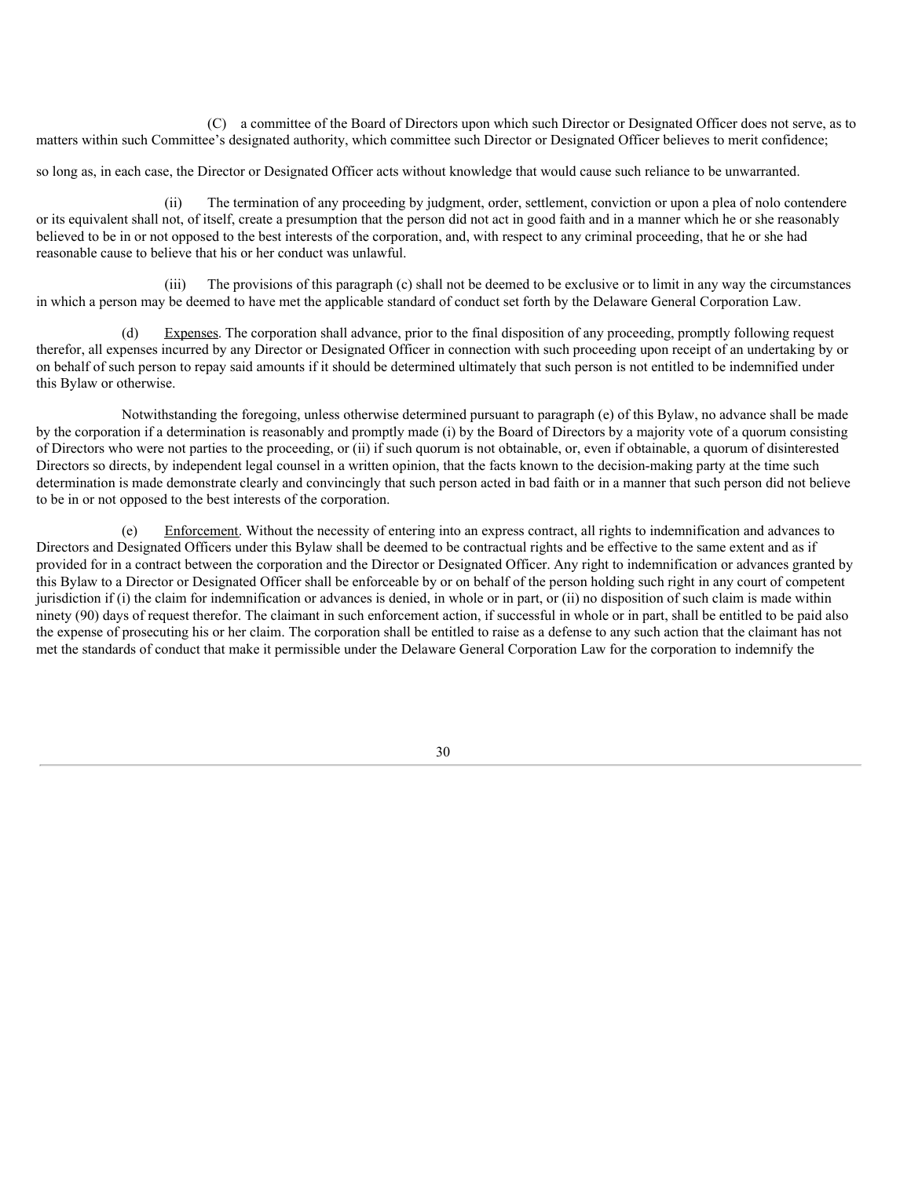(C) a committee of the Board of Directors upon which such Director or Designated Officer does not serve, as to matters within such Committee's designated authority, which committee such Director or Designated Officer believes to merit confidence;

so long as, in each case, the Director or Designated Officer acts without knowledge that would cause such reliance to be unwarranted.

(ii) The termination of any proceeding by judgment, order, settlement, conviction or upon a plea of nolo contendere or its equivalent shall not, of itself, create a presumption that the person did not act in good faith and in a manner which he or she reasonably believed to be in or not opposed to the best interests of the corporation, and, with respect to any criminal proceeding, that he or she had reasonable cause to believe that his or her conduct was unlawful.

(iii) The provisions of this paragraph (c) shall not be deemed to be exclusive or to limit in any way the circumstances in which a person may be deemed to have met the applicable standard of conduct set forth by the Delaware General Corporation Law.

Expenses. The corporation shall advance, prior to the final disposition of any proceeding, promptly following request therefor, all expenses incurred by any Director or Designated Officer in connection with such proceeding upon receipt of an undertaking by or on behalf of such person to repay said amounts if it should be determined ultimately that such person is not entitled to be indemnified under this Bylaw or otherwise.

Notwithstanding the foregoing, unless otherwise determined pursuant to paragraph (e) of this Bylaw, no advance shall be made by the corporation if a determination is reasonably and promptly made (i) by the Board of Directors by a majority vote of a quorum consisting of Directors who were not parties to the proceeding, or (ii) if such quorum is not obtainable, or, even if obtainable, a quorum of disinterested Directors so directs, by independent legal counsel in a written opinion, that the facts known to the decision-making party at the time such determination is made demonstrate clearly and convincingly that such person acted in bad faith or in a manner that such person did not believe to be in or not opposed to the best interests of the corporation.

Enforcement. Without the necessity of entering into an express contract, all rights to indemnification and advances to Directors and Designated Officers under this Bylaw shall be deemed to be contractual rights and be effective to the same extent and as if provided for in a contract between the corporation and the Director or Designated Officer. Any right to indemnification or advances granted by this Bylaw to a Director or Designated Officer shall be enforceable by or on behalf of the person holding such right in any court of competent jurisdiction if (i) the claim for indemnification or advances is denied, in whole or in part, or (ii) no disposition of such claim is made within ninety (90) days of request therefor. The claimant in such enforcement action, if successful in whole or in part, shall be entitled to be paid also the expense of prosecuting his or her claim. The corporation shall be entitled to raise as a defense to any such action that the claimant has not met the standards of conduct that make it permissible under the Delaware General Corporation Law for the corporation to indemnify the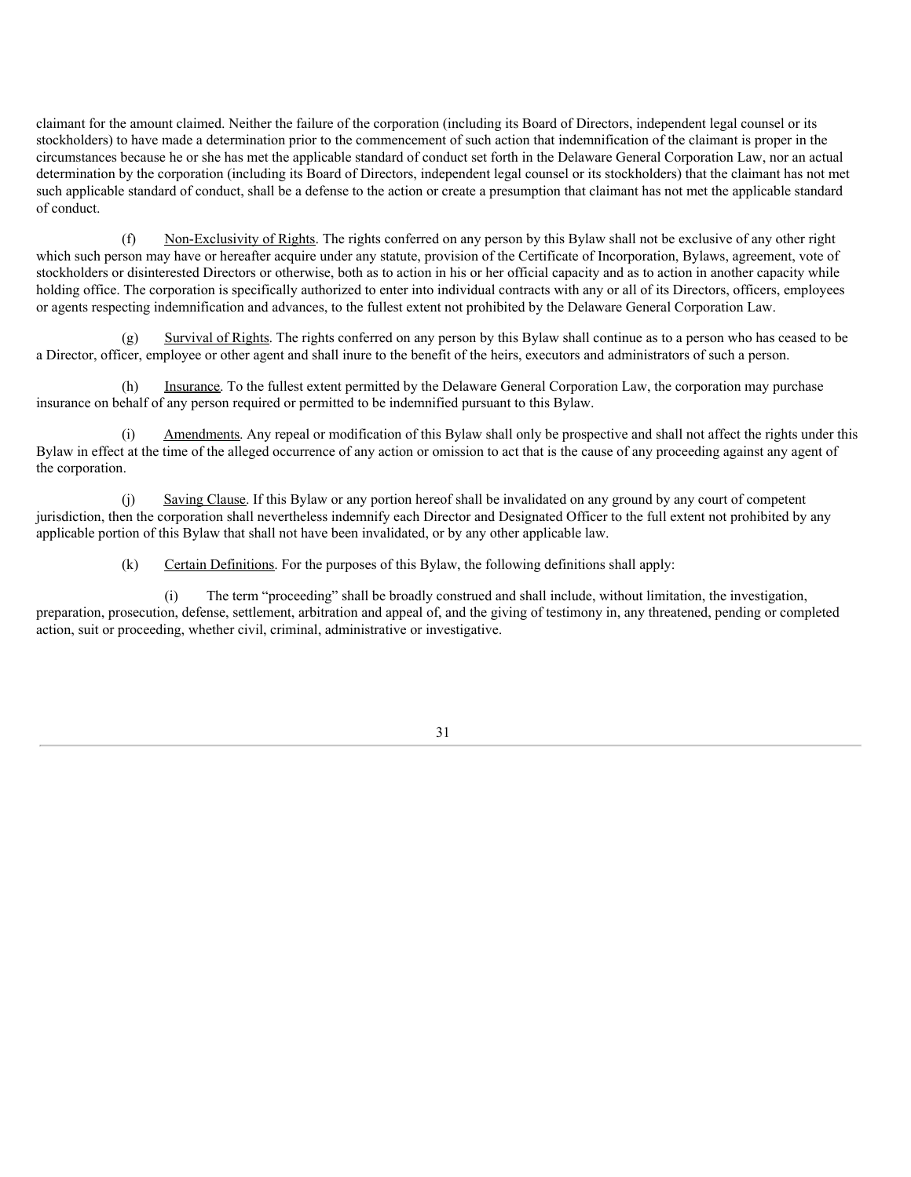claimant for the amount claimed. Neither the failure of the corporation (including its Board of Directors, independent legal counsel or its stockholders) to have made a determination prior to the commencement of such action that indemnification of the claimant is proper in the circumstances because he or she has met the applicable standard of conduct set forth in the Delaware General Corporation Law, nor an actual determination by the corporation (including its Board of Directors, independent legal counsel or its stockholders) that the claimant has not met such applicable standard of conduct, shall be a defense to the action or create a presumption that claimant has not met the applicable standard of conduct.

(f) Non-Exclusivity of Rights. The rights conferred on any person by this Bylaw shall not be exclusive of any other right which such person may have or hereafter acquire under any statute, provision of the Certificate of Incorporation, Bylaws, agreement, vote of stockholders or disinterested Directors or otherwise, both as to action in his or her official capacity and as to action in another capacity while holding office. The corporation is specifically authorized to enter into individual contracts with any or all of its Directors, officers, employees or agents respecting indemnification and advances, to the fullest extent not prohibited by the Delaware General Corporation Law.

(g) Survival of Rights. The rights conferred on any person by this Bylaw shall continue as to a person who has ceased to be a Director, officer, employee or other agent and shall inure to the benefit of the heirs, executors and administrators of such a person.

(h) Insurance. To the fullest extent permitted by the Delaware General Corporation Law, the corporation may purchase insurance on behalf of any person required or permitted to be indemnified pursuant to this Bylaw.

Amendments. Any repeal or modification of this Bylaw shall only be prospective and shall not affect the rights under this Bylaw in effect at the time of the alleged occurrence of any action or omission to act that is the cause of any proceeding against any agent of the corporation.

(j) Saving Clause. If this Bylaw or any portion hereof shall be invalidated on any ground by any court of competent jurisdiction, then the corporation shall nevertheless indemnify each Director and Designated Officer to the full extent not prohibited by any applicable portion of this Bylaw that shall not have been invalidated, or by any other applicable law.

(k) Certain Definitions. For the purposes of this Bylaw, the following definitions shall apply:

(i) The term "proceeding" shall be broadly construed and shall include, without limitation, the investigation, preparation, prosecution, defense, settlement, arbitration and appeal of, and the giving of testimony in, any threatened, pending or completed action, suit or proceeding, whether civil, criminal, administrative or investigative.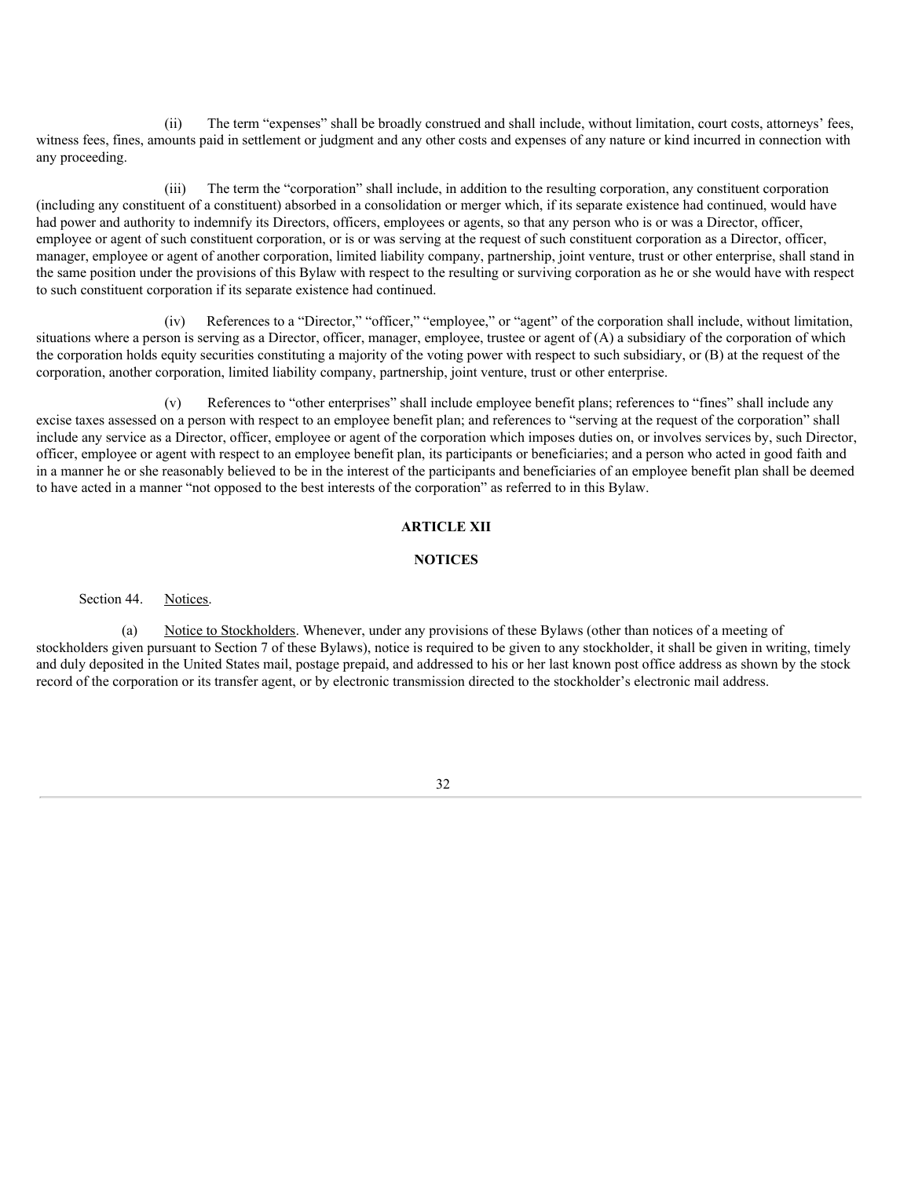(ii) The term "expenses" shall be broadly construed and shall include, without limitation, court costs, attorneys' fees, witness fees, fines, amounts paid in settlement or judgment and any other costs and expenses of any nature or kind incurred in connection with any proceeding.

(iii) The term the "corporation" shall include, in addition to the resulting corporation, any constituent corporation (including any constituent of a constituent) absorbed in a consolidation or merger which, if its separate existence had continued, would have had power and authority to indemnify its Directors, officers, employees or agents, so that any person who is or was a Director, officer, employee or agent of such constituent corporation, or is or was serving at the request of such constituent corporation as a Director, officer, manager, employee or agent of another corporation, limited liability company, partnership, joint venture, trust or other enterprise, shall stand in the same position under the provisions of this Bylaw with respect to the resulting or surviving corporation as he or she would have with respect to such constituent corporation if its separate existence had continued.

(iv) References to a "Director," "officer," "employee," or "agent" of the corporation shall include, without limitation, situations where a person is serving as a Director, officer, manager, employee, trustee or agent of (A) a subsidiary of the corporation of which the corporation holds equity securities constituting a majority of the voting power with respect to such subsidiary, or (B) at the request of the corporation, another corporation, limited liability company, partnership, joint venture, trust or other enterprise.

References to "other enterprises" shall include employee benefit plans; references to "fines" shall include any excise taxes assessed on a person with respect to an employee benefit plan; and references to "serving at the request of the corporation" shall include any service as a Director, officer, employee or agent of the corporation which imposes duties on, or involves services by, such Director, officer, employee or agent with respect to an employee benefit plan, its participants or beneficiaries; and a person who acted in good faith and in a manner he or she reasonably believed to be in the interest of the participants and beneficiaries of an employee benefit plan shall be deemed to have acted in a manner "not opposed to the best interests of the corporation" as referred to in this Bylaw.

## **ARTICLE XII**

#### **NOTICES**

Section 44. Notices.

(a) Notice to Stockholders. Whenever, under any provisions of these Bylaws (other than notices of a meeting of stockholders given pursuant to Section 7 of these Bylaws), notice is required to be given to any stockholder, it shall be given in writing, timely and duly deposited in the United States mail, postage prepaid, and addressed to his or her last known post office address as shown by the stock record of the corporation or its transfer agent, or by electronic transmission directed to the stockholder's electronic mail address.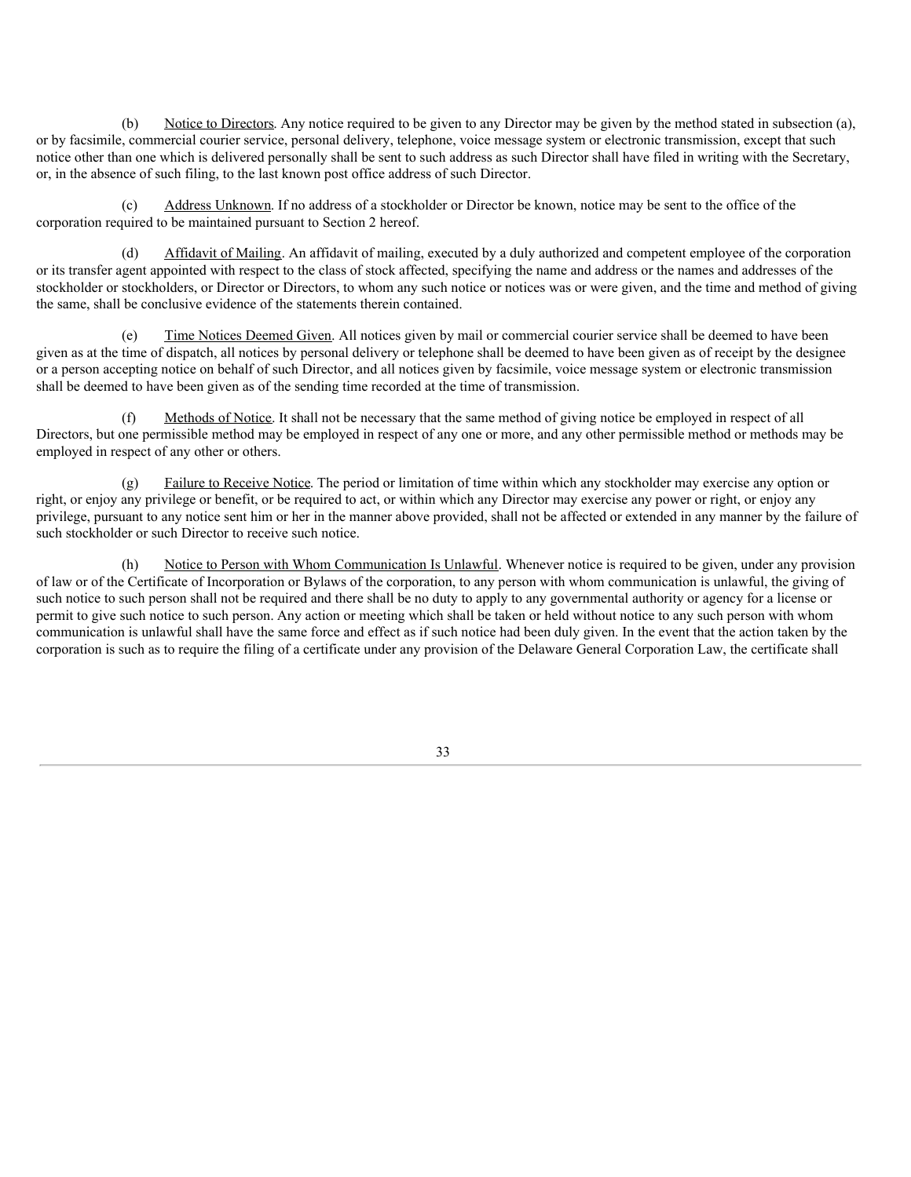(b) Notice to Directors. Any notice required to be given to any Director may be given by the method stated in subsection (a), or by facsimile, commercial courier service, personal delivery, telephone, voice message system or electronic transmission, except that such notice other than one which is delivered personally shall be sent to such address as such Director shall have filed in writing with the Secretary, or, in the absence of such filing, to the last known post office address of such Director.

(c) Address Unknown. If no address of a stockholder or Director be known, notice may be sent to the office of the corporation required to be maintained pursuant to Section 2 hereof.

(d) Affidavit of Mailing. An affidavit of mailing, executed by a duly authorized and competent employee of the corporation or its transfer agent appointed with respect to the class of stock affected, specifying the name and address or the names and addresses of the stockholder or stockholders, or Director or Directors, to whom any such notice or notices was or were given, and the time and method of giving the same, shall be conclusive evidence of the statements therein contained.

(e) Time Notices Deemed Given. All notices given by mail or commercial courier service shall be deemed to have been given as at the time of dispatch, all notices by personal delivery or telephone shall be deemed to have been given as of receipt by the designee or a person accepting notice on behalf of such Director, and all notices given by facsimile, voice message system or electronic transmission shall be deemed to have been given as of the sending time recorded at the time of transmission.

(f) Methods of Notice. It shall not be necessary that the same method of giving notice be employed in respect of all Directors, but one permissible method may be employed in respect of any one or more, and any other permissible method or methods may be employed in respect of any other or others.

(g) Failure to Receive Notice. The period or limitation of time within which any stockholder may exercise any option or right, or enjoy any privilege or benefit, or be required to act, or within which any Director may exercise any power or right, or enjoy any privilege, pursuant to any notice sent him or her in the manner above provided, shall not be affected or extended in any manner by the failure of such stockholder or such Director to receive such notice.

Notice to Person with Whom Communication Is Unlawful. Whenever notice is required to be given, under any provision of law or of the Certificate of Incorporation or Bylaws of the corporation, to any person with whom communication is unlawful, the giving of such notice to such person shall not be required and there shall be no duty to apply to any governmental authority or agency for a license or permit to give such notice to such person. Any action or meeting which shall be taken or held without notice to any such person with whom communication is unlawful shall have the same force and effect as if such notice had been duly given. In the event that the action taken by the corporation is such as to require the filing of a certificate under any provision of the Delaware General Corporation Law, the certificate shall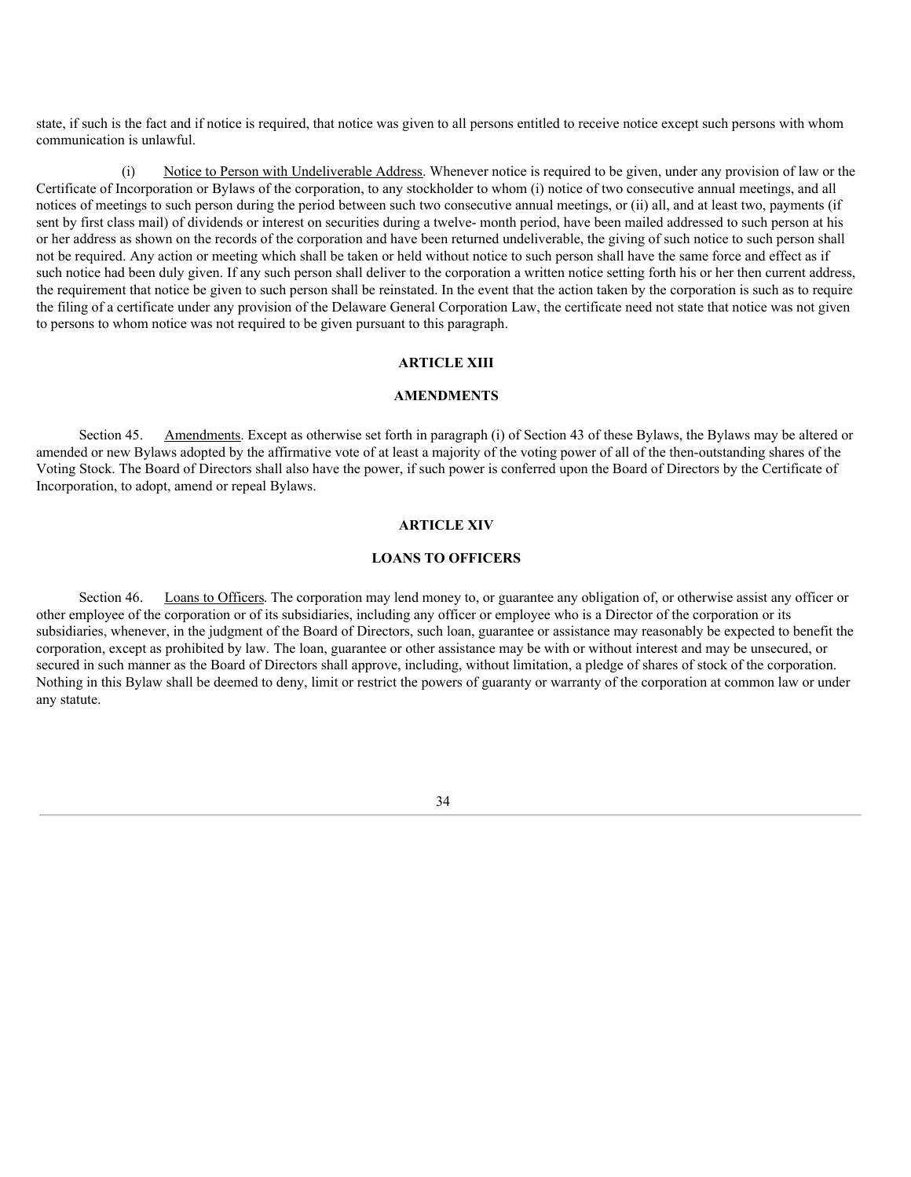state, if such is the fact and if notice is required, that notice was given to all persons entitled to receive notice except such persons with whom communication is unlawful.

(i) Notice to Person with Undeliverable Address. Whenever notice is required to be given, under any provision of law or the Certificate of Incorporation or Bylaws of the corporation, to any stockholder to whom (i) notice of two consecutive annual meetings, and all notices of meetings to such person during the period between such two consecutive annual meetings, or (ii) all, and at least two, payments (if sent by first class mail) of dividends or interest on securities during a twelve- month period, have been mailed addressed to such person at his or her address as shown on the records of the corporation and have been returned undeliverable, the giving of such notice to such person shall not be required. Any action or meeting which shall be taken or held without notice to such person shall have the same force and effect as if such notice had been duly given. If any such person shall deliver to the corporation a written notice setting forth his or her then current address, the requirement that notice be given to such person shall be reinstated. In the event that the action taken by the corporation is such as to require the filing of a certificate under any provision of the Delaware General Corporation Law, the certificate need not state that notice was not given to persons to whom notice was not required to be given pursuant to this paragraph.

#### **ARTICLE XIII**

#### **AMENDMENTS**

Section 45. Amendments. Except as otherwise set forth in paragraph (i) of Section 43 of these Bylaws, the Bylaws may be altered or amended or new Bylaws adopted by the affirmative vote of at least a majority of the voting power of all of the then-outstanding shares of the Voting Stock. The Board of Directors shall also have the power, if such power is conferred upon the Board of Directors by the Certificate of Incorporation, to adopt, amend or repeal Bylaws.

#### **ARTICLE XIV**

## **LOANS TO OFFICERS**

Section 46. Loans to Officers. The corporation may lend money to, or guarantee any obligation of, or otherwise assist any officer or other employee of the corporation or of its subsidiaries, including any officer or employee who is a Director of the corporation or its subsidiaries, whenever, in the judgment of the Board of Directors, such loan, guarantee or assistance may reasonably be expected to benefit the corporation, except as prohibited by law. The loan, guarantee or other assistance may be with or without interest and may be unsecured, or secured in such manner as the Board of Directors shall approve, including, without limitation, a pledge of shares of stock of the corporation. Nothing in this Bylaw shall be deemed to deny, limit or restrict the powers of guaranty or warranty of the corporation at common law or under any statute.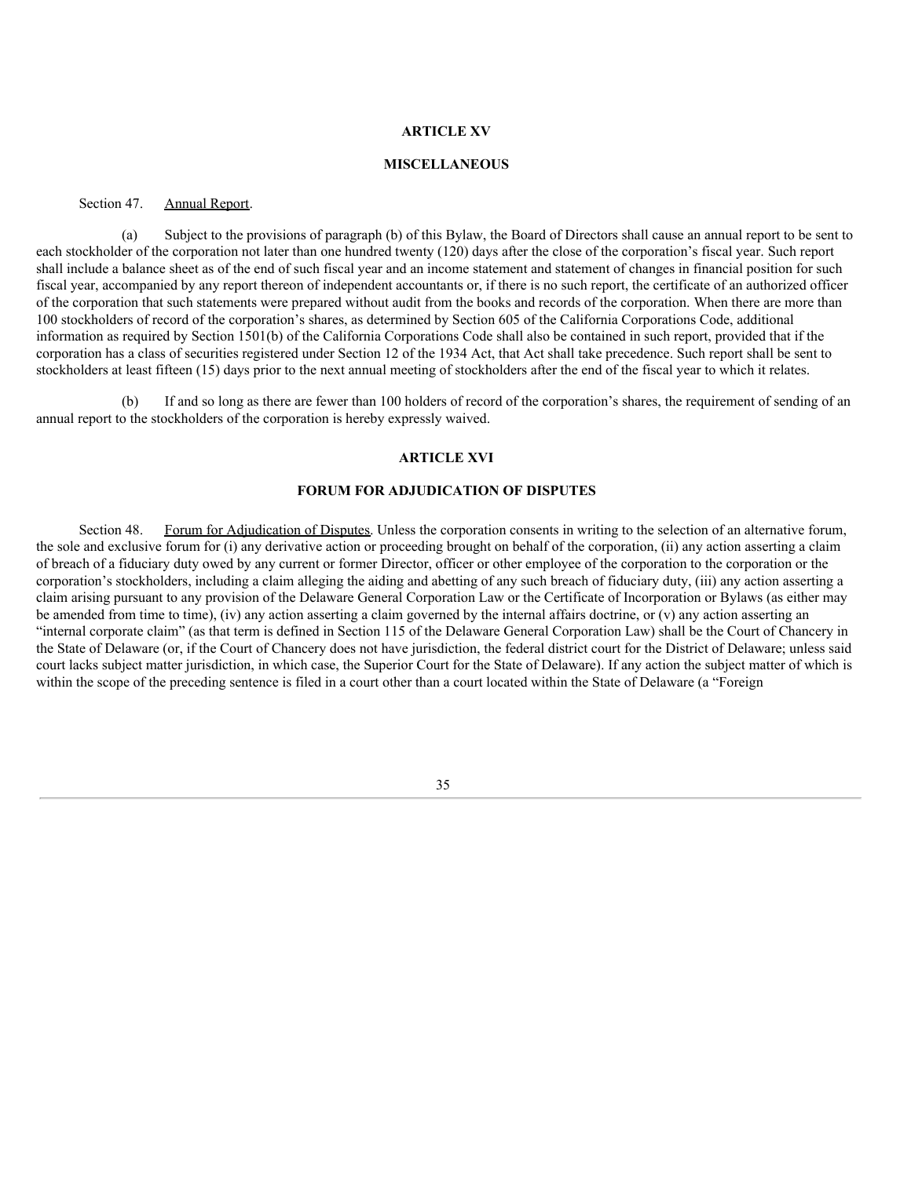## **ARTICLE XV**

#### **MISCELLANEOUS**

Section 47. Annual Report.

(a) Subject to the provisions of paragraph (b) of this Bylaw, the Board of Directors shall cause an annual report to be sent to each stockholder of the corporation not later than one hundred twenty (120) days after the close of the corporation's fiscal year. Such report shall include a balance sheet as of the end of such fiscal year and an income statement and statement of changes in financial position for such fiscal year, accompanied by any report thereon of independent accountants or, if there is no such report, the certificate of an authorized officer of the corporation that such statements were prepared without audit from the books and records of the corporation. When there are more than 100 stockholders of record of the corporation's shares, as determined by Section 605 of the California Corporations Code, additional information as required by Section 1501(b) of the California Corporations Code shall also be contained in such report, provided that if the corporation has a class of securities registered under Section 12 of the 1934 Act, that Act shall take precedence. Such report shall be sent to stockholders at least fifteen (15) days prior to the next annual meeting of stockholders after the end of the fiscal year to which it relates.

If and so long as there are fewer than 100 holders of record of the corporation's shares, the requirement of sending of an annual report to the stockholders of the corporation is hereby expressly waived.

## **ARTICLE XVI**

## **FORUM FOR ADJUDICATION OF DISPUTES**

Section 48. Forum for Adjudication of Disputes. Unless the corporation consents in writing to the selection of an alternative forum, the sole and exclusive forum for (i) any derivative action or proceeding brought on behalf of the corporation, (ii) any action asserting a claim of breach of a fiduciary duty owed by any current or former Director, officer or other employee of the corporation to the corporation or the corporation's stockholders, including a claim alleging the aiding and abetting of any such breach of fiduciary duty, (iii) any action asserting a claim arising pursuant to any provision of the Delaware General Corporation Law or the Certificate of Incorporation or Bylaws (as either may be amended from time to time), (iv) any action asserting a claim governed by the internal affairs doctrine, or (v) any action asserting an "internal corporate claim" (as that term is defined in Section 115 of the Delaware General Corporation Law) shall be the Court of Chancery in the State of Delaware (or, if the Court of Chancery does not have jurisdiction, the federal district court for the District of Delaware; unless said court lacks subject matter jurisdiction, in which case, the Superior Court for the State of Delaware). If any action the subject matter of which is within the scope of the preceding sentence is filed in a court other than a court located within the State of Delaware (a "Foreign